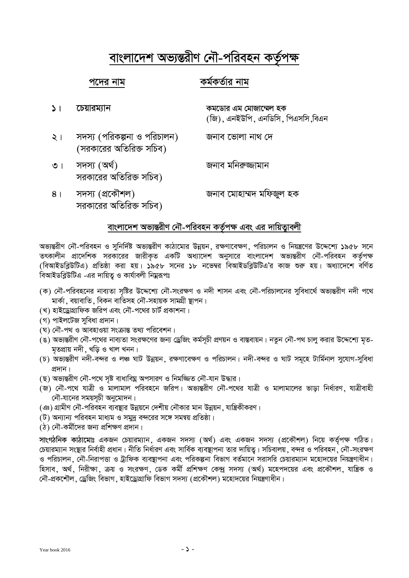# ৰাংলাদেশ অভ্যন্তরীণ নৌ-পরিবহন কর্তৃপক্ষ

# **c‡`i bvg Kg©KZ©vi bvg**

- **1| ‡Pqvig¨vb Kg‡Wvi Gg †gvRv‡¤§j nK**  (জি), এনইউপি, এনডিসি, পিএসসি,বিএন  $\lambda$ । সদস্য (পরিকল্পনা ও পরিচালন) জনাব ভোলা নাথ দে (সরকারের অতিরিক্ত সচিব)
- ৩। সদস্য (অৰ্থ) বিভিন্ন সম্পৰ্ক জনাব মনিৰুজ্জামান সরকারের অতিরিক্ত সচিব)
- 8। সদস্য (প্ৰকৌশল) জনাব মোহাম্মদ মফিজ্জল হক সরকারের অতিরিক্ত সচিব)

# ৰাংলাদেশ অভ্যন্তরীণ নৌ-পরিবহন কর্তৃপক্ষ এবং এর দায়িত্বাবলী

অভ্যন্তরীণ নৌ-পরিবহন ও সনির্দিষ্ট অভ্যন্তরীণ কাঠামোর উন্নয়ন, রক্ষণাবেক্ষণ, পরিচালন ও নিয়ন্ত্রণের উদ্দেশ্যে ১৯৫৮ সনে তৎকালীন প্রাদেশিক সরকারের জারীকৃত একটি অধ্যাদেশ অনুসারে বাংলাদেশ অভ্যন্তরীণ নৌ-পরিবহন কর্তৃপক্ষ (বিআইডব্লিউটিএ) প্রতিষ্ঠা করা হয়। ১৯৫৮ সনের ১৮ নভেম্বর বিআইডব্লিউটিএ'র কাজ শুরু হয়। অধ্যাদেশে বর্ণিত বিআইডব্লিউটিএ -এর দায়িত ও কার্যাবলী নিয়ুরূপঃ

- (ক) নৌ-পরিবহনের নাব্যতা সষ্টির উদ্দেশ্যে নৌ-সংরক্ষণ ও নদী শাসন এবং নৌ-পরিচালনের সবিধার্থে অভ্যন্তরীণ নদী পথে মাৰ্কা, বয়াবাতি, বিকন বাতিসহ নৌ-সহায়ক সামগ্ৰী ষ্টাপন।
- (খ) হাইড্রোগ্রাফিক জরিপ এবং নৌ-পথের চার্ট প্রকাশনা।
- (গ) পাইলটেজ সবিধা প্ৰদান।
- (ঘ) নৌ-পথ ও আবহাওয়া সংক্ৰান্ত তথ্য পরিবেশন।
- (ঙ) অভ্যন্তরীণ নৌ-পথের নাব্যতা সংরক্ষণের জন্য ড্রেজিং কর্মসূচী প্রণয়ন ও বাস্তবায়ন। নতুন নৌ-পথ চালু করার উদ্দেশ্যে মৃত-মতপ্ৰায় নদী, খড়ি ও খাল খনন।
- (চ) অভ্যন্তরীণ নদী-বন্দর ও লঞ্চ ঘাট উন্নয়ন, রক্ষণাবেক্ষণ ও পরিচালন। নদী-বন্দর ও ঘাট সমূহে টার্মিনাল সুযোগ-সুবিধা প্ৰদান।
- (ছ) অভ্যন্তরীণ নৌ-পথে সৃষ্ট বাধাবিঘ্ন অপসারণ ও নিমজ্জিত নৌ-যান উদ্ধার।
- (জ) নৌ-পথে যাত্ৰী ও মালামাল পরিবহনে জরিপ। অভ্যন্তরীণ নৌ-পথের যাত্ৰী ও মালামালের ভাডা নির্ধারণ, যাত্ৰীবাহী  $\vec{p}$ -যানের সময়সূচী অনুমোদন।
- (ঞ) গ্রামীণ নৌ-পরিবহন ব্যবস্থার উন্নয়নে দেশীয় নৌকার মান উন্নয়ন, যান্ত্রিকীকরণ।
- (ট) অন্যান্য পরিবহন মাধ্যম ও সমুদ্র বন্দরের সঙ্গে সমন্বয় প্রতিষ্ঠা।
- (ঠ) নৌ-কৰ্মীদের জন্য প্রশিক্ষণ প্রদান।

**সাংগঠনিক কাঠামোঃ** একজন চেয়ারম্যান, একজন সদস্য (অর্থ) এবং একজন সদস্য (প্রকৌশল) নিয়ে কর্তৃপক্ষ গঠিত। চেয়ারম্যান সংস্থার নির্বাহী প্রধান। নীতি নির্ধারণ এবং সার্বিক ব্যবস্থাপনা তার দায়িত্ব। সচিবালয়, বন্দর ও পরিবহন, নৌ-সংরক্ষণ ও পরিচালন, নৌ-নিরাপত্তা ও ট্রাফিক ব্যবস্থাপনা এবং পরিকল্পনা বিভাগ বর্তমানে সরাসরি চেয়ারম্যান মহোদয়ের নিয়ন্ত্রণাধীন। হিসাব, অর্থ, নিরীক্ষা, ক্রয় ও সংরক্ষণ, ডেক কর্মী প্রশিক্ষণ কেন্দ্র সদস্য (অর্থ) মহেপদয়ের এবং প্রকৌশল, যান্ত্রিক ও নৌ-প্ৰকশৌল, ড্ৰেজিং বিভাগ, হাইড্ৰোগ্ৰাফি বিভাগ সদস্য (প্ৰকৌশল) মহোদয়ের নিয়ন্ত্ৰণাধীন।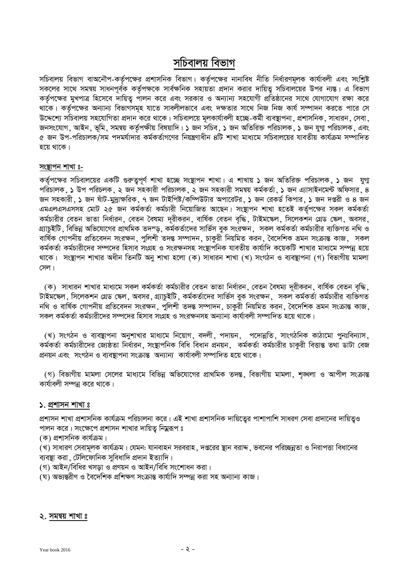# সচিবালয় বিভাগ

সচিবালয় বিভাগ বাঅনৌপ-কর্তৃপক্ষের প্রশাসনিক বিভাগ। কর্তৃপক্ষের নানাবিধ নীতি নির্ধারণমূলক কার্যাবলী এবং সংশ্লিষ্ট সকলের সাথে সমন্বয় সাধনপূর্বক কর্তৃপক্ষকে সার্বক্ষনিক সহায়তা প্রদান করার দায়িত্ব সচিবালয়ের উপর ন্যন্ত। এ বিভাগ কর্তৃপক্ষের মুখপাত্র হিসেবে দায়িত্ব পালন করে এবং সরকার ও অন্যান্য সহযোগী প্রতিষ্ঠানের সাথে যোগাযোগ রক্ষা করে থাকে। কর্তৃপক্ষের অন্যান্য বিভাগসমূহ যাতে সাবলীলভাবে এবং দক্ষতার সাথে নিজ নিজ কার্য সম্পাদন করতে পারে সে উদ্দেশ্যে সচিবালয় সহযোগিতা প্রদান করে থাকে। সচিবালয়ে মূলকার্যাবলী হচ্ছে-কর্মী ব্যবস্থাপনা ়প্রশাসনিক সাধারন ়সেবা জনসংযোগ, আইন, ভূমি, সমন্বয় কর্তৃপক্ষীয় বিষয়াদি। ১ জন সচিব, ১ জন অতিরিক্ত পরিচালক, ১ জন যুগ্ম পরিচালক, এবং ৫ জন উপ-পরিচালক/সম পদমর্যাদার কর্মকর্তাগণের নিয়ন্ত্রণাধীন ৪টি শাখা মাধ্যমে সচিবালয়ের যাবতীয় কার্যক্রম সম্পাদিত হয়ে থাকে।

#### <u>সংস্থাপন শাখা ঃ-</u>

কর্তৃপক্ষের সচিবালয়ের একটি গুরুত্বপূর্ণ শাখা হচ্ছে সংষ্থাপন শাখা। এ শাখায় ১ জন অতিরিক্ত পরিচালক, ১ জন যুগা পরিচালক, ১ উপ পরিচলক, ২ জন সহকারী পরিচালক, ২ জন সহকারী সমন্বয় কর্মকর্তা, ১ জন এ্যাসাইনমেন্ট অফিসার, ৪ জন সহকারী ় ১ জন ষাঁট-মুদ্রাক্ষরিক ় ৭ জন টাইপিষ্ট/কম্পিউটার অপারেটর ় ১ জন রেকর্ড কিপার ় ১ জন দপ্তরী ও ৪ জন এমএলএসএসসহ মোট ২৫ জন কর্মকর্তা কর্মচারী নিয়োজিত আছেন। সংস্থাপন শাখা হতেই কর্তৃপক্ষের সকল কর্মকর্তা কৰ্মচারীর বেতন ভাতা নিৰ্ধারন, বেতন বৈষম্য দূরীকরন, বার্ষিক বেতন বৃদ্ধি, টাইমক্ষেল, সিলেকশন গ্রেড ক্ষেল, অবসর, গ্যাচুইটি , বিভিন্ন অভিযোগের প্রাথমিক তদম্ড়, কর্মকর্তাদের সার্ভিস বুক সংরক্ষন , সকল কর্মকর্তা কর্মচারীর ব্যক্তিগত নথি ও বাৰ্ষিক গোপনীয় প্ৰতিবেদন সংরক্ষন, পলিশী তদন্ত সম্পাদন, চাকরী নিয়মিত করন, বৈদেশিক ভ্ৰমন সংক্রান্ত কাজ, সকল কৰ্মকৰ্তা কৰ্মচারীদের সম্পদের হিসাব সংগ্ৰহ ও সংরক্ষনসহ সংষ্টাপনিক যাবতীয় কাৰ্যাদি কয়েকটি শাখার মাধ্যমে সম্পন্ন হয়ে থাকে। সংষ্থাপন শাখার অধীন তিনটি অনু শাখা হলো (ক) সাধারন শাখা (খ) সংগঠন ও ব্যবন্থাপনা (গ) বিভাগীয় মামলা সেল।

(ক) সাধারন শাখার মাধ্যমে সকল কর্মকর্তা কর্মচারীর বেতন ভাতা নির্ধারন, বেতন বৈষম্য দূরীকরন, বার্ষিক বেতন বৃদ্ধি, টাইমস্কেল, সিলেকশন গ্রেড স্কেল, অবসর, গ্র্যাচুইটি, কর্মকর্তাদের সার্ভিস বুক সংরক্ষন, সকল কর্মকর্তা কর্মচারীর ব্যক্তিগত নথি ও বার্ষিক গোপনীয় প্রতিবেদন সংরক্ষন, পুলিশী তদন্ত সম্পাদন, চাকুরী নিয়মিত করন, বৈদেশিক ভ্রমন সংক্রান্ত কাজ, সকল কর্মকর্তা কর্মচারীদের সম্পদের হিসাব সংগ্রহ ও সংরক্ষনসহ অন্যান্য কার্যাবলী সম্পাদিত হয়ে থাকে।

(খ) সংগঠন ও ব্যবস্থাপনা অনুশাখার মাধ্যমে নিয়োগ, বদলী, পদায়ন, পদোন্নতি, সাংগঠনিক কাঠামো পুনঃবিন্যাস, কৰ্মকৰ্তা কৰ্মচারীদের জ্যেষ্ঠতা নিৰ্ধারন, সংষ্থাপনিক বিধি বিধান প্ৰনয়ন, কৰ্মকৰ্তা কৰ্মচারীর চাকুরী বিত্তান্ত তথা ডাটা বেজ প্রনয়ন এবং সংগঠন ও ব্যবস্থাপনা সংক্রান্ত অন্যান্য কার্যাবলী সম্পাদিত হয়ে থাকে।

(গ) বিভাগীয় মামলা সেলের মাধ্যমে বিভিন্ন অভিযোগের প্রাথমিক তদন্ত, বিভাগীয় মামলা, শঙ্খলা ও আপীল সংক্রান্ত কার্যাবলী সম্পন্ন করে থাকে।

#### **১. প্ৰশাসন শাখা** ঃ

প্রশাসন শাখা প্রশাসনিক কার্যক্রম পরিচালনা করে। এই শাখা প্রশাসনিক দায়িত্বের পাশাপাশি সাধরণ সেবা প্রদানের দায়িতুও পালন করে। সংক্ষেপে প্রশাসন শাখার দায়িত্ব নিম্নরূপ ঃ

(ক) প্ৰশাসনিক কাৰ্যক্ৰম।

(খ) সাধারণ সেবামূলক কার্যক্রম। যেমন: যানবাহন সরবরাহ , দপ্তরের স্থান বরাদ্দ , ভবনের পরিচ্ছন্নতা ও নিরাপত্তা বিধানের ব্যবস্থা করা ,ঢটেলিফোনিক সুবিধাদি প্রদান ইত্যাদি।

(গ) আইন/বিধির খসড়া ও প্রণয়ন ও আইন/বিধি সংশোধন করা।

(ঘ) অভ্যন্তরীণ ও বৈদেশিক প্রশিক্ষণ সংক্রান্ত কার্যাদি সম্পন্ন করা সহ অন্যান্য কাজ।

#### **২. সমন্বয় শাখা** ঃ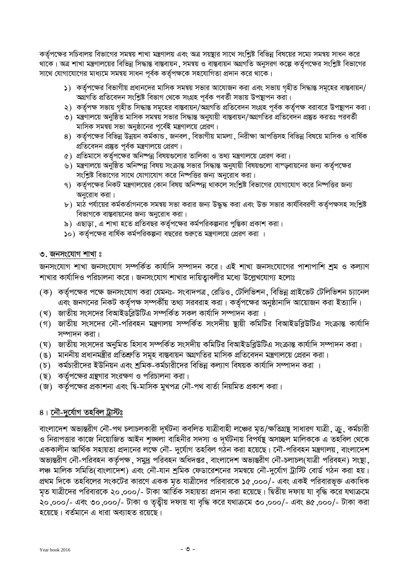কর্তৃপক্ষের সচিবালয় বিভাগের সমন্বয় শাখা মন্ত্রণালয় এবং অত্র সয়ন্থার সাথে সংশ্লিষ্ট বিভিন্ন বিষয়ের সম্মে সমন্বয় সাধন করে থাকে। অত্র শাখা মন্ত্রণালয়ের বিভিন্ন সিদ্ধান্ত বাস্তবায়ন, সমন্বয় ও বাস্তবায়ন অগ্রগতি অনুসরণ কল্পে কর্তৃপক্ষের সংশ্লিষ্ট বিভাগের সাথে যোগাযোগের মাধ্যমে সমন্বয় সাধন পূর্বক কর্তৃপক্ষকে সহযোগিতা প্রদান করে থাকে।

- $\,$ ১) কর্তৃপক্ষের বিভাগীয় প্রধানদের মাসিক সমন্বয় সভার আযোজন করা এবং সভায় গহীত সিদ্ধান্ত সমূহের বাস্তবায়ন/ অৰ্থগতি প্ৰতিবেদন সংশ্লিষ্ট বিভাগ থেকে সংগ্ৰহ পৰ্বক পৰৰ্তী সভায় উপস্থাপন করা।
- ২) কর্তৃপক্ষ সভায় গৃহীত সিদ্ধান্ত সমূহের বাস্তবায়ন/অগ্রগতি প্রতিবেদন সংগ্রহ পূর্বক কর্তৃপক্ষ বরাবরে উপস্থাপন করা।
- ৩) মন্ত্রণালয়ে অনুষ্ঠিত মাসিক সমন্বয় সভার সিদ্ধান্ত অনুযায়ী বাস্তবায়ন/অগ্রগতির প্রতিবেদন প্রস্তুত করতঃ পরবর্তী মাসিক সমন্বয় সভা অনুষ্ঠানের পূর্বেই মন্ত্রণালয়ে প্রেরণ।
- 8) কর্তৃপক্ষের বিভিন্ন উন্নয়ন কর্মকান্ড, জনবল, বিভাগীয় মামলা, নিরীক্ষা আপত্তিসহ বিভিন্ন বিষয়ে মাসিক ও বার্ষিক প্রতিবেদন প্রষ্তুত পূর্বক মন্ত্রণালয়ে প্রেরণ।
- $\alpha$ ) প্রতিমাসে কর্তৃপক্ষের অনিষ্পন্ন বিষয়গুলোর তালিকা ও তথ্য মন্ত্রণালয়ে প্রেরণ করা।
- ৬) মন্ত্রণালয়ে অনুষ্ঠিত অনিষ্পন্ন বিষয় সংক্রান্ত সভার সিদ্ধান্ত অনুযায়ী বিষয়গুলো বাস্ডবায়নের জন্য কর্তৃপক্ষের সংশ্লিষ্ট বিভাগের সাথে যোগাযোগ করে নিষ্পত্তির জন্য অনুরোধ করা।
- ৭) কর্তৃপক্ষের নিকট মন্ত্রণালয়ের কোন বিষয় অনিষ্পন্ন থাকলে সংশ্লিষ্ট বিভাগের যোগাযোগ করে নিষ্পত্তির জন্য অনুরোধ করা।
- b ) মাঠ পর্যায়ের কর্মকর্তাগনকে সমন্বয় সভা করার জন্য উদ্ধুদ্ধ করা এবং উক্ত সভার কার্যবিবরণী কর্তৃপক্ষসহ সংশ্লিষ্ট বিভাগকে বাস্তবায়নের জন্য অনুরোধ করা।
- ৯) এছাড়া , এ শাখা হতে প্রতিবছর কর্তৃপক্ষের কর্মপরিকল্পনার পুস্তিকা প্রকাশ করা।
- **১**০) কর্তৃপক্ষের বার্ষিক কর্মপরিকল্পনা বছরের শুরুতে মন্ত্রণালয়ে প্রেরণ করা ।

# **৩.** জনসংযোগ শাখা ঃ

জনসংযোগ শাখা জনসংযোগ সম্পর্কিত কার্যাদি সম্পাদন করে। এই শাখা জনসংযোগের পাশাপাশি <u>শ</u>ম ও কল্যাণ শাখার কার্যাদিও পরিচালনা করে। জনসংযোগ শাখার দায়িত্বাবলীর মধ্যে উল্লেখযোগ্য হলোঃ

- $(\bar{\bm{\tau}})$  কর্তৃপক্ষের পক্ষে জনসংযোগ করা যেমনঃ- সংবাদপত্র, রেডিও, টেলিভিশন, বিভিন্ন প্রাইভেট টেলিভিশন চ্যানেল এবং জনগনের নিকট কর্তৃপক্ষ সম্পর্কীয় তথ্য সরবরাহ করা। কর্তৃপক্ষের অনুষ্ঠানাদি আয়োজন করা ইত্যাদি।
- (খ) জাতীয় সংসদের বিআইডব্লিউটিএ সম্পর্কিত সকল কার্যাদি সম্পাদন করা ।
- (গ) জাতীয় সংসদের নৌ-পরিবহন মন্ত্রণালয় সম্পর্কিত সংসদীয় স্থায়ী কমিটির বিআইডব্লিউটিএ সংক্রান্ত কার্যাদি সম্পাদন করা।
- (ঘ) জাতীয় সংসদের অনুমিত হিসাব সম্পর্কিত সংসদীয় কমিটির বিআইডব্লিউটিএ সংক্রান্ত কার্যাদি সম্পাদন করা।
- (ঙ) মাননীয় প্রধানমন্ত্রীর প্রতিশ্রুতি সমূহ বাস্তবায়ন অগ্রগতির মাসিক প্রতিবেদন মন্ত্রণালয়ে প্রেরন করা।
- (চ) কর্মচারীদের ইউনিয়ন এবং শ্রমিক-কর্মচারীদের বিভিন্ন কল্যাণ বিষয়ক কার্যাদি সম্পাদন করা ।
- (ছ) কর্তৃপক্ষের গ্রন্থগার সংরক্ষণ ও পরিচালনা করা।
- (জ) কর্তৃপক্ষের প্রকাশনা এবং দ্বি-মাসিক মুখপত্র নৌ-পথ বার্তা নিয়মিত প্রকাশ করা।

# $8$ । নৌ-দুৰ্যোগ তহবিল ট্ৰাস্টঃ

বাংলাদেশ অভ্যন্তরীণ নৌ-পথ চলাচলকারী দূর্ঘটনা কবলিত যাত্রীবাহী লঞ্চের মৃত/ক্ষতিগ্রন্থ সাধারণ যাত্রী , ক্রু , কর্মচারী ও নিরাপত্তার কাজে নিয়োজিত আইন শৃঙ্খলা বাহিনীর সদস্য ও দূর্ঘটনায় বিপর্যন্থ অসচ্ছল মালিককে এ তহবিল থেকে এককালীন আৰ্থিক সহায়তা প্ৰদানের লক্ষে নৌ- দুৰ্যোগ তহবিল গঠন করা হয়েছে। নৌ-পরিবহন মন্ত্রণালয়, বাংলাদেশ অভ্যন্তরীণ নৌ-পরিবহন কর্তৃপক্ষ, সমুদ্র পরিবহন অধিদপ্তর, বাংলাদেশ অভ্যন্তরীণ নৌ-চলাচল(যাত্রী পরিবহন) সংস্থা, লঞ্চ মালিক সমিতি(বাংলাদেশ) এবং নৌ-যান শ্রমিক ফেডারেশনের সমন্বয়ে নৌ-দুর্যোগ ট্রাস্টি বোর্ড গঠন করা হয়। প্রথম দিকে তহবিলের সংকটের কারণে একক মৃত যাত্রীদের পরিবারকে ১৫ ,০০০/- এবং একই পরিবারভূক্ত একাধিক মৃত যাত্রীদের পরিবারকে ২০.০০০/- টাকা আর্তিক সহায়তা প্রদান করা হয়েছে। দ্বিতীয় দফায় যা বৃদ্ধি করে যথাক্রমে ২০,০০০/- এবং ৩০,০০০/- টাকা ও তৃত্বীয় দফায় যা বৃদ্ধি করে যথাক্রমে ৩০,০০০/- এবং ৪৫,০০০/- টাকা করা হয়েছে। বর্তমানে এ ধারা অব্যাহত রয়েছে।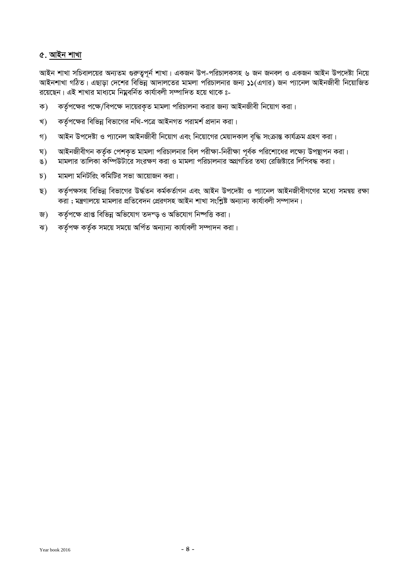### ৫. আইন শাখা

আইন শাখা সচিবালয়ের অন্যতম গুরুত্বপূর্ন শাখা। একজন উপ-পরিচালকসহ ৬ জন জনবল ও একজন আইন উপদেষ্টা নিয়ে আইনশাখা গঠিত। এছাড়া দেশের বিভিন্ন আদালতের মামলা পরিচালনার জন্য ১১(এগার) জন প্যানেল আইনজীবী নিয়োজিত রয়েছেন। এই শাখার মাধ্যমে নিম্নবর্নিত কার্যাবলী সম্পাদিত হয়ে থাকে ঃ-

- ক) কর্তৃপক্ষের পক্ষে/বিপক্ষে দায়েরকৃত মামলা পরিচালনা করার জন্য আইনজীবী নিয়োগ করা।
- খ) কর্তৃপক্ষের বিভিন্ন বিভাগের নথি-পত্রে আইনগত পরামর্শ প্রদান করা।
- গ) আইন উপদেষ্টা ও প্যানেল আইনজীবী নিয়োগ এবং নিয়োগের মেয়াদকাল বৃদ্ধি সংক্রান্ত কার্যক্রম গ্রহণ করা।
- ঘ) আইনজীবীগন কর্তৃক পেশকৃত মামলা পরিচালনার বিল পরীক্ষা-নিরীক্ষা পূর্বক পরিশোধের লক্ষ্যে উপস্থাপন করা।
- ঙ) মামলার তালিকা কম্পিউটারে সংরক্ষণ করা ও মামলা পরিচালনার অগ্রগতির তথ্য রেজিষ্টারে লিপিবদ্ধ করা।
- $\sigma$ ) মামলা মনিটরিং কমিটির সভা আয়োজন করা।
- ছ) কর্তৃপক্ষসহ বিভিন্ন বিভাগের উর্দ্ধতন কর্মকর্তাগন এবং আইন উপদেষ্টা ও প্যানেল আইনজীবীগণের মধ্যে সমন্বয় রক্ষা করা ; মন্ত্রণালয়ে মামলার প্রতিবেদন প্রেরণসহ আইন শাখা সংশ্লিষ্ট অন্যান্য কার্যাবলী সম্পাদন।
- জ) কর্তৃপক্ষে প্রাপ্ত বিভিন্ন অভিযোগ তদন্ড় ও অভিযোগ নিষ্পত্তি করা।
- ঝ) কর্তৃপক্ষ কর্তৃক সময়ে সময়ে অর্পিত অন্যান্য কার্যাবলী সম্পাদন করা।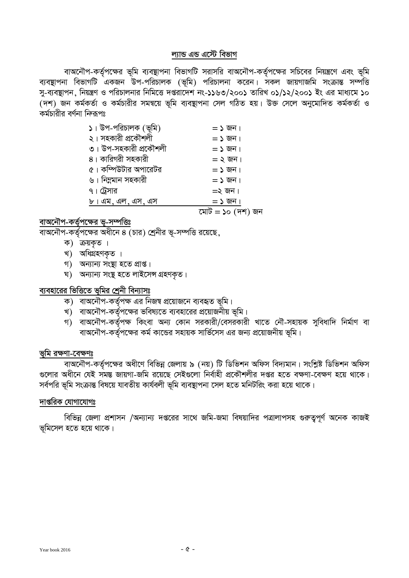#### ল্যান্ড এন্ড এস্টে বিভাগ

বাঅনৌপ-কর্তৃপক্ষের ভূমি ব্যবস্থাপনা বিভাগটি সরাসরি বাঅনৌপ-কর্তৃপক্ষের সচিবের নিয়ন্ত্রণে এবং ভূমি -<br>ব্যবস্থাপনা বিভাগটি একজন উপ-পরিচালক (ভূমি) পরিচালনা করেন। সকল জায়গাজমি সংক্রান্ত সম্পত্তি সু-ব্যবস্থাপন, নিয়ন্ত্রণ ও পরিচালনার নিমিত্তে দপ্তরাদেশ নং-১১৬৩/২০০১ তারিখ ০১/১২/২০০১ ইং এর মাধ্যমে ১০ ্দিশ) জন কৰ্মকৰ্তা ও কৰ্মচারীর সমন্বয়ে ভূমি ব্যবস্থাপনা সেল গঠিত হয়। উক্ত সেলে অনুমোদিত কৰ্মকৰ্তা ও কৰ্মচাবীৰ বৰ্ণনা নি্কপঃ

| $\mathsf{S}$ । উপ-পরিচালক (ভূমি) | $=$ ১ জন।          |
|----------------------------------|--------------------|
| ২। সহকারী প্রকৌশলী               | $=$ ১ জন।          |
| ৩। উপ-সহকারী প্রকৌশলী            | $=$ ১ জন।          |
| ৪। কারিগরী সহকারী                | $=$ ২ জন।          |
| ৫। কম্পিউটার অপারেটর             | $=$ ১ জন।          |
| ৬। নিম্নমান সহকারী               | $=$ ১ জন।          |
| ৭। ট্রেসার                       | $=$ ২ জন।          |
| ৮। এম, এল, এস, এস                | $=$ ১ জন।          |
|                                  | মোট $=$ ১০ (দশ) জন |
|                                  |                    |

#### **evA‡bŠc-KZ©"c‡¶i f~-m¤úwËt**

বাঅনৌপ-কর্তৃপক্ষের অধীনে ৪ (চার) শ্রেনীর ভূ-সম্পত্তি রয়েছে

- ক) ক্রয়কৃত।
- খ) অধিগ্ৰহণকৃত।
- গ) অন্যান্য সংস্থা হতে প্ৰাপ্ত।
- ঘ) অন্যান্য সংষ্টু হতে লাইসেন্স গ্ৰহণকৃত।

## ব্যবহারের ভিত্তিতে ভূমির শ্রেনী বিন্যাসঃ

- ক) বাঅনৌপ-কৰ্তৃপক্ষ এর নিজম্ব প্রয়োজনে ব্যবহৃত ভূমি।
- খ) বাঅনৌপ-কর্তৃপক্ষের ভবিষ্যতে ব্যবহারের প্রয়োজনীয় ভূমি।
- গ) বাঅনৌপ-কৰ্তৃপক্ষ কিংবা অন্য কোন সরকারী/বেসরকারী খাতে নৌ-সহায়ক সুবিধাদি নির্মাণ বা বাঅনৌপ-কর্তৃপক্ষের কর্ম কান্ডের সহায়ক সার্ভিসেস এর জন্য প্রয়োজনীয় ভূমি।

#### **ভূমি রক্ষণা-বেক্ষণঃ**

বাঅনৌপ-কর্তৃপক্ষের অধীণে বিভিন্ন জেলায় ৯ (নয়) টি ডিভিশন অফিস বিদ্যমান। সংশ্লিষ্ট ডিভিশন অফিস গুলোর অধীনে যেই সমস্ত জায়গা-জমি রয়েছে সেইগুলো নির্বাহী প্রকৌশলীর দপ্তর হতে বক্ষণা-বেক্ষণ হয়ে থাকে। সর্বপরি ভূমি সংক্রান্ত বিষয়ে যাবতীয় কার্যবলী ভূমি ব্যবস্থাপনা সেল হতে মনিটরিং করা হয়ে থাকে।

### দাপ্তরিক যো<u>গাযোগঃ</u>

বিভিন্ন জেলা প্রশাসন /অন্যান্য দপ্তরের সাথে জমি-জমা বিষয়াদির পত্রালাপসহ গুরুতুপূর্ণ অনেক কাজই ভূমিসেল হতে হয়ে থাকে।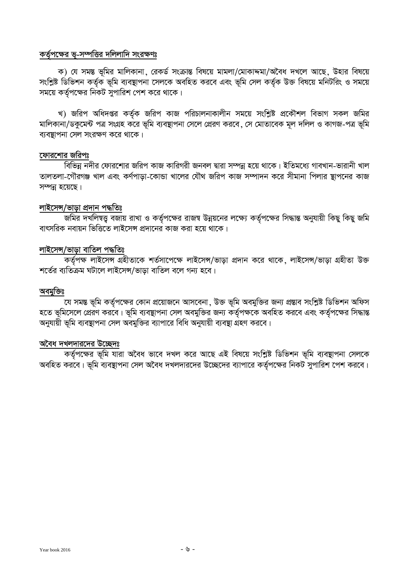### কর্তৃপক্ষের ভূ-সম্পত্তির দলিলাদি সংরক্ষণঃ

ক) যে সমন্ত ভূমির মালিকানা, রেকর্ড সংক্রান্ত বিষয়ে মামলা/মোকাদ্দমা/অবৈধ দখলে আছে, উহার বিষয়ে সংশ্লিষ্ট ডিভিশন কৰ্তৃক ভূমি ব্যবস্থাপনা সেলকে অবহিত করবে এবং ভূমি সেল কৰ্তৃক উক্ত বিষয়ে মনিটরিং ও সময়ে সময়ে কর্তৃপক্ষের নিকট সুপারিশ পেশ করে থাকে।

খ) জরিপ অধিদপ্তর কর্তৃক জরিপ কাজ পরিচালনাকালীন সময়ে সংশ্লিষ্ট প্রকৌশল বিভাগ সকল জমির মালিকানা/ডকুমেন্ট পত্র সংগ্রহ করে ভূমি ব্যবস্থাপনা সেলে প্রেরণ করবে ,সে মোতাবেক মূল দলিল ও কাগজ-পত্র ভূমি ব্যবস্থাপনা সেল সংরক্ষণ করে থাকে।

### ফোরশোর জরিপঃ

বিভিন্ন নদীর ফোরশোর জরিপ কাজ কারিগরী জনবল দ্বারা সম্পন্ন হয়ে থাকে। ইতিমধ্যে গাবখান-ভারানী খাল তালতলা-গৌরগঞ্জ খাল এবং কর্ণপাড়া-কোন্ডা খালের যৌথ জরিপ কাজ সম্পাদন করে সীমানা পিলার স্থাপনের কাজ সম্পন্ন হয়েছে।

# লাইসেন্স/ভাড়া প্ৰ<u>দান পদ্ধতি</u>ঃ

জমির দখলিম্বত্ত্ব বজায় রাখা ও কর্তৃপক্ষের রাজম্ব উন্নয়নের লক্ষ্যে কর্তৃপক্ষের সিদ্ধান্ত অনুযায়ী কিছু কিছু জমি বাৎসরিক নবায়ন ভিত্তিতে লাইসেন্স প্রদানের কাজ করা হয়ে থাকে।

### লাইসেন্স/ভাড়া বাতিল পদ্ধতিঃ

কৰ্তৃপক্ষ লাইসেন্স অহীতাকে শৰ্তসাপেক্ষে লাইসেন্স/ভাড়া প্ৰদান করে থাকে, লাইসেন্স/ভাড়া গ্ৰহীতা উক্ত শর্তের ব্যতিক্রম ঘটালে লাইসেন্স/ভাড়া বাতিল বলে গন্য হবে।

#### অবমুক্তিঃ

যে সমস্ত ভূমি কর্তৃপক্ষের কোন প্রয়োজনে আসবেনা, উক্ত ভূমি অবমুক্তির জন্য প্রস্তাব সংশ্লিষ্ট ডিভিশন অফিস হতে ভূমিসেলে প্রেরণ করবে। ভূমি ব্যবস্থাপনা সেল অবমুক্তির জন্য কর্তৃপক্ষকে অবহিত করবে এবং কর্তৃপক্ষের সিদ্ধান্ত অনুযায়ী ভূমি ব্যবস্থাপনা সেল অবমুক্তির ব্যাপারে বিধি অনুযায়ী ব্যবস্থা গ্রহণ করবে।

#### অবৈধ দখলদারদের উচ্ছেদঃ

কর্তৃপক্ষের ভূমি যারা অবৈধ ভাবে দখল করে আছে এই বিষয়ে সংশ্লিষ্ট ডিভিশন ভূমি ব্যবস্থাপনা সেলকে অবহিত করবে। ভূমি ব্যবস্থাপনা সেল অবৈধ দখলদারদের উচ্ছেদের ব্যাপারে কর্তৃপক্ষের নিকট সুপারিশ পেশ করবে।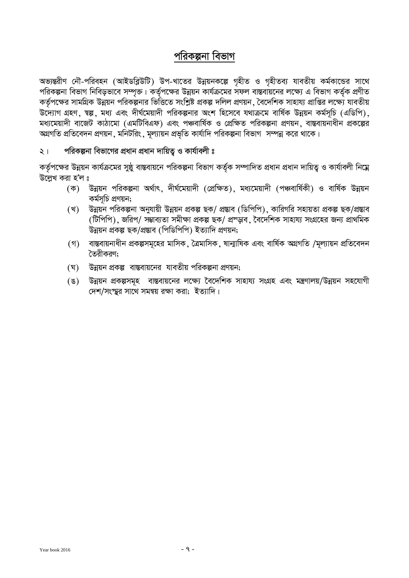# পরিকল্পনা বিভাগ

অভ্যন্তরীণ নৌ-পরিবহন (আইডব্লিউটি) উপ-খাতের উন্নয়নকল্পে গৃহীত ও গৃহীতব্য যাবতীয় কর্মকান্ডের সাথে পরিকল্পনা বিভাগ নিবিড়ভাবে সম্পৃক্ত। কর্তৃপক্ষের উন্নয়ন কার্যক্রমের সফল বাস্তবায়নের লক্ষ্যে এ বিভাগ কর্তৃক প্রণীত কর্তৃপক্ষের সামগ্রিক উন্নয়ন পরিকল্পনার ভিত্তিতে সংশ্লিষ্ট প্রকল্প দলিল প্রণয়ন , বৈদেশিক সাহায্য প্রাপ্তির লক্ষ্যে যাবতীয় উদ্যোগ গ্রহণ, ম্বল্প, মধ্য এবং দীর্ঘমেয়াদী পরিকল্পনার অংশ হিসেবে যথাক্রমে বার্ষিক উন্নয়ন কর্মসূচি (এডিপি), মধ্যমেয়াদী বাজেট কাঠামো (এমটিবিএফ) এবং পঞ্চবার্ষিক ও প্রেক্ষিত পরিকল্পনা প্রণয়ন, বাস্তবায়নাধীন প্রকল্পের অগ্রগতি প্রতিবেদন প্রণয়ন, মনিটরিং, মূল্যায়ন প্রভৃতি কার্যাদি পরিকল্পনা বিভাগ*্সম্প*ন্ন করে থাকে।

### ২। পরিকল্পনা বিভাগের প্রধান প্রধান দায়িত্ব ও কার্যাবলী ঃ

কর্তৃপক্ষের উন্নয়ন কার্যক্রমের সুষ্ঠু বাস্তবায়নে পরিকল্পনা বিভাগ কর্তৃক সম্পাদিত প্রধান প্রধান দায়িত্ব ও কার্যাবলী নিম্নে উল্লেখ করা হ'ল ঃ

- (ক) উন্নয়ন পরিকল্পনা অর্থাৎ, দীর্ঘমেয়াদী (প্রেক্ষিত), মধ্যমেয়াদী (পঞ্চবার্ষিকী) ও বার্ষিক উন্নয়ন কৰ্মসূচি প্ৰণয়ন;
- (খ) উন্নয়ন পরিকল্পনা অনুযায়ী উন্নয়ন প্রকল্প ছক/ প্রস্তাব (ডিপিপি), কারিগরি সহায়তা প্রকল্প ছক/প্রস্তাব (টিপিপি), জরিপ/ সম্ভাব্যতা সমীক্ষা প্রকল্প ছক/ প্রস্ড়াব, বৈদেশিক সাহায্য সংগ্রহের জন্য প্রাথমিক .<br>উন্নয়ন প্ৰকল্প ছক/প্ৰস্তাব (পিডিপিপি) ইত্যাদি প্ৰণয়ন:
- (গ) বাস্তবায়নাধীন প্রকল্পসমূহের মাসিক, ত্রৈমাসিক, ষান্মাষিক এবং বার্ষিক অগ্রগতি /মূল্যায়ন প্রতিবেদন তৈরীকরণ:
- (ঘ) উন্নয়ন প্রকল্প বাস্তবায়নের যাবতীয় পরিকল্পনা প্রণয়ন;
- (ঙ) উন্নয়ন প্রকল্পসমূহ বাস্তবায়নের লক্ষ্যে বৈদেশিক সাহায্য সংগ্রহ এবং মন্ত্রণালয়/উন্নয়ন সহযোগী দেশ/সংস্থর সাথে সমন্বয় রক্ষা করা; ইত্যাদি।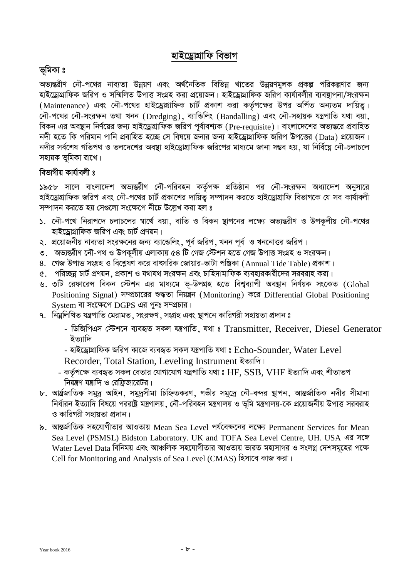# <u>হাইড্ৰোগ্ৰাফি বিভাগ</u>

# ভূমিকা ঃ

অভ্যন্তরীণ নৌ-পথের নাব্যতা উন্নয়ণ এবং অর্থনৈতিক বিভিন্ন খাতের উন্নয়ণমূলক প্রকল্প পরিকল্পণার জন্য হাইড্ৰোগ্ৰাফিক জরিপ ও সম্মিলিত উপাত্ত সংগ্ৰহ করা প্ৰয়োজন। হাইড্ৰোগ্ৰাফিক জরিপ কাৰ্যাবলীর ব্যবস্থাপনা/সংরক্ষন (Maintenance) এবং নৌ-পথের হাইড্রোগ্রাফিক চার্ট প্রকাশ করা কর্তপক্ষের উপর অর্পিত অন্যতম দায়িত। নৌ-পথের নৌ-সংরক্ষন তথা খনন (Dredging), ব্যান্ডিলিং (Bandalling) এবং নৌ-সহায়ক যন্ত্রপাতি যথা বয়া, বিকন এর অবষ্থান নির্ণয়ের জন্য হাইড্রোগ্রাফিক জরিপ পর্বাবশ্যক (Pre-requisite)। বাংলাদেশের অভ্যন্তরে প্রবাহিত নদী হতে কি পরিমান পানি প্রবাহিত হচ্ছে সে বিষয়ে জনার জন্য হাইড্রোগ্রাফিক জরিপ উপত্তের (Data) প্রয়োজন। নদীর সর্বশেষ গতিপথ ও তলদেশের অবষ্যা হাইড্রোগ্রাফিক জরিপের মাধ্যমে জানা সম্ভব হয়, যা নির্বিঘ্লে নৌ-চলাচলে সহায়ক ভূমিকা রাখে।

# বিভাগীয় কাৰ্যাবলী **ঃ**

<mark>১৯৫৮ সালে বাংলাদেশ অভ্যন্ত</mark>রীণ নৌ-পরিবহন কর্তৃপক্ষ প্রতিষ্ঠান পর নৌ-সংরক্ষন অধ্যাদেশ অনুসারে হাইড্রোগ্রাফিক জরিপ এবং নৌ-পথের চার্ট প্রকাশের দায়িত্ব সম্পাদন করতে হাইড্রোগ্রাফি বিভাগকে যে সব কার্যাবলী সম্পাদন করতে হয় সেগুলো সংক্ষেপে নীচে উল্লেখ করা হল ঃ

- ১. নৌ-পথে নিরাপদে চলাচলের স্বার্থে বয়া, বাতি ও বিকন স্থাপনের লক্ষ্যে অভ্যন্তরীণ ও উপকূলীয় নৌ-পথের হাইড্ৰোগ্ৰাফিক জরিপ এবং চার্ট প্রণয়ন।
- ২. প্রয়োজনীয় নাব্যতা সংরক্ষনের জন্য ব্যান্ডেলিং, পূর্ব জরিপ, খনন পূর্ব ও খননোত্তর জরিপ।
- ৩. অভ্যন্তরীণ নৌ-পথ ও উপকূলীয় এলাকায় ৫৪ টি গেজ স্টেশন হতে গেজ উপাত্ত সংগ্রহ ও সংরক্ষন।
- ৪. গেজ উপাত্ত সংগ্ৰহ ও বিশ্লেষণ করে বাৎসরিক জোয়ার-ভাটা পঞ্জিকা (Annual Tide Table) প্রকাশ।
- ৫. পরিচ্ছন্ন চার্ট প্রণয়ন, প্রকাশ ও যথাযথ সংরক্ষন এবং চাহিদামাফিক ব্যবহারকারীদের সরবরাহ করা।
- ৬. ৩টি রেফারেন্স বিকন স্টেশন এর মাধ্যমে ভূ-উপগ্রহ হতে বিশ্বব্যাপী অবস্থান নির্ণয়ক সংকেত (Global Positioning Signal) সম্প্রচারের শুদ্ধতা নিয়ন্ত্রন (Monitoring) করে Differential Global Positioning  $S$ vstem বা সংক্ষেপে DGPS এর পুনঃ সম্প্রচার।
- ৭. দিয়লিখিত যন্ত্রপাতি মেরামত, সংরক্ষণ, সংগ্রহ এবং স্থাপনে কারিগরী সহায়তা প্রদান ঃ
	- ডিজিপিএস স্টেশনে ব্যবহৃত সকল যন্ত্রপাতি, যথা ঃ Transmitter, Receiver, Diesel Generator ইত্যাদি
	- হাইড্ৰোগ্ৰাফিক জরিপ কাজে ব্যবহৃত সকল যন্ত্রপাতি যথা ঃ  $Echo-Sounder, Water Level$
	- Recorder, Total Station, Leveling Instrument ইত্যাদি।
	- কৰ্তৃপক্ষে ব্যবহৃত সকল বেতার যোগাযোগ যন্ত্রপাতি যথা ঃ  $\operatorname{HF}, \text{SSB}, \text{VHF}$  ইত্যাদি এবং শীতাতপ নিয়ন্ত্রণ যন্ত্রাদি ও রেফ্রিজারেটর।
- ৮. আৰ্ত্ৰজাতিক সমুদ্ৰ আইন, সমুদ্ৰসীমা চিহ্নিতকরণ, গভীর সমুদ্ৰে নৌ-বন্দর স্থাপন, আন্তর্জাতিক নদীর সীমানা নির্ধারন ইত্যাদি বিষয়ে পররাষ্ট্র মন্ত্রণালয়, নৌ-পরিবহন মন্ত্রণালয় ও ভূমি মন্ত্রণালয়-কে প্রয়োজনীয় উপাত্ত সরবরাহ ও কারিগরী সহায়তা প্রদান।
- ৯. আন্তর্জাতিক সহযোগীতার আওতায় Mean Sea Level পর্যবেক্ষনের লক্ষ্যে Permanent Services for Mean Sea Level (PSMSL) Bidston Laboratory. UK and TOFA Sea Level Centre, UH. USA এর সঙ্গে Water Level Data বিনিময় এবং আঞ্চলিক সহযোগীতার আওতায় ভারত মহাসাগর ও সংলগ্ন দেশসমূহের পক্ষে Cell for Monitoring and Analysis of Sea Level (CMAS) হিসাবে কাজ করা।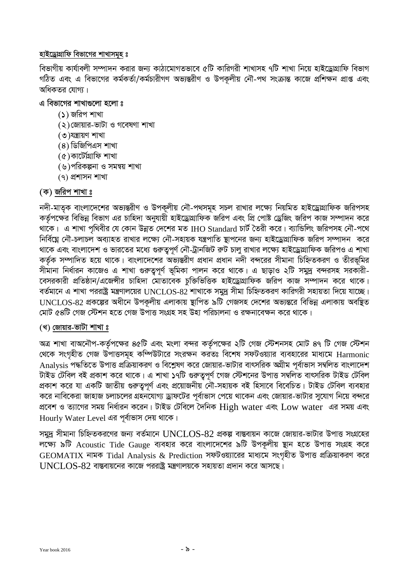### হাইড্রোগ্রাফি বিভাগের শাখাসমহ ঃ

বিভাগীয় কাৰ্যাবলী সম্পাদন করার জন্য কাঠামোগতভাবে ৫টি কারিগরী শাখাসহ ৭টি শাখা নিয়ে হাইড্রোগ্রাফি বিভাগ গঠিত এবং এ বিভাগের কর্মকর্তা/কর্মচারীগণ অভ্যন্তরীণ ও উপকলীয় নৌ-পথ সংক্রান্ত কাজে প্রশিক্ষন প্রাপ্ত এবং অধিকতব যোগ্য ।

# এ বিভাগের শাখাগুলো হলো ঃ

- (১) জরিপ শাখা
- (২) জোয়ার-ভাটা ও গবেষণা শাখা
- (৩)যন্ত্ৰায়ণ শাখা
- $(8)$  ডিজিপিএস শাখা
- $(6)$ কাৰ্টেগ্ৰাফি শাখা
- (৬)পরিকল্পনা ও সমন্বয় শাখা
- $(9)$  প্রশাসন শাখা

# (ক) জরিপ শাখা ঃ

নদী-মাতৃক বাংলাদেশের অভ্যন্তরীণ ও উপকূলীয় নৌ-পথসমূহ সচল রাখার লক্ষ্যে নিয়মিত হাইড্রোগ্রাফিক জরিপসহ কর্তৃপক্ষের বিভিন্ন বিভাগ এর চাহিদা অনুযায়ী হাইড্রোগ্রাফিক জরিপ এবং প্রি পোষ্ট ড্রেজিং জরিপ কাজ সম্পাদন করে থাকে। এ শাখা পৃথিবীর যে কোন উন্নত দেশের মত IHO Standard চার্ট তৈরী করে। ব্যান্ডিলিং জরিপসহ নৌ-পথে নির্বিঘ্নে নৌ-চলাচল অব্যাহত রাখার লক্ষ্যে নৌ-সহায়ক যন্ত্রপাতি স্থাপনের জন্য হাইড্রোগ্রাফিক জরিপ সম্পাদন করে থাকে এবং বাংলাদেশ ও ভারতের মধ্যে গুরুতুপূর্ণ নৌ-ট্রানজিট রুট চালু রাখার লক্ষ্যে হাইড্রোগ্রাফিক জরিপও এ শাখা কর্তৃক সম্পাদিত হয়ে থাকে। বাংলাদেশের অভ্যন্তরীণ প্রধান প্রধান নদী বন্দরের সীমানা চিহ্নিতকরণ ও তীরভূমির সীমানা নির্ধারন কাজেও এ শাখা গুরুত্বপূর্ণ ভূমিকা পালন করে থাকে। এ ছাড়াও ২টি সমুদ্র বন্দরসহ সরকারী-বেসরকারী প্রতিষ্ঠান/এজেন্সীর চাহিদা মোতাবেক চুক্তিভিত্তিক হাইড্রোগ্রাফিক জরিপ কাজ সম্পাদন করে থাকে। বর্তমানে এ শাখা পররাষ্ট্র মন্ত্রণালয়ের UNCLOS-82 শাখাকে সমুদ্র সীমা চিহ্নিতকরণ কারিগরী সহায়তা দিয়ে যাচ্ছে। UNCLOS-82 প্রকল্পের অধীনে উপকূলীয় এলাকায় স্থাপিত ৯টি গেজসহ দেশের অভ্যন্তরে বিভিন্ন এলাকায় অবষ্থিত মোট ৫৪টি গেজ স্টেশন হতে গেজ উপাত্ত সংগ্ৰহ সহ উহা পরিচালনা ও রক্ষনাবেক্ষন করে থাকে।

### (খ) জোয়ার-ভাটা শাখা ঃ

অত্র শাখা বাঅনৌপ-কর্তৃপক্ষের ৪৫টি এবং মংলা বন্দর কর্তৃপক্ষের ২টি গেজ স্টেশনসহ মোট ৪৭ টি গেজ স্টেশন থেকে সংগৃহীত গেজ উপাত্তসমূহ কম্পিউটারে সংরক্ষন করতঃ বিশেষ সফটওয়্যার ব্যবহারের মাধ্যমে Harmonic Analvsis পদ্ধতিতে উপাত্ত প্রক্রিয়াকরণ ও বিশ্লেষণ করে জোয়ার-ভাটার বাৎসরিক অগ্রীম পর্বাভাস সম্বলিত বাংলাদেশ টাইড টেবিল বই প্রকাশ করে থাকে। এ শাখা ১৭টি গুরুতুপূর্ণ গেজ স্টেশনের উপাত্ত সম্বলিত বাৎসরিক টাইড টেবিল প্রকাশ করে যা একটি জাতীয় গুরুতুপূর্ণ এবং প্রয়োজনীয় নৌ-সহায়ক বই হিসাবে বিবেচিত। টাইড টেবিল ব্যবহার করে নাবিকেরা জাহাজ চলাচলের এহনযোগ্য ড্রাফটের পূর্বাভাস পেয়ে থাকেন এবং জোয়ার-ভাটার সুযোগ নিয়ে বন্দরে প্রবেশ ও ত্যাগের সময় নির্ধারন করেন। টাইড টেবিলে দৈনিক  ${\rm High}$  water এবং  ${\rm Low}$  water  $\,$  এর সময় এবং Hourly Water Level এর পূর্বাভাস দেয় থাকে।

সমুদ্র সীমানা চিহ্নিতকরণের জন্য বর্তমানে  $\rm UNCLOS$ -82 প্রকল্প বাস্তবায়ন কাজে জোয়ার-ভাটার উপাত্ত সংগ্রহের লক্ষ্যে ৯টি Acoustic Tide Gauge ব্যবহার করে বাংলাদেশের ৯টি উপকূলীয় ছান হতে উপাত্ত সংগ্রহ করে GEOMATIX নামক Tidal Analysis & Prediction সফটওয়্যারের মাধ্যমে সংগৃহীত উপাত্ত প্রক্রিয়াকরণ করে  $UNCLOS-82$  বাস্তবায়নের কাজে পররাষ্ট্র মন্ত্রণালয়কে সহায়তা প্রদান করে আসছে।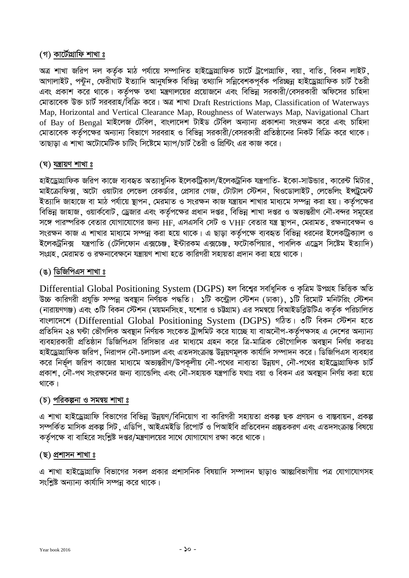# (গ) কার্টোগ্রাফি শাখা ঃ

অত্র শাখা জরিপ দল কর্তৃক মাঠ পর্যায়ে সম্পাদিত হাইড্রোগ্রাফিক চার্টে ট্রপোগ্রাফি, বয়া, বাতি, বিকন লাইট, আগালাইট, পন্টুন, ফেরীঘাট ইত্যাদি আনুষঙ্গিক বিভিন্ন তথ্যাদি সন্নিবেশকপূর্বক পরিচ্ছিন্ন হাইড্রোগ্রাফিক চার্ট তৈরী এবং প্রকাশ করে থাকে। কর্তৃপক্ষ তথা মন্ত্রণালয়ের প্রয়োজনে এবং বিভিন্ন সরকারী/বেসরকারী অফিসের চাহিদা মোতাবেক উক্ত চার্ট সরবরাহ/বিক্রি করে। অত্র শাখা Draft Restrictions Map. Classification of Waterways Map, Horizontal and Vertical Clearance Map, Roughness of Waterways Map, Navigational Chart of Bay of Bengal মাইলেজ টেবিল, বাংলাদেশ টাইড টেবিল অন্যান্য প্ৰকাশনা সংরক্ষন করে এবং চাহিদা মোতাবেক কর্তপক্ষের অন্যান্য বিভাগে সরবরাহ ও বিভিন্ন সরকারী/বেসরকারী প্রতিষ্ঠানের নিকট বিক্রি করে থাকে। তাছাডা এ শাখা অটোমেটিক চাটিং সিষ্টেমে ম্যাপ/চার্ট তৈরী ও প্রিন্টিং এর কাজ করে।

### (ঘ) যন্ত্ৰায়ণ শাখা ঃ

হাইড্রোগ্রাফিক জরিপ কাজে ব্যবহৃত অত্যাধুনিক ইলেকট্রিকাল/ইলেকট্রনিক যন্ত্রপাতি- ইকো-সাউন্ডার, কারেন্ট মিটার, মাইক্রোফিক্স, অটো ওয়াটার লেভেল রেকর্ডার, প্রেসার গেজ, টোটাল স্টেশন, থিওডোলাইট, লেভেলিং ইন্দ্রুমেন্ট ইত্যাদি জাহাজে বা মাঠ পর্যায়ে ষ্টাপন, মেরমাত ও সংরক্ষন কাজ যন্ত্রায়ন শাখার মাধ্যমে সম্পন্ন করা হয়। কর্তপক্ষের বিভিন্ন জাহাজ, ওয়ার্কবোট, ড্রেজার এবং কর্তৃপক্ষের প্রধান দপ্তর, বিভিন্ন শাখা দপ্তর ও অভ্যন্তরীণ নৌ-বন্দর সমূহের সঙ্গে পারম্পরিক বেতার যোগাযোগের জন্য HF. এসএসবি সেট ও VHF বেতার যন্ত্র ছাপন, মেরামত, রক্ষনাবেক্ষন ও সংরক্ষন কাজ এ শাখার মাধ্যমে সম্পন্ন করা হয়ে থাকে। এ ছাড়া কর্তৃপক্ষে ব্যবহৃত বিভিন্ন ধরনের ইলেকট্রিক্যাল ও ইলেকট্রনিক্স যন্ত্রপাতি (টেলিফোন এক্সচেঞ্জ, ইন্টারকম এক্সচেঞ্জ, ফটোকপিয়ার, পাবলিক এড্রেস সিষ্টেম ইত্যাদি) সংগ্রহ, মেরামত ও রক্ষনাবেক্ষনে যন্ত্রায়ণ শাখা হতে কারিগরী সহায়তা প্রদান করা হয়ে থাকে।

### (ঙ) ডিজিপিএস শাখা ঃ

Differential Global Positioning System (DGPS) হল বিশ্বের সর্বাধুনিক ও কত্রিম উপগ্রহ ভিত্তিক অতি উচ্চ কারিগরী প্রযুক্তি সম্পন্ন অবস্থান নির্ণয়ক পদ্ধতি। ১টি কন্ট্রোল স্টেশন (ঢাকা), ১টি রিমোট মনিটরিং স্টেশন (নারায়ণগঞ্জ) এবং ৩টি বিকন স্টেশন (ময়মনসিংহ, যশোর ও চট্টগ্রাম) এর সমন্বয়ে বিআইডব্লিউটিএ কর্তৃক পরিচালিত বাংলাদেশে (Differential Global Positioning System (DGPS) গঠিত। ৩টি বিকন স্টেশন হতে প্রতিদিন ২৪ ঘন্টা ভৌগলিক অবস্থান নির্ণয়ক সংকেত ট্রান্সমিট করে যাচ্ছে যা বাঅনৌপ-কর্তৃপক্ষসহ এ দেশের অন্যান্য ব্যবহারকারী প্রতিষ্ঠান ডিজিপিএস রিসিভার এর মাধ্যমে গ্রহন করে ত্রি-মাত্রিক ভৌগোলিক অবষ্টান নির্ণয় করতঃ হাইড্রোগ্রাফিক জরিপ, নিরাপদ নৌ-চলাচল এবং এতদসংক্রান্ত উন্নয়ণমূলক কার্যাদি সম্পাদন করে। ডিজিপিএস ব্যবহার করে নির্ভূল জরিপ কাজের মাধ্যমে অভ্যন্তরীণ/উপকূলীয় নৌ-পথের নাব্যতা উন্নয়ণ, নৌ-পথের হাইড্রোগ্রাফিক চার্ট প্রকাশ . নৌ-পথ সংরক্ষনের জন্য ব্যান্ডেলিং এবং নৌ-সহায়ক যন্ত্রপাতি যথাঃ বয়া ও বিকন এর অবষ্টান নির্ণয় করা হয়ে থাকে।

### (চ) পরিকল্পনা ও সমন্বয় শাখা ঃ

এ শাখা হাইড্রোগ্রাফি বিভাগের বিভিন্ন উন্নয়ণ/বিনিয়োগ বা কারিগরী সহায়তা প্রকল্প ছক প্রণয়ন ও বাস্তবায়ন, প্রকল্প সম্পৰ্কিত মাসিক প্ৰকল্প সিট , এডিপি , আইএমইডি রিপোৰ্ট ও পিআইবি প্ৰতিবেদন প্ৰষ্তুতকরণ এবং এতদসংক্ৰান্ত বিষয়ে কর্তপক্ষে বা বাহিরে সংশ্লিষ্ট দপ্তর/মন্ত্রণালয়ের সাথে যোগাযোগ রক্ষা করে থাকে।

#### $(5)$  প্রশাসন শাখা ঃ

এ শাখা হাইড্রোগ্রাফি বিভাগের সকল প্রকার প্রশাসনিক বিষয়াদি সম্পাদন ছাড়াও আন্তঃবিভাগীয় পত্র যোগাযোগসহ সংশ্রিষ্ট অন্যান্য কার্যাদি সম্পন্ন করে থাকে।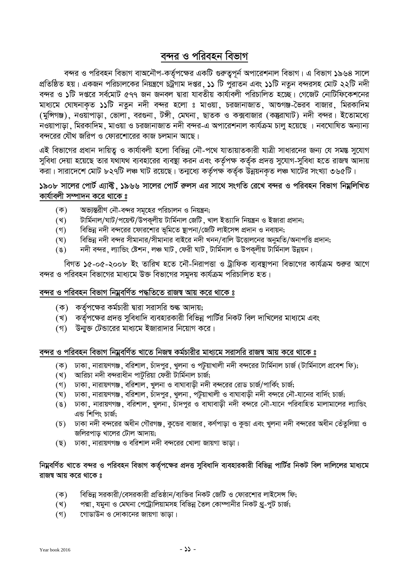# বন্দর ও পরিবহন বিভাগ

বন্দর ও পরিবহন বিভাগ বাঅনৌপ-কর্তৃপক্ষের একটি গুরুত্বপূর্ন অপারেশনাল বিভাগ। এ বিভাগ ১৯৬৪ সালে প্রতিষ্ঠিত হয়। একজন পরিচালকের নিয়ন্ত্রণে চট্রগাম দপ্তর, ১১ টি পুরাতন এবং ১১টি নতুন বন্দরসহ মোট ২২টি নদী বন্দর ও **১**টি দপ্তরে সর্বমোট ৫৭৭ জন জনবল দ্বারা যাবতীয় কার্যাবলী পরিচালিত হচ্ছে। গেজেট নোটিফিকেশনের মাধ্যমে ঘোষনাকৃত ১১টি নতুন নদী বন্দর হলো ঃ মাওয়া, চরজানাজাত, আশুগঞ্জ-ভৈরব বাজার, মিরকাদিম (মুন্সিগঞ্জ), নওয়াপাড়া, ভোলা, বরগুনা, টঙ্গী, মেঘনা, ছাতক ও কক্সবাজার (কন্তুরাঘাট) নদী বন্দর। ইতোমধ্যে নওয়াপাড়া , মিরকাদিম , মাওয়া ও চরজানাজাত নদী বন্দর-এ অপারেশনাল কার্যক্রম চালু হয়েছে । নবঘোষিত অন্যান্য বন্দরের যৌথ জরিপ ও ফোরশোরের কাজ চলমান আছে।

এই বিভাগের প্রধান দায়িত্ব ও কার্যাবলী হলো বিভিন্ন নৌ-পথে যাতায়াতকারী যাত্রী সাধারনের জন্য যে সমস্ত সুযোগ সুবিধা দেয়া হয়েছে তার যথাযথ ব্যবহারের ব্যবস্থা করন এবং কর্তৃপক্ষ কর্তৃক প্রদত্ত সুযোগ-সুবিধা হতে রাজস্ব আদায় করা। সারাদেশে মোট ৮২৭টি লঞ্চ ঘাট রয়েছে। তন্মধ্যে কর্তৃপক্ষ কর্তৃক উন্নয়নকৃত লঞ্চ ঘাটের সংখ্যা ৩৬৫টি।

# **১**৯০৮ সালের পোর্ট এ্যাক্ট, ১৯৬৬ সালের পোর্ট রুলস এর সাথে সংগতি রেখে বন্দর ও পরিবহন বিভাগ নিম্নলিখিত কাৰ্যাবলী সম্পাদন করে থাকে ঃ

- (ক) অভ্যন্তরীণ নৌ-বন্দর সমূহের পরিচালন ও নিয়ন্ত্রন;
- (খ) টাৰ্মিনাল/ঘাট/পয়েন্ট/উপকূলীয় টাৰ্মিনাল জেটি, খাল ইত্যাদি নিয়ন্ত্ৰন ও ইজারা প্ৰদান;
- (গ) বিভিন্ন নদী বন্দরের ফোরশোর ভূমিতে স্থাপনা/জেটি লাইসেন্স প্রদান ও নবায়ন;
- (ঘ) বিভিন্ন নদী বন্দর সীমানার/সীমানার বাইরে নদী খনন/বালি উত্তোলনের অনুমতি/অনাপত্তি প্রদান;
- (ঙ) নদী বন্দর, ল্যান্ডিং ষ্টেশন, লঞ্চ ঘাট, ফেরী ঘাট, টার্মিনাল ও উপকূলীয় টার্মিনাল উন্নয়ন।

বিগত ১৫-০৫-২০০৮ ইং তারিখ হতে নৌ-নিরাপত্তা ও ট্রাফিক ব্যবস্থাপনা বিভাগের কার্যক্রম শুরুর আগে বন্দর ও পরিবহন বিভাগের মাধ্যমে উক্ত বিভাগের সমুদয় কার্যক্রম পরিচালিত হত।

#### ৰন্দর ও পরিবহন বিভাগ নিম্নবর্ণিত পদ্ধতিতে রাজ**ম্ব আয় করে থাকে** ঃ

- (ক) কর্তৃপক্ষের কর্মচারী দ্বারা সরাসরি শুল্ক আদায়;
- (খ) কর্তৃপক্ষের প্রদত্ত সুবিধাদি ব্যবহারকারী বিভিন্ন পার্টির নিকট বিল দাখিলের মাধ্যমে এবং
- (গ) উন্মুক্ত টেন্ডারের মাধ্যমে ইজারাদার নিয়োগ করে।

### বন্দর ও পরিবহন বিভাগ নিম্নবর্ণিত খাতে নিজম্ব কর্মচারীর মাধ্যমে সরাসরি রাজম্ব আয় করে থাকে ঃ

- (ক) ঢাকা, নারায়ণগঞ্জ, বরিশাল, চাঁদপুর, খুলনা ও পটুয়াখালী নদী বন্দরের টার্মিনাল চার্জ (টার্মিনালে প্রবেশ ফি);
- $(3)$  আরিচা নদী বন্দরাধীন পাটুরিয়া ফেরী টার্মিনাল চার্জ;
- (গ) ঢাকা, নারায়ণগঞ্জ, বরিশাল, খুলনা ও বাঘাবাড়ী নদী বন্দরের রোড চার্জ/পার্কিং চার্জ;
- (ঘ) ঢাকা, নারায়ণগঞ্জ, বরিশাল, চাঁদপুর, খুলনা, পটয়াখালী ও বাঘাবাডী নদী বন্দরে নৌ-যানের বার্দিং চার্জ;
- $\tilde{p}$ ে) টোকা, নারায়ণগঞ্জ, বরিশাল, খুলনা, চাঁদপুর ও বাঘাবাড়ী নদী বন্দরে নৌ-যানে পরিবাহিত মালামালের ল্যান্ডিং এন্ড শিপিং চাৰ্জ;
- (চ) ঢাকা নদী বন্দরের অধীন গৌরগঞ্জ, কুন্ডের বাজার, কর্ণপাড়া ও কুন্ডা এবং খুলনা নদী বন্দরের অধীন তেঁতুলিয়া ও জলিরপাড় খালের টোল আদায়;
- (ছ) ঢাকা, নারায়ণগঞ্জ ও বরিশাল নদী বন্দরের খোলা জায়গা ভাড়া।

### দি**ম**বর্ণিত খাতে বন্দর ও পরিবহন বিভাগ কর্তৃপক্ষের প্রদত্ত সুবিধাদি ব্যবহারকারী বিভিন্ন পার্টির নিকট বিল দালিলের মাধ্যমে <u>রাজ</u>ম্ব আয় করে থাকে ঃ

- (ক) বিভিন্ন সরকারী/বেসরকারী প্রতিষ্ঠান/ব্যক্তির নিকট জেটি ও ফোরশোর লাইসেন্স ফি;
- (খ) পদ্মা, যমুনা ও মেঘনা পেট্রোলিয়ামসহ বিভিন্ন তৈল কোম্পানীর নিকট থ্র-পুট চার্জ;
- (গ) দোডাউন ও দোকানের জায়গা ভাড়া।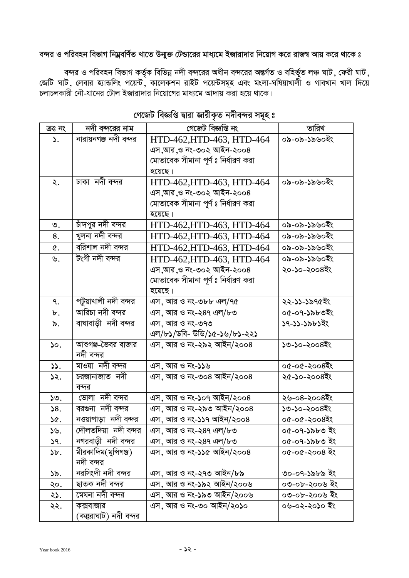# কন্দর ও পরিবহন বিভাগ নিম্নবর্ণিত খাতে উন্মুক্ত টেন্ডারের মাধ্যমে ইজারাদার নিয়োগ করে রাজ<mark>স্ব আয় করে থাকে ঃ</mark>

বন্দর ও পরিবহন বিভাগ কর্তৃক বিভিন্ন নদী বন্দরের অধীন বন্দরের অন্তর্গত ও বহির্ভূত লঞ্চ ঘাট , ফেরী ঘাট , জেটি ঘাট, লেবার হ্যান্ডলিং পয়েন্ট, কালেকশন রাইট পয়েন্টসমূহ এবং মংলা-ঘষিয়াখালী ও গাবখান খাল দিয়ে চলাচলকারী নৌ-যানের টোল ইজারাদার নিয়োগের মাধ্যমে আদায় করা হয়ে থাকে।

| ক্ৰঃ নং         | নদী বন্দরের নাম        | গেজেট বিজ্ঞপ্তি নং                  | তারিখ         |
|-----------------|------------------------|-------------------------------------|---------------|
| $\mathcal{L}$ . | নারায়নগঞ্জ নদী বন্দর  | HTD-462, HTD-463, HTD-464           | ০৯-০৯-১৯৬০ইং  |
|                 |                        | এস,আর,ও নং-৩০২ আইন-২০০৪             |               |
|                 |                        | মোতাবেক সীমানা পূর্ণ ঃ নির্ধারণ করা |               |
|                 |                        | হয়েছে।                             |               |
| ২.              | ঢাকা নদী বন্দর         | HTD-462, HTD-463, HTD-464           | ০৯-০৯-১৯৬০ইং  |
|                 |                        | এস,আর,ও নং-৩০২ আইন-২০০৪             |               |
|                 |                        | মোতাবেক সীমানা পূর্ণ ঃ নির্ধারণ করা |               |
|                 |                        | হয়েছে।                             |               |
| ৩.              | চাঁদপুর নদী বন্দর      | HTD-462, HTD-463, HTD-464           | ০৯-০৯-১৯৬০ইং  |
| 8.              | খুলনা নদী বন্দর        | HTD-462, HTD-463, HTD-464           | ০৯-০৯-১৯৬০ইং  |
| ৫.              | বরিশাল নদী বন্দর       | HTD-462, HTD-463, HTD-464           | ০৯-০৯-১৯৬০ইং  |
| ৬.              | টংগী নদী বন্দর         | HTD-462, HTD-463, HTD-464           | ০৯-০৯-১৯৬০ইং  |
|                 |                        | এস,আর,ও নং-৩০২ আইন-২০০৪             | ২০-১০-২০০৪ইং  |
|                 |                        | মোতাবেক সীমানা পূর্ণ ঃ নির্ধারণ করা |               |
|                 |                        | হয়েছে।                             |               |
| ٩.              | পটুয়াখালী নদী বন্দর   | এস, আর ও নং-৩৮৮ এল/৭৫               | ২২-১১-১৯৭৫ইং  |
| ৮.              | আরিচা নদী বন্দর        | এস, আর ও নং-২৪৭ এল/৮৩               | ০৫-০৭-১৯৮৩ইং  |
| ৯.              | বাঘাবাড়ী নদী বন্দর    | এস, আর ও নং-৩৭৩                     | ১৭-১১-১৯৮১ইং  |
|                 |                        | এল/৮১/ডবি- উডি/১৫-১৬/৮১-২২১         |               |
| $\mathcal{L}$ . | আশুগঞ্জ-ভৈবর বাজার     | এস, আর ও নং-২৯২ আইন/২০০৪            | ১৩-১০-২০০৪ইং  |
|                 | নদী বন্দর              |                                     |               |
| 33.             | মাওয়া নদী বন্দর       | এস, আর ও নং-১১৬                     | ০৫-০৫-২০০৪ইং  |
| ১২.             | চরজানাজাত নদী          | এস, আর ও নং-৩০৪ আইন/২০০৪            | ২৫-১০-২০০৪ইং  |
|                 | বন্দর                  |                                     |               |
| ১৩.             | ভোলা নদী বন্দর         | এস, আর ও নং-১০৭ আইন/২০০৪            | ২৬-০৪-২০০৪ইং  |
| 58.             | বরগুনা নদী বন্দর       | এস, আর ও নং-২৯৩ আইন/২০০৪            | ১৩-১০-২০০৪ইং  |
| ১৫.             | নওয়াপাড়া নদী বন্দর   | এস, আর ও নং-১১৭ আইন/২০০৪            | ০৫-০৫-২০০৪ইং  |
| ১৬.             | দৌলতদিয়া নদী বন্দর    | এস, আর ও নং-২৪৭ এল/৮৩               | ০৫-০৭-১৯৮৩ ইং |
| 9.5             | নগরবাড়ী নদী বন্দর     | এস, আর ও নং-২৪৭ এল/৮৩               | ০৫-০৭-১৯৮৩ ইং |
| ১৮.             | মীরকাদিম(মুন্সিগঞ্জ)   | এস, আর ও নং-১১৫ আইন/২০০৪            | ০৫-০৫-২০০৪ ইং |
|                 | নদী বন্দর              |                                     |               |
| ১৯.             | নরসিংদী নদী বন্দর      | এস, আর ও নং-২৭৩ আইন/৮৯              | ৩০-০৭-১৯৮৯ ইং |
| ২০.             | ছাতক নদী বন্দর         | এস, আর ও নং-১৯২ আইন/২০০৬            | ০৩-০৮-২০০৬ ইং |
| ২১.             | মেঘনা নদী বন্দর        | এস, আর ও নং-১৯৩ আইন/২০০৬            | ০৩-০৮-২০০৬ ইং |
| ২২.             | কক্সবাজার              | এস. আর ও নং-৩০ আইন/২০১০             | ০৬-০২-২০১০ ইং |
|                 | (কন্তুরাঘাট) নদী বন্দর |                                     |               |

# পেজেট বিজ্ঞপ্তি দ্বারা জারীকৃত নদীবন্দর সমূহ ঃ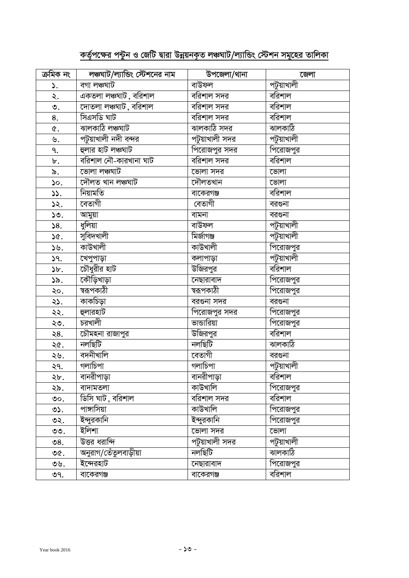# <u>কর্তৃপক্ষের পন্টুন ও জেটি দ্বারা উন্নয়নকৃত লঞ্চঘাট/ল্যান্ডিং স্টেশন সমূহের তালিকা</u>

| ক্ৰমিক নং       | লঞ্চঘাট/ল্যান্ডিং স্টেশনের নাম      | উপজেলা/থানা    | জেলা                 |
|-----------------|-------------------------------------|----------------|----------------------|
| ۵.              | বগা লঞ্চঘাট                         | বাউফল          | পটুয়াখালী           |
| ২.              | $\overline{a}$ কতলা লঞ্চঘাট, বরিশাল | বরিশাল সদর     | বরিশাল               |
| ৩.              | দোতলা লঞ্চঘাট , বরিশাল              | বরিশাল সদর     | বরিশাল               |
| 8.              | সিএসডি ঘাট                          | বরিশাল সদর     | বরিশাল               |
| ৫.              | ঝালকাঠি লঞ্চঘাট                     | ঝালকাঠি সদর    | ঝালকাঠি              |
| ৬.              | পটুয়াখালী নদী বন্দর                | পটুয়াখালী সদর | পটুয়াখালী           |
| ٩.              | হুলার হাট লঞ্চঘাট                   | পিরোজপুর সদর   | পিরোজপুর             |
| $\mathfrak b$ . | বরিশাল নৌ-কারখানা ঘাট               | বরিশাল সদর     | বরিশাল               |
| ৯.              | ভোলা লঞ্চঘাট                        | ভোলা সদর       | ভোলা                 |
| ১০.             | দৌলত খান লঞ্চঘাট                    | দৌলতখান        | ভোলা                 |
| 33.             | নিয়ামতি                            | বাকেরগঞ্জ      | $\overline{d}$ রিশাল |
| ১২.             | বেতাগী                              | বেতাগী         | বরগুনা               |
| ১৩.             | আমুয়া                              | বামনা          | বরগুনা               |
| 58.             | ধুলিয়া                             | বাউফল          | পটুয়াখালী           |
| ১৫.             | <u>সুবিদখালী</u>                    | মিৰ্জাগঞ্জ     | পটুয়াখালী           |
| ১৬.             | কাউখালী                             | কাউখালী        | পিরোজপুর             |
| 9.5             | খেপুপাড়া                           | কলাপাড়া       | পটুয়াখালী           |
| $\delta b$ .    | চৌধুরীর হাট                         | উজিরপুর        | বরিশাল               |
| ১৯.             | কৌড়িখাড়া                          | নেছারাবাদ      | পিরোজপুর             |
| ২০.             | ন্বরূপকাঠী                          | ন্বরূপকাঠী     | পিরোজপুর             |
| ২১.             | কাকচিড়া                            | বরগুনা সদর     | বরগুনা               |
| ২২.             | হ্লারহাট                            | পিরোজপুর সদর   | পিরোজপুর             |
| ২৩.             | চরখালী                              | ভান্ডারিয়া    | পিরোজপুর             |
| ২৪.             | চৌমহনা রাজাপুর                      | উজিরপুর        | বরিশাল               |
| ২৫.             | নলছিটি                              | নলছিটি         | ঝালকাঠি              |
| ২৬.             | বদনীখালি                            | বেতাগী         | বরগুনা               |
| ২৭.             | গলাচিপা                             | গলাচিপা        | পটুয়াখালী           |
| ২৮.             | বানরীপাড়া                          | বানরীপাড়া     | বরিশাল               |
| ২৯.             | বাদামতলা                            | কাউখালি        | পিরোজপুর             |
| ৩০.             | ডিসি ঘাট, বরিশাল                    | বরিশাল সদর     | বরিশাল               |
| ৩১.             | পাঙ্গাসিয়া                         | কাউখালি        | পিরোজপুর             |
| ৩২.             | ইন্দুরকানি                          | ইন্দুরকানি     | পিরোজপুর             |
| ৩৩.             | ইলিশা                               | ভোলা সদর       | ভোলা                 |
| ৩৪.             | উত্তর ধরান্দি                       | পটুয়াখালী সদর | পটুয়াখালী           |
| ৩৫.             | অনুরাগ/তেঁতুলবাড়ীয়া               | নলছিটি         | ঝালকাঠি              |
| ৩৬.             | ইন্দেরহাট                           | নেছারাবাদ      | পিরোজপুর             |
| ৩৭.             | বাকেরগঞ্জ                           | বাকেরগঞ্জ      | বরিশাল               |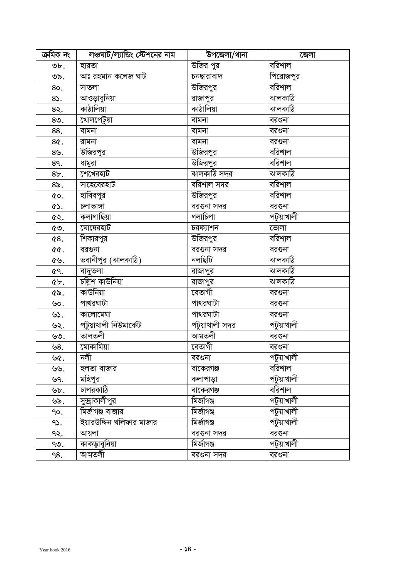| ক্ৰমিক নং       | লঞ্চঘাট/ল্যান্ডিং স্টেশনের নাম | উপজেলা/থানা     | জেলা       |
|-----------------|--------------------------------|-----------------|------------|
| $\mathfrak{v}.$ | হারতা                          | উজির পুর        | বরিশাল     |
| ৩৯.             | আঃ রহমান কলেজ ঘাট              | চনছারাবাদ       | পিরোজপুর   |
| 80.             | সাতলা                          | উজিরপুর         | বরিশাল     |
| $8$ .           | আওড়াবুনিয়া                   | রাজাপুর         | ঝালকাঠি    |
| 8२.             | কাঠালিয়া                      | কাঠালিয়া       | ঝালকাঠি    |
| $8o$ .          | খোলপেটুয়া                     | বামনা           | বরগুনা     |
| 88.             | বামনা                          | বামনা           | বরগুনা     |
| 8¢.             | রামনা                          | বামনা           | বরগুনা     |
| $8\mathcal{Y}.$ | উজিরপুর                        | <u>উজিরপুর</u>  | বরিশাল     |
| 89.             | ধামুরা                         | উজিরপু <u>র</u> | বরিশাল     |
| 8b.             | শেখেরহাট                       | ঝালকাঠি সদর     | ঝালকাঠি    |
| $8\delta$ .     | সাহেবেরহাট                     | বরিশাল সদর      | বরিশাল     |
| ¢о.             | হাবিবপুর                       | <u>উজিরপুর</u>  | বরিশাল     |
| ৫১.             | চলাভাঙ্গা                      | বরগুনা সদর      | বরগুনা     |
| ৫২.             | কলাগাছিয়া                     | গলাচিপা         | পটুয়াখালী |
| ৫৩.             | ঘোষেরহাট                       | চরফ্যাশন        | ভোলা       |
| ৫8.             | শিকারপুর                       | উজিরপুর         | বরিশাল     |
| <b>৫৫.</b>      | বরগুনা                         | বরগুনা সদর      | বরগুনা     |
| ৫৬.             | ভবানীপুর (ঝালকাঠি)             | নলছিটি          | ঝালকাঠি    |
| ৫৭.             | বাদুতলা                        | রাজাপুর         | ঝালকাঠি    |
| ¢b.             | চল্লিশ কাউনিয়া                | রাজাপুর         | ঝালকাঠি    |
| ৫৯.             | কাউনিয়া                       | বেতাগী          | বরগুনা     |
| ৬০.             | পাথরঘাটা                       | পাথরঘাটা        | বরগুনা     |
| ৬১.             | কালোমেঘা                       | পাথরঘাটা        | বরগুনা     |
| ৬২.             | পটুয়াখালী নিউমাৰ্কেট          | পটুয়াখালী সদর  | পটুয়াখালী |
| ৬৩.             | তালতলী                         | আমতলী           | বরগুনা     |
| ৬৪.             | মোকামিয়া                      | বেতাগী          | বরগুনা     |
| ৬৫.             | নলী                            | বরগুনা          | পটুয়াখালী |
| ৬৬.             | হলতা বাজার                     | বাকেরগঞ্জ       | বরিশাল     |
| ৬৭.             | মহিপুর                         | কলাপাড়া        | পটুয়াখালী |
| ৬৮.             | ঢাপরকাঠি                       | বাকেরগঞ্জ       | বরিশাল     |
| ৬৯.             | সুন্দ্রাকালীপুর                | মিজগিঞ্জ        | পটুয়াখালী |
| ٩o.             | মির্জাগঞ্জ বাজার               | মিৰ্জাগঞ্জ      | পটুয়াখালী |
| 95.             | ইয়ারউদ্দিন খলিফার মাজার       | মিৰ্জাগঞ্জ      | পটুয়াখালী |
| ৭২.             | আয়লা                          | বরগুনা সদর      | বরগুনা     |
| ৭৩.             | কাকড়াবুনিয়া                  | মিৰ্জাগঞ্জ      | পটুয়াখালী |
| ٩8.             | আমতলী                          | বরগুনা সদর      | বরগুনা     |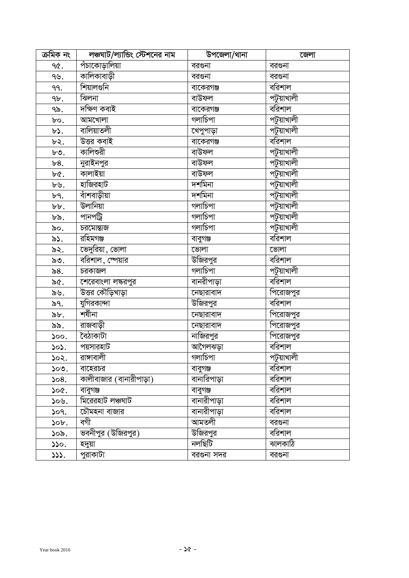| ক্ৰমিক নং    | লঞ্চঘাট/ল্যান্ডিং স্টেশনের নাম | উপজেলা/থানা        | জেলা       |
|--------------|--------------------------------|--------------------|------------|
| ዓ৫.          | পঁচাকোড়ালিয়া                 | বরগুনা             | বরগুনা     |
| ৭৬.          | কালিকাবাড়ী                    | বরগুনা             | বরগুনা     |
| ٩٩.          | শিয়ালগুনি                     | বাকেরগঞ্জ          | বরিশাল     |
| 9৮.          | ঝিলনা                          | বাউফল              | পটুয়াখালী |
| ৭৯.          | দক্ষিণ কবাই                    | বাকেরগঞ্জ          | বরিশাল     |
| bo.          | আমখোলা                         | গলাচিপা            | পটুয়াখালী |
| $b$ .        | বালিয়াতলী                     | খেপুপাড়া          | পটুয়াখালী |
| ৮২.          | উত্তর কবাই                     | বাকেরগঞ্জ          | বরিশাল     |
| ৮৩.          | কালিশুরী                       | বাউফল              | পটুয়াখালী |
| b8.          | নুরাইনপুর                      | বাউফল              | পটুয়াখালী |
| ৮৫.          | কালাইয়া                       | বাউফল              | পটুয়াখালী |
| ৮৬.          | হাজিরহাট                       | দশমিনা             | পটুয়াখালী |
| ৮৭.          | বাঁশবাড়ীয়া                   | দশমিনা             | পটুয়াখালী |
| $b b$ .      | উলানিয়া                       | গলাচিপা            | পটুয়াখালী |
| ৮৯.          | পানপট্ৰি                       | গলাচিপা            | পটুয়াখালী |
| ৯০.          | চরমোন্তাজ                      | গলাচিপা            | পটুয়াখালী |
| ৯১.          | রহিমগঞ্জ                       | বাবুগঞ্জ           | বরিশাল     |
| ৯২.          | ন্ডিদুরিয়া, ভো <u>লা</u>      | ভোলা               | ভোলা       |
| ৯৩.          | বরিশাল, স্পেয়ার               | উজিরপুর            | বরিশাল     |
| ৯ $8.$       | চরকাজল                         | গলাচিপা            | পটুয়াখালী |
| ৯৫.          | শেরেবাংলা লঙ্করপুর             | বানরীপা <u>ড়া</u> | বরিশাল     |
| ৯৬.          | উত্তর কৌড়িখাড়া               | নেছারাবাদ          | পিরোজপুর   |
| ৯৭.          | যুগিরকান্দা                    | উজিরপুর            | বরিশাল     |
| $\delta b$ . | শৰীনা                          | নেছারাবাদ          | পিরোজপুর   |
| ৯৯.          | রাজবাড়ী                       | নেছারাবাদ          | পিরোজপুর   |
| 500.         | বৈঠাকাটা                       | নাজিরপু <u>র</u>   | পিরোজপুর   |
| 505.         | পয়সারহাট                      | আগৈলঝড়া           | বরিশাল     |
| ১০২.         | রাঙ্গাবালী                     | গলাচিপা            | পটুয়াখালী |
| ১০৩.         | বাহেরচর                        | বাবুগঞ্জ           | বরিশাল     |
| 508.         | কালীবাজার (বানারীপাড়া)        | বানারিপাড়া        | বরিশাল     |
| ১০৫.         | বাবুগঞ্জ                       | বাবুগঞ্জ           | বরিশাল     |
| ১০৬.         | মিরেরহাট লঞ্চঘাট               | বানারীপাড়া        | বরিশাল     |
| 509.         | চৌমহনা বাজার                   | বানারীপাড়া        | বরিশাল     |
| ১০৮.         | বগী                            | আমতলী              | বরগুনা     |
| ১০৯.         | ভবনীপুর (উজিরপুর)              | উজিরপুর            | বরিশাল     |
| 550.         | হদুয়া                         | নলছিটি             | ঝালকাঠি    |
| 333.         | পুরাকাটা                       | বরগুনা সদর         | বরগুনা     |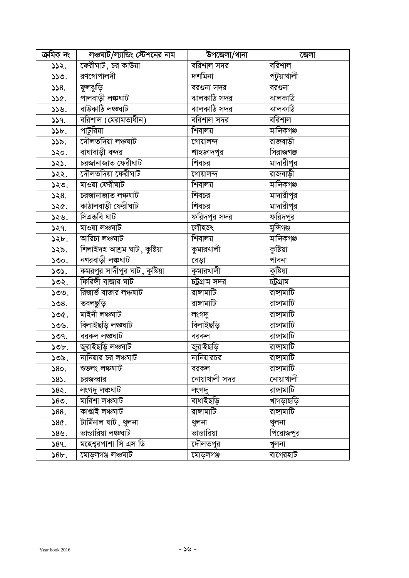| ক্ৰমিক নং   | লঞ্চঘাট/ল্যান্ডিং স্টেশনের নাম              | উপজেলা/থানা          | জেলা               |
|-------------|---------------------------------------------|----------------------|--------------------|
| 332.        | ফেরীঘাট , চর কাউয়া                         | বরিশাল সদর           | বরিশাল             |
| ১১৩.        | রণগোপালদী                                   | দশমিনা               | পটুয়াখালী         |
| 558.        | ফুলঝুড়ি                                    | বরগুনা সদর           | বরগুনা             |
| ১১৫.        | পালবাড়ী লঞ্চঘাট                            | <u>ন্মালকাঠি সদর</u> | ঝালকাঠি            |
| ১১৬.        | বাউকাঠি লঞ্চঘাট                             | ঝালকাঠি সদর          | ঝালকাঠি            |
| 339.        | বরিশাল (মেরামতাধীন)                         | বরিশাল সদর           | বরিশাল             |
| 35b.        | পাটুরিয়া                                   | শিবালয়              | মানিকগঞ্জ          |
| ১১৯.        | দৌলতদিয়া লঞ্চঘাট                           | গোয়ালন্দ            | রাজবাড়ী           |
| ১২০.        | বাঘাবাড়ী বন্দর                             | শাহজাদপুর            | সিরাজগঞ্জ          |
| ১২১.        | চরজানাজাত ফেরীঘাট                           | শিবচর                | মাদারীপুর          |
| ১২২.        | দৌলতদিয়া ফেরীঘাট                           | গোয়ালন্দ            | রাজবাড়ী           |
| ১২৩.        | মাওয়া ফেরীঘাট                              | শিবালয়              | মানিকগঞ্জ          |
| 528.        | চরজানাজাত লঞ্চঘাট                           | শিবচর                | মাদারীপুর          |
| ১২৫.        | কাঠালবাড়ী ফেরীঘাট                          | শিবচর                | মাদারীপুর          |
| ১২৬.        | সিএন্ডবি ঘাট                                | ফরিদপুর সদর          | ফরিদপুর            |
| 529.        | মাওয়া লঞ্চঘাট                              | লৌহজং                | মুন্সিগঞ্জ         |
| ১২৮.        | আরিচা লঞ্চঘাট                               | শিবালয়              | মানিকগঞ্জ          |
| ১২৯.        | শিলাইদহ আশ্ৰম ঘাট, কুষ্টিয়া                | কুমারখালী            | কুষ্টিয়া          |
| ১৩০.        | নগরবাড়ী লঞ্চঘাট                            | বেড়া                | পাবনা              |
| ১৩১.        | <mark>কমরপুর সাদীপুর ঘাট , কুষ্টিয়া</mark> | কুমারখালী            | কুষ্টিয়া          |
| ১৩২.        | ফিরিঙ্গী বাজার ঘাট                          | চট্ৰগ্ৰাম সদর        | চট্ৰগ্ৰাম          |
| ১৩৩.        | রিজার্ভ বাজার লঞ্চঘাট                       | রাঙ্গামাটি           | রাঙ্গামাটি         |
| 508.        | তবলছুড়ি                                    | রাঙ্গামাটি           | রাঙ্গামাটি         |
| ১৩৫.        | মাইনী লঞ্চঘাট                               | লংগদু                | রাঙ্গামাটি         |
| ১৩৬.        | বিলাইছড়ি লঞ্চঘাট                           | বিলাইছড়ি            | রাঙ্গামাটি         |
| ১৩৭.        | বরকল লঞ্চঘাট                                | বরকল                 | রাঙ্গামাটি         |
| ১৩৮.        | জুরাইছড়ি লঞ্চঘাট                           | জুরাইছড়ি            | রাঙ্গামাটি         |
| ১৩৯.        | নানিয়ার চর লঞ্চঘাট                         | নানিয়ারচর           | রাঙ্গামাটি         |
| 580.        | শুভলং লঞ্চঘাট                               | বরকল                 | <u>বা</u> ঙ্গামাটি |
| 585.        | চরজব্বার                                    | নোয়াখালী সদর        | নোয়াখালী          |
| ১৪২.        | লংগদু লঞ্চঘাট                               | লংগদু                | রাঙ্গামাটি         |
| ১৪৩.        | মারিশা লঞ্চঘাট                              | বাধাইছড়ি            | খাগড়াছড়ি         |
| 588.        | কাপ্তাই লঞ্চঘাট                             | রাঙ্গামাটি           | রাঙ্গামাটি         |
| <b>S86.</b> | টাৰ্মিনাল ঘাট , খুলনা                       | খুলনা                | খুলনা              |
| ১৪৬.        | ভান্ডারিয়া লঞ্চঘাট                         | ভান্ডারিয়া          | পিরোজপুর           |
| 589.        | মহেশ্বরপাশা সি এস ডি                        | দৌলতপুর              | খুলনা              |
| 8b.         | মোড়লগঞ্জ লঞ্চঘাট                           | মোড়লগঞ্জ            | বাগেরহাট           |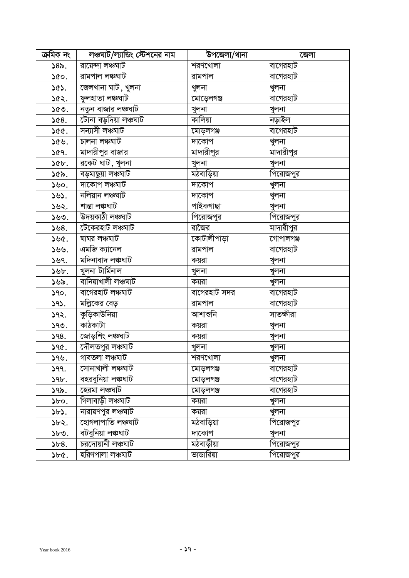| ক্ৰমিক নং    | লঞ্চঘাট/ল্যান্ডিং স্টেশনের নাম | উপজেলা/থানা  | জেলা             |
|--------------|--------------------------------|--------------|------------------|
| 585.         | রায়েন্দা লঞ্চঘাট              | শরণখোলা      | বাগেরহাট         |
| ১৫০.         | রামপাল লঞ্চঘাট                 | রামপাল       | বাগেরহাট         |
| ১৫১.         | জেলখানা ঘাট, <u>খুল</u> না     | খুলনা        | খুলনা            |
| ১৫২.         | ফুলহাতা লঞ্চঘাট                | মোড়েলগঞ্জ   | বাগেরহাট         |
| ১৫৩.         | নতুন বাজার লঞ্চঘাট             | খুলনা        | খুলনা            |
| ১৫৪.         | টোনা বড়দিয়া লঞ্চঘাট          | কালিয়া      | নড়াইল           |
| ১৫৫.         | সন্যাসী লঞ্চঘাট                | মোড়লগঞ্জ    | বাগেরহাট         |
| ১৫৬.         | চালনা লঞ্চঘাট                  | দাকোপ        | খুলনা            |
| ১৫৭.         | মাদারীপুর বাজার                | মাদারীপুর    | মাদারীপুর        |
| ১৫৮.         | রকেট ঘাট , খুলনা               | খুলনা        | খুলনা            |
| ১৫৯.         | বড়মাছুয়া লঞ্চঘাট             | মঠবাড়িয়া   | পিরোজপুর         |
| ১৬০.         | দাকোপ লঞ্চঘাট                  | দাকোপ        | খুলনা            |
| ১৬১.         | নলিয়ান লঞ্চঘাট                | দাকোপ        | খুলনা            |
| ১৬২.         | শান্তা লঞ্চঘাট                 | পাইকগাছা     | খুলনা            |
| ১৬৩.         | উদয়কাঠী লঞ্চঘাট               | পিরোজপুর     | পিরোজপু <u>র</u> |
| 558.         | টেকেরহাট লঞ্চঘাট               | রাজৈর        | মাদারীপুর        |
| ১৬৫.         | ঘাঘর লঞ্চঘাট                   | কোটালীপাড়া  | গোপালগঞ্জ        |
| ১৬৬.         | এমজি ক্যানেল                   | রামপাল       | বাগেরহাট         |
| ১৬৭.         | মদিনাবাদ লঞ্চঘাট               | কয়রা        | খুলনা            |
| ১৬৮.         | খুলনা টাৰ্মিনাল                | খুলনা        | খুলনা            |
| ১৬৯.         | বানিয়াখালী লঞ্চঘাট            | কয়রা        | খুলনা            |
| 590.         | বাগেরহাট লঞ্চঘাট               | বাগেরহাট সদর | বাগেরহাট         |
| ১৭১.         | মল্লিকের বেড়                  | রামপাল       | বাগেরহাট         |
| ১৭২.         | কুড়িকাউনিয়া                  | আশাশুনি      | সাতক্ষীরা        |
| ১৭৩.         | কাঠকাটা                        | কয়রা        | খুলনা            |
| 98.          | জোড়শিং লঞ্চঘাট                | কয়রা        | খুলনা            |
| $90$ .       | দৌলতপুর লঞ্চঘাট                | খুলনা        | খুলনা            |
| ১৭৬.         | গাবতলা লঞ্চঘাট                 | শরণখোলা      | খুলনা            |
| 99.          | সোনাখালী লঞ্চঘাট               | মোড়লগঞ্জ    | বাগেরহাট         |
| 9b.          | বহরবুনিয়া লঞ্চঘাট             | মোড়লগঞ্জ    | বাগেরহাট         |
| ১৭৯.         | হেরমা লঞ্চঘাট                  | মোড়লগঞ্জ    | বাগেরহাট         |
| $\delta$ bo. | গিলাবাড়ী লঞ্চঘাট              | কয়রা        | খুলনা            |
| ১৮১.         | নারায়ণপুর লঞ্চঘাট             | কয়রা        | খুলনা            |
| ১৮২.         | হোগলাপাতি লঞ্চঘাট              | মঠবাড়িয়া   | পিরোজপুর         |
| ১৮৩.         | বটবুনিয়া লঞ্চঘাট              | দাকোপ        | খুলনা            |
| $\delta 8.$  | চরদোয়ানী লঞ্চঘাট              | মঠবাড়ীয়া   | পিরোজপুর         |
| ১৮৫.         | হরিণপালা লঞ্চঘাট               | ভান্ডারিয়া  | পিরোজপুর         |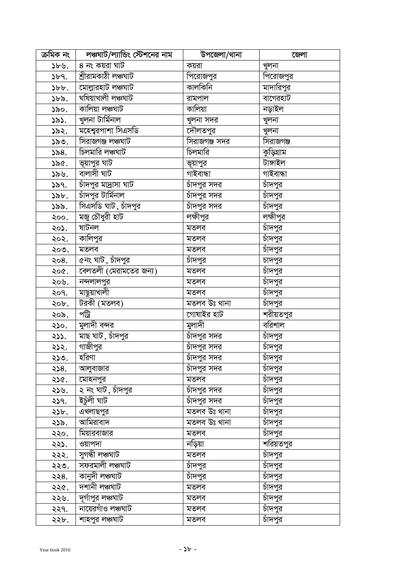| ক্ৰমিক নং    | লঞ্চঘাট/ল্যান্ডিং স্টেশনের নাম                | উপজেলা/থানা         | জেলা              |
|--------------|-----------------------------------------------|---------------------|-------------------|
| ১৮৬.         | 8 নং কয়রা ঘাট                                | কয়রা               | খুলনা             |
| $\delta$ bq. | শ্ৰীরামকাঠী লঞ্চঘাট                           | পিরোজপুর            | পিরোজপুর          |
| $\delta b$ . | মোল্লারহাট লঞ্চঘাট                            | কালকিনি             | মাদারিপুর         |
| ১৮৯.         | ঘষিয়াখালী লঞ্চঘাট                            | রামপাল              | বাগেরহাট          |
| ১৯০.         | কালিয়া লঞ্চঘাট                               | কালিয়া             | নড়াইল            |
| ১৯১.         | খুলনা টাৰ্মিনাল                               | খুলনা সদর           | খুলনা             |
| ১৯২.         | মহেশ্বরপাশা সিএসডি                            | দৌলতপুর             | খুলনা             |
| ১৯৩.         | সিরাজগঞ্জ লঞ্চঘাট                             | সিরাজগঞ্জ সদর       | সিরাজগঞ্জ         |
| ১৯ $8.$      | চিলমারি লঞ্চঘাট                               | চিলমারি             | কুড়িগ্রাম        |
| ১৯৫.         | ভূয়াপুর ঘাট                                  | ভূয়াপুর            | টাঙ্গাইল          |
| ১৯৬.         | বালাসী ঘাট                                    | গাইবান্ধা           | গাইবান্ধা         |
| ১৯৭.         | চাঁদপুর মাদ্রাসা ঘাট                          | চাঁদপুর সদর         | চাঁদপু <u>র</u>   |
| ১৯৮.         | চাঁদপুর টার্মিনাল                             | চাঁদপুর সদ <u>র</u> | চাঁদপু <u>র</u>   |
| ১৯৯.         | সিএসডি ঘাট , চাঁদপুর                          | চাঁদপুর সদর         | <u>চাঁদপুর</u>    |
| ২০০.         | মজু চৌধুরী হাট                                | লক্ষীপুর            | লক্ষীপুর          |
| ২০১.         | ষাটনল                                         | মতলব                | চাঁদপুর           |
| ২০২.         | কালিপুর                                       | মতলব                | চাঁদপু <u>র</u>   |
| ২০৩.         | মতলব                                          | মতলব                | চাঁদপুর           |
| २०8.         | ৫নং ঘাট , চাঁদপুর                             | চাঁদপু <u>র</u>     | চাদপুর            |
| ২০৫.         | $\overline{\mathsf{c}}$ ৰলতলী (মেরামতের জন্য) | মতলব                | চাঁদপু <u>র</u>   |
| ২০৬.         | নন্দলালপুর                                    | মতলব                | চাঁদপু <u>র</u>   |
| ২০৭.         | মাছুয়াখালী                                   | মতলব                | চাঁদপুর           |
| ২০৮.         | টরকী (মতলব)                                   | মতলব উঃ থানা        | চাঁদপুর           |
| ২০৯.         | পট্রি                                         | গোষাইর হাট          | শরীয়তপু <u>র</u> |
| ২১০.         | মুলাদী বন্দর                                  | মুলাদী              | বরিশাল            |
| ২১১.         | মাছ ঘাট, চাঁদপুর                              | চাঁদপুর সদর         | চাঁদপুর           |
| ২১২.         | গাজীপুর                                       | চাঁদপুর সদর         | টাদপুর            |
| ২১৩.         | হরিণা                                         | <u>চাঁদপুর সদর</u>  | চাঁদপুর           |
| ২১৪.         | আলুবাজার                                      | চাঁদপুর সদর         | চাঁদপুর           |
| ২১৫.         | মোহনপুর                                       | মতলব                | চাঁদপু <u>র</u>   |
| ২১৬.         | ২ নং ঘাট, চাঁদপুর                             | চাঁদপুর সদর         | চাঁদপু <u>র</u>   |
| ২১৭.         | ইচুঁলী ঘাট                                    | চাঁদপুর সদ <u>র</u> | চাঁদপু <u>র</u>   |
| ২১৮.         | এখলাছপুর                                      | মতলব উঃ থানা        | চাঁদপু <u>র</u>   |
| ২১৯.         | আমিরাবাদ                                      | মতলব উঃ থানা        | চাঁদপুর           |
| ২২০.         | মিয়ারবাজার                                   | মতলব                | চাঁদপু <u>র</u>   |
| ২২১.         | ওয়াপদা                                       | নড়িয়া             | শরিয়ত <u>পুর</u> |
| ২২২.         | সুগন্ধী লঞ্চঘাট                               | মতলব                | চাঁদপু <u>র</u>   |
| ২২৩.         | সফরমালী লঞ্চঘাট                               | চাদপুর              | চাঁদপু <u>র</u>   |
| ২২৪.         | কানুদী লঞ্চঘাট                                | চাঁদপুর             | চাঁদপু <u>র</u>   |
| ২২৫.         | দশানী লঞ্চঘাট                                 | মতলব                | চাঁদপুর           |
| ২২৬.         | দূর্গাপুর লঞ্চঘাট                             | মতলব                | চাঁদপুর           |
| ২২৭.         | নায়েরগাঁও লঞ্চঘাট                            | মতলব                | চাঁদপুর           |
| ২২৮.         | শাহপুর লঞ্চঘাট                                | মতলব                | চাঁদপু <u>র</u>   |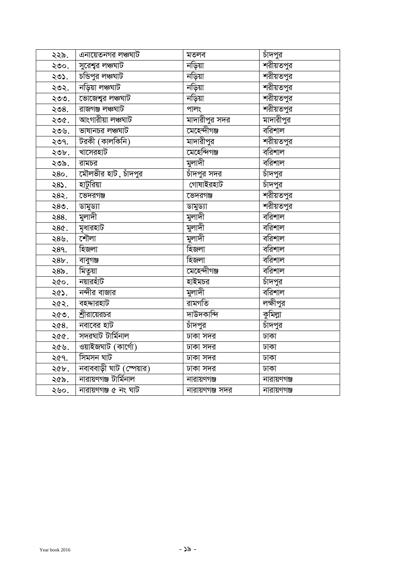| ২২৯. | এনায়েতনগর লঞ্চঘাট       | মতলব                | চাদপুর            |
|------|--------------------------|---------------------|-------------------|
| ২৩০. | সুরেশ্বর লঞ্চঘাট         | নড়িয়া             | শরীয়তপু <u>র</u> |
| ২৩১. | চন্ডিপুর লঞ্চঘাট         | নড়িয়া             | শরীয়তপুর         |
| ২৩২. | নড়িয়া লঞ্চঘাট          | নড়িয়া             | শরীয়তপুর         |
| ২৩৩. | ভোজেশ্বর লঞ্চঘাট         | নড়িয়া             | ন্দরীয়তপুর       |
| ২৩৪. | রাজগঞ্জ লঞ্চঘাট          | পালং                | শরীয়তপুর         |
| ২৩৫. | আংগারীয়া লঞ্চঘাট        | মাদারীপুর সদর       | মাদারীপুর         |
| ২৩৬. | ভাষানচর লঞ্চঘাট          | মেহেন্দীগঞ্জ        | বরিশাল            |
| ২৩৭. | টরকী (কালকিনি)           | মাদারীপুর           | শরীয়তপুর         |
| ২৩৮. | খাসেরহাট                 | <u>নেহেন্দিগঞ্জ</u> | বরিশাল            |
| ২৩৯. | রামচর                    | মুলাদী              | বরিশাল            |
| २8०. | মৌলভীর হাট , চাঁদপুর     | চাঁদপুর সদর         | চাঁদপুর           |
| ২৪১. | হাটুরিয়া                | গোষাইরহাট           | চাঁদপুর           |
| ২৪২. | ভেদরগঞ্জ                 | ভেদরগঞ্জ            | শরীয়তপুর         |
| ২৪৩. | ডামুড্যা                 | ডামুড্যা            | ন্দরীয়তপুর       |
| २88. | মুলাদী                   | মুলাদী              | বরিশাল            |
| २8৫. | মৃধারহাট                 | মুলাদী              | বরিশাল            |
| ২৪৬. | শৌলা                     | মুলাদী              | বরিশাল            |
| २8१. | হিজলা                    | হিজলা               | বরিশাল            |
| ২৪৮. | বাবুগঞ্জ                 | হিজলা               | বরিশাল            |
| ২৪৯. | মিতুয়া                  | মেহেন্দীগঞ্জ        | বরিশাল            |
| ২৫০. | নয়ারহাঁট                | হাইমচর              | চাঁদপুর           |
| ২৫১. | নন্দীর বাজা <u>র</u>     | মুলাদী              | বরিশাল            |
| ২৫২. | বহদ্দারহাট               | রামগতি              | লক্ষীপুর          |
| ২৫৩. | শ্রীরায়েরচর             | দাউদকান্দি          | কুমিল্লা          |
| ২৫৪. | নবাবের হাট               | চাঁদপুর             | চাঁদপু <u>র</u>   |
| ২৫৫. | সদরঘাট টার্মিনাল         | ঢাকা সদর            | ঢাকা              |
| ২৫৬. | ওয়াইজঘাট (কাৰ্গো)       | ঢাকা সদর            | ঢাকা              |
| ২৫৭. | সিমসন ঘাট                | ঢাকা সদর            | ঢাকা              |
| ২৫৮. | নবাববাড়ী ঘাট (স্পেয়ার) | ঢাকা সদর            | ঢাকা              |
| ২৫৯. | নারায়ণগঞ্জ টার্মিনাল    | নারায়ণগঞ্জ         | নারায়ণগঞ্জ       |
| ২৬০. | নারায়ণগঞ্জ ৫ নং ঘাট     | নারায়ণগঞ্জ সদর     | নারায়ণগঞ্জ       |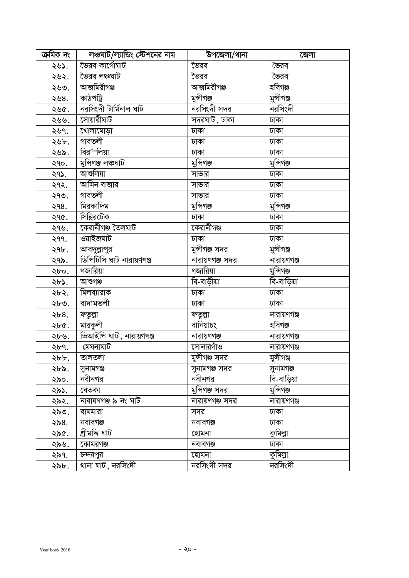| ক্ৰমিক নং | লঞ্চঘাট/ল্যান্ডিং স্টেশনের নাম | উপজেলা/থানা     | জেলা        |
|-----------|--------------------------------|-----------------|-------------|
| ২৬১.      | ভৈরব কার্গোঘাট                 | ভৈরব            | ভৈরব        |
| ২৬২.      | ভৈরব লঞ্চঘাট                   | ভৈরব            | ভৈরব        |
| ২৬৩.      | আজমিরীগঞ্জ                     | আজমিরীগঞ্জ      | হবিগঞ্জ     |
| ২৬৪.      | কাঠপট্ৰি                       | মুন্সীগঞ্জ      | মুন্সীগঞ্জ  |
| ২৬৫.      | নরসিংদী টার্মিনাল ঘাট          | নরসিংদী সদর     | নরসিংদী     |
| ২৬৬.      | সোয়ারীঘাট                     | সদরঘাট , ঢাকা   | ঢাকা        |
| ২৬৭.      | খোলামোড়া                      | ঢাকা            | ঢাকা        |
| ২৬৮.      | গাবতলী                         | ঢাকা            | ঢাকা        |
| ২৬৯.      | বিরর্"লিয়া                    | ঢাকা            | ঢাকা        |
| ২৭০.      | মুন্সিগঞ্জ লঞ্চঘাট             | মুন্সিগঞ্জ      | মুন্সিগঞ্জ  |
| ২৭১.      | আশুলিয়া                       | সাভার           | ঢাকা        |
| ২৭২.      | আমিন বাজার                     | সাভার           | ঢাকা        |
| ২৭৩.      | গাবতলী                         | সাভার           | ঢাকা        |
| २१८.      | মিরকাদিম                       | মুন্সিগঞ্জ      | মুন্সিগঞ্জ  |
| २१৫.      | সিন্নিরটেক                     | ঢাকা            | ঢাকা        |
| ২৭৬.      | কেরানীগঞ্জ তৈলঘাট              | কেরানীগঞ্জ      | ঢাকা        |
| ২৭৭.      | ওয়াইজঘাট                      | ঢাকা            | ঢাকা        |
| ২৭৮.      | আবদুল্লাপুর                    | মুন্সীগঞ্জ সদর  | মুন্সীগঞ্জ  |
| ২৭৯.      | ডিপিটিসি ঘাট নারায়ণগঞ্জ       | নারায়ণগঞ্জ সদর | নারায়ণগঞ্জ |
| ২৮০.      | গজারিয়া                       | গজারিয়া        | মুন্সিগঞ্জ  |
| ২৮১.      | আশুগঞ্জ                        | বি-বাড়ীয়া     | বি-বাড়িয়া |
| ২৮২.      | মিলব্যারাক                     | ঢাকা            | ঢাকা        |
| ২৮৩.      | বাদামতলী                       | ঢাকা            | ঢাকা        |
| ২৮ $8.$   | ফতুল্লা                        | ফতুল্লা         | নারায়ণগঞ্জ |
| ২৮৫.      | মারকুলী                        | বানিয়াচং       | হবিগঞ্জ     |
| ২৮৬.      | ভিআইপি ঘাট, নারায়ণগঞ্জ        | নারায়ণগঞ্জ     | নারায়ণগঞ্জ |
| ২৮৭.      | মেঘনাঘাট                       | সোনারগাঁও       | নারায়ণগঞ্জ |
| ২৮৮.      | তালতলা                         | মুন্সীগঞ্জ সদর  | মুন্সীগঞ্জ  |
| ২৮৯.      | সুনামগঞ্জ                      | সুনামগঞ্জ সদর   | সুনামগঞ্জ   |
| ২৯০.      | নবীনগর                         | নবীনগর          | বি-বাড়িয়া |
| ২৯১.      | বেতকা                          | মুন্সিগঞ্জ সদর  | মুন্সিগঞ্জ  |
| ২৯২.      | নারায়ণগঞ্জ ৯ নং ঘাট           | নারায়ণগঞ্জ সদর | নারায়ণগঞ্জ |
| ২৯৩.      | বাঘমারা                        | সদর             | ঢাকা        |
| ২৯৪.      | নবাবগঞ্জ                       | নবাবগঞ্জ        | ঢাকা        |
| ২৯৫.      | শ্ৰীমদ্দি ঘাট                  | হোমনা           | কুমিল্লা    |
| ২৯৬.      | কোমরগঞ্জ                       | নবাবগঞ্জ        | ঢাকা        |
| ২৯৭.      | চন্দরপুর                       | হোমনা           | কুমিল্লা    |
| ২৯৮.      | থানা ঘাট , নরসিংদী             | নরসিংদী সদর     | নরসিংদী     |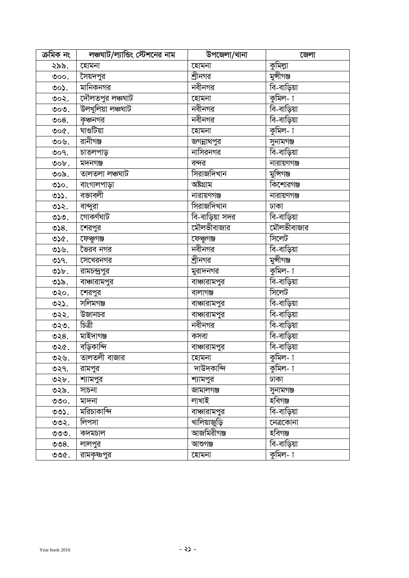| ক্ৰমিক নং             | লঞ্চঘাট/ল্যান্ডিং স্টেশনের নাম | উপজেলা/থানা          | জেলা                     |
|-----------------------|--------------------------------|----------------------|--------------------------|
| ২৯৯.                  | হোমনা                          | হোমনা                | কুমিল্লা                 |
| ৩০০ $\cdot$           | সৈয়দপুর                       | শ্রীনগর              | মুন্সীগঞ্জ               |
| ৩০১.                  | মানিকনগর                       | নবীনগর               | বি-বাড়িয়া              |
| ৩০২.                  | দৌলতপুর লঞ্চঘাট                | হোমনা                | কুমিল- া                 |
| $\circ \circ \circ$ . | উলখুলিয়া লঞ্চঘাট              | $\overline{a}$ বীনগর | বি-বাড়িয়া              |
| 008.                  | কৃঞ্চনগর                       | নবীনগর               | বি-বাড়িয়া              |
| ৩০৫.                  | ঘাগুটিয়া                      | হোমনা                | কুমিল- $\uparrow$        |
| ৩০৬.                  | রানীগঞ্জ                       | জগন্নাথপুর           | সুনামগঞ্জ                |
| 009.                  | চাতলপাড়                       | নাসিরনগর             | বি-বাড়িয়া              |
| $\circ \circ b$ .     | মদনগঞ্জ                        | বন্দর                | নারায়ণগঞ্জ              |
| ৩০৯.                  | তালতলা লঞ্চঘাট                 | সিরাজদিখান           | মুন্সিগঞ্জ               |
| ৩১০.                  | বাংগালপাড়া                    | অষ্টগ্ৰাম            | কিশোরগঞ্জ                |
| OS.                   | বজাবলী                         | নারায়ণগঞ্জ          | নারায়ণগঞ্জ              |
| ৩১২.                  | বান্দুরা                       | সিরাজদিখান           | ঢাকা                     |
| ৩১৩.                  | গোকৰ্ণঘাট                      | বি-বাড়িয়া সদর      | $\overline{a}$ -বাড়িয়া |
| ৩১ $8.$               | শেরপুর                         | মৌলভীবাজার           | মৌলভীবাজার               |
| ৩১৫.                  | ফেধুগঞ্জ                       | ফেথুগঞ্জ             | সিলেট                    |
| ৩১৬.                  | ভৈরব নগর                       | নবীনগর               | <u>ৰি-বাড়িয়া</u>       |
| ৩১৭.                  | সেখেরনগর                       | শ্রীনগর              | মুন্সীগঞ্জ               |
| ৩১৮.                  | রামচন্দ্রপুর                   | মুরাদনগর             | কুমিল- া                 |
| ৩১৯.                  | বাঞ্চারামপুর                   | বাঞ্চারামপুর         | বি-বাড়িয়া              |
| ৩২০.                  | শেরপুর                         | বালাগঞ্জ             | সিলেট                    |
| ৩২১.                  | সলিমগঞ্জ                       | বাঞ্চারামপুর         | বি-বাড়িয়া              |
| ৩২২.                  | উজানচর                         | বাঞ্চারামপুর         | বি-বাড়িয়া              |
| ৩২৩.                  | চিত্ৰী                         | নবীনগর               | বি-বাড়িয়া              |
| ৩২৪.                  | মাইদাগঞ্জ                      | কসবা                 | বি-বাড়িয়া              |
| ৩২৫.                  | বড়িকান্দি                     | বাঞ্চারামপুর         | বি-বাড়িয়া              |
| ৩২৬.                  | তালতলী বাজার                   | হোমনা                | কুমিল- $\uparrow$        |
| ৩২৭.                  | রামপুর                         | দাউদকান্দি           | কুমিল- া                 |
| ৩২৮.                  | শ্যামপুর                       | শ্যামপুর             | ঢাকা                     |
| ৩২৯.                  | সাচনা                          | জামালগঞ্জ            | সুনামগঞ্জ                |
| ৩৩০.                  | মাদনা                          | লাখাই                | হবিগঞ্জ                  |
| ৩৩১.                  | মরিচাকান্দি                    | বাঞ্চারামপুর         | বি-বাড়িয়া              |
| ৩৩২.                  | লিপসা                          | খালিয়াজুড়ি         | নেত্ৰকোনা                |
| ৩৩৩.                  | কদমচাল                         | আজমিরীগঞ্জ           | হবিগঞ্জ                  |
| OOS.                  | লালপুর                         | আশুগঞ্জ              | বি-বাড়িয়া              |
| ৩৩৫.                  | রামকৃষ্ণপুর                    | হোমনা                | কুমিল- $\overline{1}$    |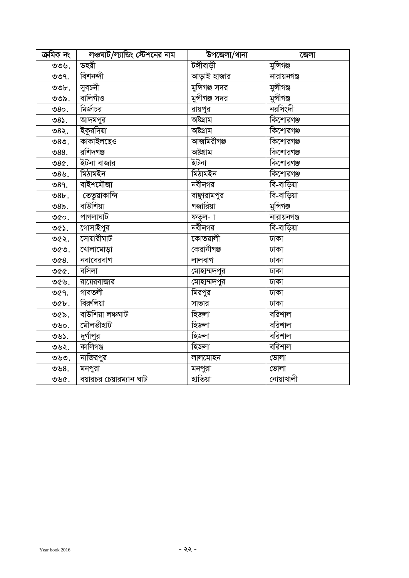| ক্ৰমিক নং | লঞ্চঘাট/ল্যান্ডিং স্টেশনের নাম | উপজেলা/থানা    | জেলা        |
|-----------|--------------------------------|----------------|-------------|
| ৩৩৬.      | ডহরী                           | টঙ্গীবাড়ী     | মুন্সিগঞ্জ  |
| OO9.      | বিশনন্দী                       | আড়াই হাজার    | নারায়নগঞ্জ |
| O         | সুবচনী                         | মুন্সিগঞ্জ সদর | মুন্সীগঞ্জ  |
| ৩৩৯.      | বালিগাঁও                       | মুন্সীগঞ্জ সদর | মুন্সীগঞ্জ  |
| 80.       | মির্জাচর                       | রায়পুর        | নরসিংদী     |
| ৩৪১.      | আদমপুর                         | অষ্টগ্ৰাম      | কিশোরগঞ্জ   |
| ৩৪২.      | ইকুরদিয়া                      | অষ্টগ্ৰাম      | কিশোরগঞ্জ   |
| ৩৪৩.      | কাকাইলছেও                      | আজমিরীগঞ্জ     | কিশোরগঞ্জ   |
| $088$ .   | রশিদগঞ্জ                       | অষ্টগ্রাম      | কিশোরগঞ্জ   |
| 98        | ইটনা বাজার                     | ইটনা           | কিশোরগঞ্জ   |
| ৩৪৬.      | মিঠামইন                        | মিঠামইন        | কিশোরগঞ্জ   |
| 089.      | বাইশমৌজা                       | নবীনগর         | বি-বাড়িয়া |
| 98b.      | তেতুয়াকান্দি                  | বাঞ্ছারামপুর   | বি-বাড়িয়া |
| ৩ $85$ .  | বাউশিয়া                       | গজারিয়া       | মুন্সিগঞ্জ  |
| ৩৫০.      | পাগলাঘাট                       | ফতুল- া        | নারায়নগঞ্জ |
| ৩৫১.      | গোসাইপুর                       | নবীনগর         | বি-বাড়িয়া |
| ৩৫২.      | সোয়ারীঘাট                     | কোতয়ালী       | ঢাকা        |
| ৩৫৩.      | খোলামোড়া                      | কেরানীগঞ্জ     | ঢাকা        |
| ৩৫ $8.$   | নবাবেরবাগ                      | লালবাগ         | ঢাকা        |
| ৩৫৫.      | বসিলা                          | মোহাম্মদপুর    | ঢাকা        |
| ৩৫৬.      | রায়েরবাজার                    | মোহাম্মদপুর    | ঢাকা        |
| ৩৫৭.      | গাবতলী                         | মিরপুর         | ঢাকা        |
| $O(b)$ .  | বিরুলিয়া                      | সাভার          | ঢাকা        |
| ৩৫৯.      | বাউশিয়া লঞ্চঘাট               | হিজলা          | বরিশাল      |
| ৩৬০.      | মৌলভীহাট                       | হিজলা          | বরিশাল      |
| ৩৬১.      | দুর্গাপুর                      | হিজলা          | বিরিশাল     |
| ৩৬২.      | কালিগঞ্জ                       | হিজলা          | বিরিশাল     |
| ৩৬৩.      | নাজিরপুর                       | লালমোহন        | ভোলা        |
| ৩৬ $8.$   | মনপুরা                         | মনপুরা         | ভোলা        |
| ৩৬৫.      | বয়ারচর চেয়ারম্যান ঘাট        | হাতিয়া        | নোয়াখালী   |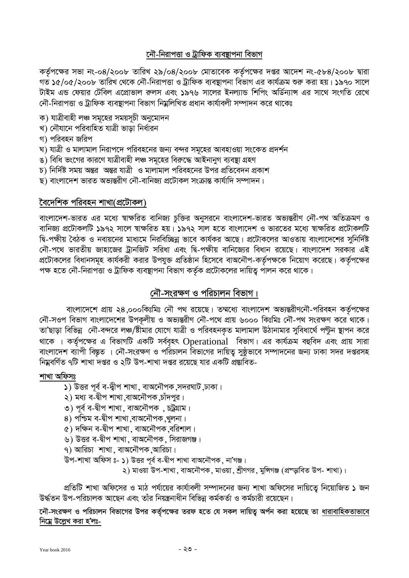# নৌ-নিরাপত্তা ও ট্রাফিক ব্যবস্থাপনা বিভাগ

কর্তৃপক্ষের সভা নং-০৪/২০০৮ তারিখ ২৯/০৪/২০০৮ মোতাবেক কর্তৃপক্ষের দপ্তর আদেশ নং-৫৮৪/২০০৮ দ্বারা গত ১৫/০৫/২০০৮ তারিখ থেকে নৌ-নিরাপত্তা ও ট্রাফিক ব্যবস্থাপনা বিভাগ এর কার্যক্রম শুরু করা হয়। ১৯৭০ সালে টাইম এন্ড ফেয়ার টেবিল এপ্রোভাল রুলস এবং ১৯৭৬ সালের ইনল্যান্ড শিপিং অর্ডিন্যান্স এর সাথে সংগতি রেখে নৌ-নিরাপত্তা ও ট্রাফিক ব্যবস্থাপনা বিভাগ নিম্নলিখিত প্রধান কার্যাবলী সম্পাদন করে থাকেঃ

- ক) যাত্ৰীবাহী লঞ্চ সমূহের সময়সূচী অনুমোদন
- খ) নৌযানে পরিবাহিত যাত্রী ভাডা নির্ধারন
- গ) পরিবহন জরিপ
- ঘ) যাত্রী ও মালামাল নিরাপদে পরিবহনের জন্য বন্দর সমূহের আবহাওয়া সংকেত প্রদর্শন
- ঙ) বিধি ভংগের কারণে যাত্রীবাহী লঞ্চ সমৃহের বিরুদ্ধে আইনানুগ ব্যবস্থা গ্রহণ
- চ) নির্দিষ্ট সময় অন্তর অন্তর যাত্রী ও মালামাল পরিবহনের উপর প্রতিবেদন প্রকাশ
- ছ) বাংলাদেশ ভারত অভ্যন্তরীণ নৌ-বানিজ্য প্রটোকল সংক্রান্ত কার্যাদি সম্পাদন।

# বৈদেশিক পরিবহন শাখা(প্রটোকল)

বাংলাদেশ-ভারত এর মধ্যে স্বাক্ষরিত বানিজ্য চুক্তির অনুসরনে বাংলাদেশ-ভারত অভ্যন্তরীণ নৌ-পথ অতিক্রমণ ও বানিজ্য প্রটোকলটি ১৯৭২ সালে স্বাক্ষরিত হয়। ১৯৭২ সাল হতে বাংলাদেশ ও ভারতের মধ্যে স্বাক্ষরিত প্রটোকলটি দ্বি-পক্ষীয় বৈঠক ও নবায়নের মাধ্যমে নিরবিচ্ছিন্ন ভাবে কার্যকর আছে। প্রটোকলের আওতায় বাংলাদেশের সুনির্দিষ্ট নৌ-পথে ভারতীয় জাহাজের ট্রানজিট সরিধা এবং দ্বি-পক্ষীয় বানিজ্যের বিধান রয়েছে। বাংলাদেশ সরকার এই প্রটোকলের বিধানসমূহ কার্যকরী করার উপযুক্ত প্রতিষ্ঠান হিসেবে বাঅনৌপ-কর্তৃপক্ষকে নিয়োগ করেছে। কর্তৃপক্ষের পক্ষ হতে নৌ-নিরাপত্তা ও ট্রাফিক ব্যবস্থাপনা বিভাগ কর্তৃক প্রটোকলের দায়িত্ব পালন করে থাকে।

# নৌ-সংরক্ষণ ও পরিচালন বিভাগ।

বাংলাদেশে প্রায় ২৪,০০০কিঃমিঃ নৌ পথ রয়েছে। তম্মধ্যে বাংলাদেশ অভ্যন্তরীণনৌ-পরিবহন কর্তৃপক্ষের নৌ-সওপ বিভাগ বাংলাদেশের উপকূলীয় ও অভ্যন্তরীণ নৌ-পথে প্রায় ৬০০০ কিঃমিঃ নৌ-পথ সংরক্ষণ করে থাকে। তা'ছাড়া বিভিন্ন নৌ-বন্দরে লঞ্চ/ষ্টীমার যোগে যাত্রী ও পরিবহনকৃত মালামাল উঠানামার সুবিধার্থে পন্টুন স্থাপন করে থাকে । কর্তৃপক্ষের এ বিভাগটি একটি সর্ববৃহৎ Operational বিভাগ। এর কার্যক্রম বহুবিদ এবং প্রায় সারা বাংলাদেশ ব্যাপী বিস্তূত । নৌ-সংরক্ষণ ও পরিচালন বিভাগের দায়িত্ব সুষ্ঠভাবে সম্পাদনের জন্য ঢাকা সদর দপ্তরসহ নিম্নবর্ণিত ৭টি শাখা দগুর ও ২টি উপ-শাখা দগুর রয়েছে যার একটি প্রস্তাবিত-

### শাখা অফিসঃ

- ১) উত্তর পূর্ব ব-দ্বীপ শাখা, বাঅনৌপক সদরঘাট ঢাকা।
- ২) মধ্য ব-দ্বীপ শাখা বাঅনৌপক চাঁদপুর।
- ৩) পূর্ব ব-দ্বীপ শাখা, বাঅনৌপক , চট্রগ্রাম।
- ৪) পশ্চিম ব-দ্বীপ শাখা বাঅনৌপক খুলনা।
- ৫) দক্ষিন ব-দ্বীপ শাখা , বাঅনৌপক ,বরিশাল।
- ৬) উত্তর ব-দ্বীপ শাখা, বাঅনৌপক, সিরাজগঞ্জ।
- ৭) আরিচা শাখা, বাঅনৌপক,আরিচা।
- উপ-শাখা অফিস ঃ- ১) উত্তর পূর্ব ব-দ্বীপ শাখা বাঅনৌপক, না'গঞ্জ।

২) মাওয়া উপ-শাখা, বাঅনৌপক, মাওয়া, শ্রীণগর, মুন্সিগঞ্জ (প্রস্ড়াবিত উপ- শাখা)।

প্রতিটি শাখা অফিসের ও মাঠ পর্যায়ের কার্যাবলী সম্পাদনের জন্য শাখা অফিসের দায়িতে নিয়োজিত ১ জন উৰ্দ্ধতন উপ-পরিচালক আছেন এবং তাঁর নিয়ন্ত্রনাধীন বিভিন্ন কর্মকর্তা ও কর্মচারী রয়েছেন।

নৌ-সংরক্ষণ ও পরিচালন বিভাগের উপর কর্তৃপক্ষের তরফ হতে যে সকল দায়িত্ব অর্পন করা হয়েছে তা ধারাবাহিকতাভাবে নিমে উল্লেখ করা হ'লঃ-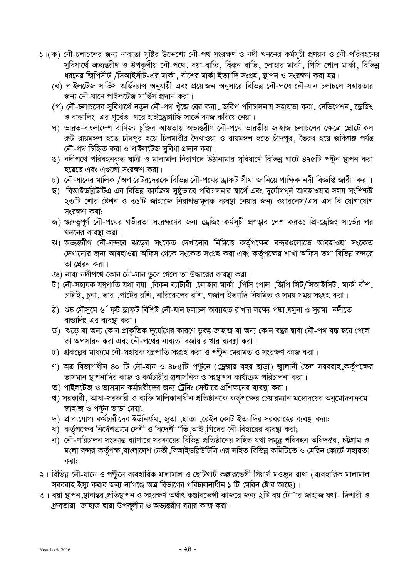- ১।(ক) নৌ-চলাচলের জন্য নাব্যতা সৃষ্টির উদ্দেশ্যে নৌ-পথ সংরক্ষণ ও নদী খননের কর্মসূচী প্রণয়ন ও নৌ-পরিবহনের সুবিধার্থে অভ্যন্তরীণ ও উপকলীয় নৌ-পথে, বয়া-বাতি, বিকন বাতি, লোহার মার্কা, পিসি পোল মার্কা, বিভিন্ন ধরনের জিপিসীট /সিআইসীট-এর মার্কা, বাঁশের মার্কা ইত্যাদি সংগ্রহ, স্থাপন ও সংরক্ষণ করা হয়।
	- (খ) পাইলটেজ সার্ভিস অর্ডিন্যান্স অনুযায়ী এবং প্রয়োজন অনুসারে বিভিন্ন নৌ-পথে নৌ-যান চলাচলে সহায়তার জন্য নৌ-যানে পাইলটেজ সার্ভিস প্রদান করা।
	- (গ) নৌ-চলাচলের সুবিধার্থে নতুন নৌ-পথ খুঁজে বের করা, জরিপ পরিচালনায় সহায়তা করা, নেভিগেশন, ড্রেজিং ও বান্ডালিং এর পর্বেও পরে হাইড্রোগ্রাফি সার্ভে কাজ করিয়ে নেয়া।
	- ঘ) ভারত-বাংলাদেশ বাণিজ্য চুক্তির আওতায় অভ্যন্তরীণ নৌ-পথে ভারতীয় জাহাজ চলাচলের ক্ষেত্রে প্রোটোকল ক়ট রায়মঙ্গল হতে চাঁদপুর হয়ে চিলমারীর দৈখাওয়া ও রায়মঙ্গল হতে চাঁদপুর, ভৈরব হয়ে জকিগঞ্জ পর্যন্ত নৌ-পথ চিহ্নিত করা ও পাইলটেজ সুবিধা প্রদান করা।
	- ঙ) নদীপথে পরিবহনকৃত যাত্রী ও মালামাল নিরাপদে উঠানামার সুবিধার্থে বিভিন্ন ঘাটে ৪৭৫টি পন্টুন ষ্থাপন করা হয়েছে এবং এগুলো সংরক্ষণ করা।
	- চ) নৌ-যানের মালিক /অপারেটরদেরকে বিভিন্ন নৌ-পথের ড্রাফট সীমা জানিয়ে পাক্ষিক নদী বিজ্ঞপ্তি জারী করা।
	- ছ) বিআইডব্লিউটিএ এর বিভিন্ন কার্যক্রম সুষ্ঠুভাবে পরিচালনার স্বার্থে এবং দুর্যোগপূর্ন আবহাওয়ার সময় সংশিণ্যক্ট ২৩টি শোর ষ্টেশন ও ৩১টি জাহাজে নিরাপত্তামূলক ব্যবস্থা নেয়ার জন্য ওয়ারলেস/এস এস বি যোগাযোগ সংরক্ষণ কবা;
	- জ) গুরুতুপূর্ণ নৌ-পথের গভীরতা সংরক্ষণের জন্য ড্রেজিং কর্মসূচী প্রস্ড়াব পেশ করতঃ প্রি-ড্রেজিং সার্ভের পর খননের ব্যবষ্ঠা করা।
	- ৰা) অভ্যন্তরীণ নৌ-বন্দরে ঝড়ের সংকেত দেখানোর নিমিত্তে কর্তৃপক্ষের বন্দরগুলোতে আবহাওয়া সংকেত দেখানোর জন্য আবহাওয়া অফিস থেকে সংকেত সংগ্রহ করা এবং কর্তৃপক্ষের শাখা অফিস তথা বিভিন্ন বন্দরে তা প্রেরন করা।
	- ঞ) নাব্য নদীপথে কোন নৌ-যান ডুবে গেলে তা উদ্ধারের ব্যবস্থা করা।
	- ট) নৌ-সহায়ক যন্ত্রপাতি যথা বয়া ,বিকন ব্যাটারী ,লোহার মার্কা ,পিসি পোল ,জিপি সিট/সিআইসিট, মার্কা বাঁশ, চাটাই , চুনা , তার ,পাটের রশি , নারিকেলের রশি , গজাল ইত্যাদি নিয়মিত ও সময় সময় সংগ্রহ করা।
	- ঠ) শুষ্ক মৌসুমে ৬´ ফুট ড্ৰাফট বিশিষ্ট নৌ-যান চলাচল অব্যাহত রাখার লক্ষ্যে পদ্মা ্যমুনা ও সুরমা নদীতে বান্ডালিং এর ব্যবস্থা করা।
	- ড) ঝড়ে বা অন্য কোন প্রাকৃতিক দূর্যোগের কারণে ডুবন্ত জাহাজ বা অন্য কোন বস্তুর দ্বারা নৌ-পথ বন্ধ হয়ে গেলে তা অপসারন করা এবং নৌ-পথের নাব্যতা বজায় রাখার ব্যবস্থা করা।
	- $\overline{b}$ ) প্রকল্পের মাধ্যমে নৌ-সহায়ক যন্ত্রপাতি সংগ্রহ করা ও পতুন মেরামত ও সংরক্ষণ কাজ করা।
	- ণ) অত্র বিভাগাধীন ৪০ টি নৌ-যান ও ৪৮৫টি পন্টুনে (ড্রেজার বহর ছাড়া) জ্বালানী তৈল সরবরাহ কর্তৃপক্ষের ভাসমান স্থাপনাদির কাজ ও কর্মচারীর প্রশাসনিক ও সংস্থাপন কার্য্যক্রম পরিচালনা করা।
	- ত) পাইলটেজ ও ভাসমান কর্মচারীদের জন্য ট্রেনিং সেন্টারে প্রশিক্ষনের ব্যবস্থা করা।
	- থ) সরকারী , আধা-সরকারী ও ব্যক্তি মালিকানাধীন প্রতিষ্ঠানকে কর্তৃপক্ষের চেয়ারম্যান মহোদয়ের অনুমোদনক্রমে জাহাজ ও পন্টুন ভাড়া দেয়া;
	- $\,$ দ) প্রাপ্যযোগ্য কর্মচারীদের ইউনির্ফম ,জুতা ,ছাতা ,রেইন কোট ইত্যাদির সরবরাহের ব্যবস্থা করা;
	- ধ) কর্তৃপক্ষের নির্দেশক্রমে দেশী ও বিদেশী "ভি আই পিদের নৌ-বিহারের ব্যবস্থা করা;
	- ন) নৌ-পরিচালন সংক্রান্ত ব্যাপারে সরকারের বিভিন্ন প্রতিষ্ঠানের সহিত যথা সমুদ্র পরিবহন অধিদপ্তর, চট্টগ্রাম ও মংলা বন্দর কর্তৃপক্ষ বাংলাদেশ নেভী বিআইডব্লিউটিসি এর সহিত বিভিন্ন কমিটিতে ও মেরিন কোর্টে সহায়তা করা;
- ২। বিভিন্ন নৌ-যানে ও পন্টুনে ব্যবহারিক মালামাল ও ছোটখাট কঞ্জারভেন্সী গিয়ার্স মওজুদ রাখা (ব্যবহারিক মালামাল সরবরাহ ইস্যু করার জন্য না'গঞ্জে অত্র বিভাগের পরিচালনাধীন ১ টি মেরিন ষ্টোর আছে)।
- ৩। বয়া স্থাপন স্থানান্তর প্রতিস্থাপন ও সংরক্ষণ অর্থাৎ কঞ্জারভেন্সী কাজরে জন্য ২টি বয় টেౌার জাহাজ যথা- দিশারী ও ঞ্রবতারা জাহাজ দ্বারা উপকূলীয় ও অভ্যন্তরীণ বয়ার কাজ করা।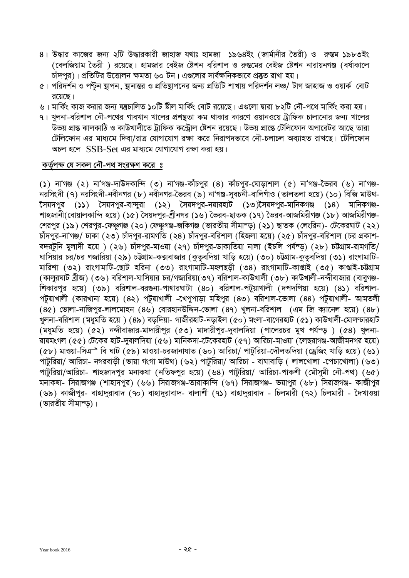- ৪। উদ্ধার কাজের জন্য ২টি উদ্ধারকারী জাহাজ যথাঃ হামজা ১৯৬৪ইং (জার্মানীর তৈরী) ও রুস্তম ১৯৮৩ইং (বেলজিয়াম তৈরী) রয়েছে। হামজার বেইজ ষ্টেশন বরিশাল ও রুস্তমের বেইজ ষ্টেশন নারায়নগঞ্জ (বর্ষাকালে চাঁদপুর)। প্রতিটির উত্তোলন ক্ষমতা ৬০ টন। এগুলোর সার্বক্ষনিকভাবে প্রষ্কৃত রাখা হয়।
- $\alpha$ । পরিদর্শন ও পন্টুন স্থাপন, স্থানান্তর ও প্রতিষ্ণাপনের জন্য প্রতিটি শাখায় পরিদর্শন লঞ্চ/ টাগ জাহাজ ও ওয়ার্ক বোট রয়েছে।
- ৬। মার্কিং কাজ করার জন্য যন্ত্রচালিত ১০টি ষ্টীল মার্কিং বোট রয়েছে। এগুলো দ্বারা ৮২টি নৌ-পথে মার্কিং করা হয়।
- ৭ । খুলনা-বরিশাল নৌ-পথের গাবখান খালের প্রশষ্টতা কম থাকার কারণে ওয়ানওয়ে ট্রাফিক চালানোর জন্য খালের .<br>উভয় প্রান্ত ঝালকাঠি ও কাউখালীতে ট্রাফিক কন্ট্রোল ষ্টেশন রয়েছে। উভয় প্রান্তে টেলিফোন অপারেটর আছে তারা টেলিফোন এর মাধ্যমে দিবা/রাত্র যোগাযোগ রক্ষা করে নিরাপদভাবে নৌ-চলাচল অব্যাহত রাখছে। টেলিফোন আচল হলে।  $SSB\_Set$  এব মাধামে যোগাযোগ বক্ষা কবা হয়।

#### $\frac{1}{2}$  কর্তৃপক্ষ যে সকল নৌ-পথ সংরক্ষণ করে *ঃ*

(১) না'গঞ্জ (২) না'গঞ্জ-দাউদকান্দি (৩) না'গঞ্জ-কাঁচপুর (৪) কাঁচপুর-ঘোড়াশাল (৫) না'গঞ্জ-ভৈরব (৬) না'গঞ্জ-নরসিংদী (৭) নরসিংদী-নবীনগর (৮) নবীনগর-ভৈরব (৯) না'গঞ্জ-সুবচনী-বালিগাঁও (তালতলা হয়ে) (১০) বিজি মাউথ-ৈসয়দপুর (১১) সৈয়দপুর-বান্দুরা (১২) সৈয়দপুর-নয়ারহাট (১৩)সৈয়দপুর-মানিকগঞ্জ (১৪) মানিকগঞ্জ-শাহজানী(বোয়ালকান্দি হয়ে) (১৫) সৈয়দপর-শ্রীনগর (১৬) ভৈরব-ছাতক (১৭) ভৈরব-আজমিরীগঞ্জ (১৮) আজমিরীগঞ্জ $f$ শরপুর (১৯) শেরপুর-ফেঞ্চগঞ্জ (২০) ফেঞ্চগঞ্জ-জকিগঞ্জ (ভারতীয় সীমাম্ড) (২১) ছাতক (লেংরিন)- টেকেরঘাট (২২) চাঁদপুর-না'গঞ্জ/ ঢাকা (২৩) চাঁদপুর-রামগতি (২৪) চাঁদপুর-বরিশাল (হিজলা হয়ে) (২৫) চাঁদপুর-বরিশাল (চর প্রকাশ-বদরটনি মলাদী হয়ে ) (২৬) চাঁদপর-মাওয়া (২৭) চাঁদপর-ডাকাতিয়া নালা (ইচলি পর্যন্ড) (২৮) চট্টগ্রাম-রামগতি/ ঘাসিয়ার চর/চর গজারিয়া (২৯) চউথাম-কক্সবাজার (কুতুবদিয়া খাড়ি হয়ে) (৩০) চউথাম-কুতুবদিয়া (৩১) রাংগামাটি-মারিশা (৩২) রাংগামাটি-ছোট হরিনা (৩৩) রাংগামাটি-মহলছডী (৩৪) রাংগামাটি-কাণ্ডাই (৩৫) কাপ্তাই-চউগ্রাম (কালুরঘাট ব্রীজ) (৩৬) বরিশাল-ঘাসিয়ার চর/গজারিয়া(৩৭) বরিশাল-কাউখালী (৩৮) কাউখালী-নন্দীবাজার (বাবুগঞ্জ-শিকারপুর হয়ে)  $(\infty$ ৯) বরিশাল-বরগুনা-পাথারঘাটা  $(80)$  বরিশাল-পটুয়াখালী (দপদপিয়া হয়ে)  $(8$ ১) বরিশাল-পটুয়াখালী (কারখানা হয়ে) (৪২) পটুয়াখালী -খেপুপাড়া মহিপুর (৪৩) বরিশাল-ভোলা (৪৪) পর্টুয়াখালী- আমতলী  $(8c)$  ভোলা-নাজিপুর-লালমোহন  $(8b)$  বোরহানউদ্দিন-ভোলা  $(89)$  খুলনা-বরিশাল  $(4)$  জি ক্যানেল হয়ে)  $(8b)$ খুলনা-বরিশাল (মধুমতি হয়ে ) (৪৯) বর্ডদিয়া- গাজীরহাট-নডাইল (৫০) মংলা-বাগেরহাট (৫১) কাউখালী-মোলণ্ডারহাট  $(\overline{\mathsf{a}}$ ধুমতি হয়ে)  $(\overline{\mathfrak{c}} z)$  নন্দীবাজার-মাদারীপুর ( $\mathfrak{c}$ ৩) মাদারীপুর-দুবালদিয়া (পালেরচর মুখ পর্যন্ড়) ( $\mathfrak{c} s$ ) খুলনা-রায়মংগল (৫৫) টেকের হাট-দুবালদিয়া (৫৬) মানির্কদা-টেকেরহাট (৫৭) আরিচা-মাওয়া (লেছরাগঞ্জ-আজীমনগর হয়ে)  $(6b)$  মাওয়া-সিএ $\Rightarrow$  বি ঘাট  $\hat{(6)}$ ) মাওয়া-চরজানাযাত (৬০) আরিচা/ পাটুরিয়া-দৌলতদিয়া (ড্রেজিং খাড়ি হয়ে) (৬১) পাটুরিয়া/ আরিচা- নগরবাড়ী (ভায়া গংগা মাউথ) (৬২) পাটুরিয়া/ আরিচা - বাঘাবাড়ি ( লালখোলা -পেচাখোলা) (৬৩) পাটরিয়া/আরিচা- শাহজাদপর মনাকষা (নতিফপুর হয়ে) (৬৪) পাটরিয়া/ আরিচা-পাকশী (মৌসমী নৌ-পথ) (৬৫) মনাকষা- সিরাজগঞ্জ (শাহাদপুর) (৬৬) সিরাজগঞ্জ-তারাকান্দি (৬৭) সিরাজগঞ্জ- ভয়াপুর (৬৮) সিরাজগঞ্জ- কাজীপুর (৬৯) কাজীপুর- বাহাদুরাবাদ (৭০) বাহাদুরাবাদ- বালাশী (৭১) বাহাদুরাবাদ - চিলমারী (৭২) চিলমারী - দৈখাওয়া (ভারতীয় সীমান্ড)।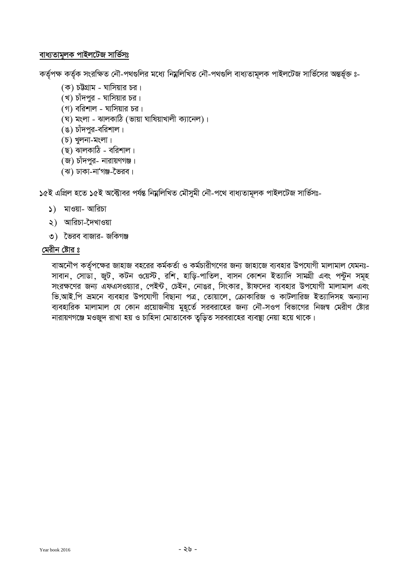### বাধ্যতামূলক পাইলটেজ সার্ভিসঃ

কর্তৃপক্ষ কর্তৃক সংরক্ষিত নৌ-পথগুলির মধ্যে নিম্নলিখিত নৌ-পথগুলি বাধ্যতামূলক পাইলটেজ সার্ভিসের অন্তর্ভূক্ত ঃ-

- (ক) চউগ্রাম ঘাসিয়ার চর।
- (খ) চাঁদপুর ঘাসিয়ার চর।
- $(9)$  বরিশাল ঘাসিয়ার চর।
- (ঘ) মংলা ঝালকাঠি (ভায়া ঘাষিয়াখালী ক্যানেল)।
- (ঙ) চাঁদপুর-বরিশাল।
- $(D)$  থুলনা-মংলা।
- $(5)$  ঝালকা $\delta$  বরিশাল।
- (জ) চাঁদপুর- নারায়ণগঞ্জ।
- (ঝ) ঢাকা-না'গঞ্জ-ভৈরব।

১৫ই এপ্ৰিল হতে ১৫ই অক্টোবর পৰ্যন্ত নিম্নলিখিত মৌসুমী নৌ-পথে বাধ্যতামূলক পাইলটেজ সাৰ্ভিসঃ-

- $\mathcal{S}$ ) মাওয়া- আরিচা
- ২) আরিচা-দৈখাওয়া
- ৩) ভৈরব বাজার- জকিগঞ্জ

# মেরীন ষ্টোর ঃ

বাঅনৌপ কর্তৃপক্ষের জাহাজ বহরের কর্মকর্তা ও কর্মচারীগণের জন্য জাহাজে ব্যবহার উপযোগী মালামাল যেমনঃ-সাবান, সোডা, জুট, কটন ওয়েস্ট, রশি, হাড়ি-পাতিল, বাসন কোশন ইত্যাদি সামগ্রী এবং পন্টুন সমূহ সংরক্ষণের জন্য এফএসওয়্যার, পেইন্ট, চেইন, নোঙর, সিংকার, ষ্টাফদের ব্যবহার উপযোগী মালামাল এবং ভি.আই.পি ভ্ৰমনে ব্যবহার উপযোগী বিছানা পত্ৰ, তোয়ালে, ক্ৰোকারিজ ও কাটলারিজ ইত্যাদিসহ অন্যান্য ব্যবহারিক মালামাল যে কোন প্রয়োজনীয় মুহূর্তে সরবরাহের জন্য নৌ-সওপ বিভাগের নিজশ্ব মেরীণ ষ্টোর কারায়ণগঞ্জে মওজুদ রাখা হয় ও চাহিদা মোতাবেক তুড়িত সরবরাহের ব্যবস্থা নেয়া হয়ে থাকে।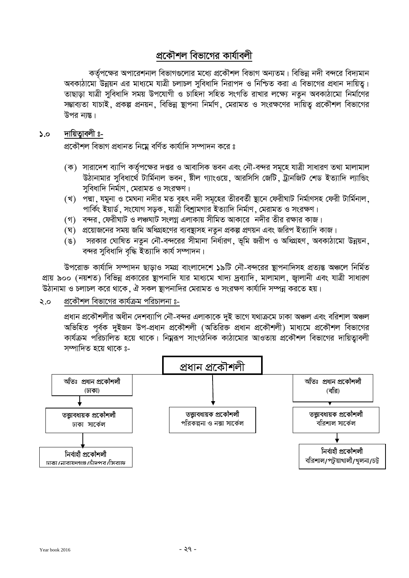# প্রকৌশল বিভাগের কার্যাবলী

কর্তৃপক্ষের অপারেশনাল বিভাগগুলোর মধ্যে প্রকৌশল বিভাগ অন্যতম। বিভিন্ন নদী বন্দরে বিদ্যমান অবকাঠামো উন্নয়ন এর মাধ্যমে যাত্রী চলাচল সবিধাদি নিরাপদ ও নিশ্চিত করা এ বিভাগের প্রধান দায়িত। তাছাডা যাত্রী সবিধাদি সময় উপযোগী ও চাহিদা সহিত সংগতি রাখার লক্ষ্যে নতন অবকাঠামো নির্মাণের সম্ভাব্যতা যাচাই, প্রকল্প প্রনয়ন, বিভিন্ন স্থাপনা নির্মাণ, মেরামত ও সংরক্ষণের দায়িত্ব প্রকৌশল বিভাগের উপর নাস্তু।

#### দায়িতাবলী ঃ- $5.0$

প্রকৌশল বিভাগ প্রধানত নিম্নে বর্ণিত কার্যাদি সম্পাদন করে ঃ

- (ক) সারাদেশ ব্যাপি কর্তৃপক্ষের দপ্তর ও আবাসিক ভবন এবং নৌ-বন্দর সমূহে যাত্রী সাধারণ তথা মালামাল উঠানামার সবিধার্থে টার্মিনাল ভবন, ষ্টীল গ্যাংওয়ে, আরসিসি জেটি, ট্রানজিট শেড ইত্যাদি ল্যান্ডিং সবিধাদি নিৰ্মাণ, মেরামত ও সংরক্ষণ।
- (খ) পদ্মা, যমুনা ও মেঘনা নদীর মত বৃহৎ নদী সমূহের তীরবর্তী ষ্থানে ফেরীঘাট নির্মাণসহ ফেরী টার্মিনাল, পার্কিং ইয়ার্ড, সংযোগ সডক, যাত্রী বিশ্রামগার ইত্যাদি নির্মাণ, মেরামত ও সংরক্ষণ।
- (গ) বন্দর, ফেরীঘাট ও লঞ্চঘাট সংলগ্ন এলাকায় সীমিত আকারে নদীর তীর রক্ষার কাজ।
- (ঘ) প্রয়োজনের সময় জমি অধিগ্রহণের ব্যবষ্ঠাসহ নতন প্রকল্প প্রণয়ন এবং জরিপ ইত্যাদি কাজ।
- (ঙ) সরকার ঘোষিত নতন নৌ-বন্দরের সীমানা নির্ধারণ, ভূমি জরীপ ও অধিগ্রহণ, অবকাঠামো উন্নয়ন, বন্দর সুবিধাদি বৃদ্ধি ইত্যাদি কার্য সম্পাদন।

উপরোক্ত কার্যাদি সম্পাদন ছাডাও সমগ্র বাংলাদেশে ১৯টি নৌ-বন্দরের ষ্টাপনাদিসহ প্রত্যন্ত অঞ্চলে নির্মিত প্রায় ৯০০ (নয়শত) বিভিন্ন প্রকারের ষ্টাপনাদি যার মাধ্যমে খাদ্য দ্রব্যাদি, মালামাল, জ্বালানী এবং যাত্রী সাধারণ উঠানামা ও চলাচল করে থাকে, ঐ সকল ষ্থাপনাদির মেরামত ও সংরক্ষণ কার্যাদি সম্পন্ন করতে হয়।

#### প্রকৌশল বিভাগের কার্যক্রম পরিচালনা ঃ-২.০

প্রধান প্রকৌশলীর অধীন দেশব্যাপি নৌ-বন্দর এলাকাকে দুই ভাগে যথাক্রমে ঢাকা অঞ্চল এবং বরিশাল অঞ্চল অভিহিত পূর্বক দুইজন উপ-প্রধান প্রকৌশলী (অতিরিক্ত প্রধান প্রকৌশলী) মাধ্যমে প্রকৌশল বিভাগের কার্যক্রম পরিচালিত হয়ে থাকে। নিয়ুরূপ সাংগঠনিক কাঠামোর আওতায় প্রকৌশল বিভাগের দায়িত্বাবলী সম্পাদিত হয়ে থাকে ঃ-

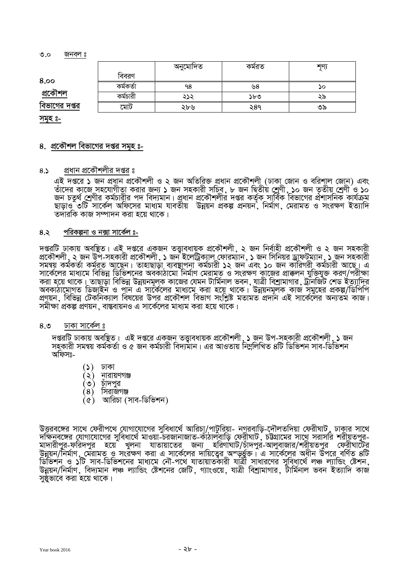$\mathcal{O}$ . $\circ$  জনবল ঃ

|                |           | অনুমোদিত | কমরত | गृण |
|----------------|-----------|----------|------|-----|
| 8.00           | বিবরণ     |          |      |     |
|                | কৰ্মকৰ্তা | ۹8       | ৬8   | ১০  |
| <u>প্ৰকৌশল</u> | কৰ্মচারী  | ২১২      | ১৮৩  | ২৯  |
| বিভাগের দপ্তর  | মোট       | ২৮৬      | ২৪৭  | ৩৯  |

**mg~n t-**

#### <u>8. প্রকৌশল বিভাগের দপ্তর সমহ ঃ-</u>

#### ৪.১ প্রধান প্রকৌশলীর দপ্তর ঃ

এই দপ্তরে ১ জন প্রধান প্রকৌশলী ও ২ জন অতিরিক্ত প্রধান প্রকৌশলী (ঢাকা জোন ও বরিশাল জোন) এবং তাঁদের কাজে সহযোগীতা করার জন্য ১ জন সহকারী সচিব, ৮ জন দ্বিতীয় শ্রেণী, ১০ জন তৃতীয় শ্রেণী ও ১০ জন চতুর্থ <u>শ</u>েণীর কর্মচারীর পদ বিদ্যমান ৷ প্রুধান প্রকৌশলীর দপ্তর কর্তৃক সার্বিক বিভাগের প্রশাসনিক কার্যক্রম ছাডাও ৩টি সার্কেল অফিসের মাধ্যম যাবতীয় উন্নয়ন প্রকল্প প্রনয়ন মির্মাণ মেরামত ও সংরক্ষণ ইত্যাদি  $\overline{\text{V}}$ তদারকি কাজ সম্পাদন করা হয়ে থাকে।

#### **4.2 cwiKíbv I b·v mv‡K©j t-**

দপ্তরটি ঢাকায় অবষ্টিত। এই দপ্তরে একজন তত্তাবধায়ক প্রকৌশলী ২ জন নির্বাহী প্রকৌশলী ও ২ জন সহকারী প্রকৌশলী , ২ জন উপ-সহকারী প্রকৌশলী , ১ জন ইলেট্রিক্যাল ফোরম্যান , ১ জন সিনিয়র ড্রাফটম্যান , ১ জন সহকারী<br>সমন্বয় কর্মকর্তা কর্মরত আছেন। তাহাছাড়া ব্যবস্থাপনা কর্মচারী ১২ জন এবং ১০ জন কারিগরী কর্মচারী আছে। এ সমন্বয় কৰ্মকৰ্তা কৰ্মরত আছেন ৷ তাহাছাড়া ব্যবস্থাপনা কৰ্মচারী ১২ জন এবং ১০ জন কারিগরী কৰ্মচারী আছে ৷ এ<br>সার্কেলের মাধ্যমে বিভিন্ন ডিভিশনের অবকাঠামো নির্মাণ মেরামূত ও সংরক্ষণ কাুজের প্রাক্কলন যুক্তিযুক্ত করণূ/পরীক্ষ করা হয়ে থাকে। তাছাড়া বিভিন্ন উন্নয়নমূলক কাজের যেমন টার্মিনাল ভবন, যাত্রী বিশ্রামাগার, ট্রানজিট শেড ইত্যাদির<br>অবকাঠামোগত ডিজাইন ও পাুন এ সার্কেলের মাধ্যমে করা হয়ে থাকে। উন্নয়নমূলক কাজ সমুহের প্রকল্প/ডিপিপি প্রণয়ন, বিভিন্ন টেকনিক্যাল বিষয়ের উপর প্রকৌশল বিভাগ সংশ্লিষ্ট মতামত প্রদান এই সার্কেলের অন্যতম কাজ। সমীক্ষা প্ৰকল্প প্ৰণয়ন, বাস্তবায়নও এ সাৰ্কেলের মাধ্যম করা হয়ে থাকে।

#### $8.3$  ঢাকা সাৰ্কেল ঃ

`দপ্তরটি ঢাকায় অবষ্ঠিত। এই দপ্তরে একজন তত্তাবধায়ক প্রকৌশলী ১ জন উপ-সহকারী প্রকৌশলী ১ জন সহকারী সমন্বয় কর্মকর্তা ও ৫ জন কর্মচারী বিদ্যমান। এর আওতায় নিম্নলিখিত ৪টি ডিভিশন সাব-ডিভিশন অফিসঃ-

- $(5)$  ঢাকা
- $(2)$  নারায়ণগঞ্জ
- (৩) চাঁদপুর
- $(8)$  সিরাজগঞ্জ
- $(\alpha)$  আরিচা (সাব-ডিভিশন)

উত্তরবঙ্গের সাথে ফেরীপথে যোগাযোগের সুবিধার্থে আরিচা/পাটুরিয়া- নগরবাড়ি-দৌলতদিয়া ফেরীঘাট ়ঢাকার সাথে `দক্ষিনবঙ্গের যোগাযোগের সুবিধার্থে মাওয়া-চরজানাজাত-কাঁঠালবাড়ি ফেরীঘাট**়** চট্টগ্রামের সাথে সরাসরি শরীয়তপুর-মাদারীপুর-ফরিদপুর হয়ে খুলনা যাতায়াতের জন্য হরিণাঘাট/চাঁদপুর্-আলুবাজার/শরীয়তপুর ফেরীঘাটের আপায়া মুম-সাম্পত্মে । হেমে । স্থাপা আভায়তেম । সাম্পত্মে বাসাহ্য হাজ্যৰ মুম্বান্য দিৱা হয়। সাম্পত্কে সময় দি<br>উন্নয়ন/নিৰ্মাণ মেরামত ও সংরক্ষণ করা এ সার্কেলের দায়িত্বের অন্ডুর্জ্জ। এ সার্কেলের অধীন উপরে বর্ণিত ৪টি ডিভিশনু ও ১টি সাব-ডিভিশনের মাধ্যমে নৌ-পথে ুযাতায়াতকারী যাত্রী সাধারণের সুবিধার্থে লঞ্চ ল্যান্ডিং স্টেশন, উন্নয়ন/নিৰ্মাণ, বিদ্যমান লঞ্চ ল্যান্ডিং ষ্টেশনের জেটি, গ্যাংওয়ে, যাত্রী বিশ্রামাগার, টার্মিনাল ভবন ইত্যাদি কার্জ<br>সুষ্ঠুভাবে করা হয়ে থাকে।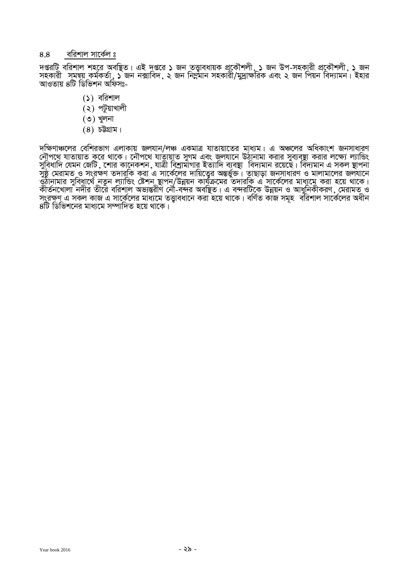#### $8.8$  বরিশাল সার্কেল ঃ

দপ্তরটি বরিশাল শহরে অবষ্থিত। এই দপ্তরে ১ জন তত্ত্বাবধায়ক প্রকৌশলী, ১ জন উপ-সহকারী প্রকৌশলী, ১ জন mnKvix mgš^q Kg©KZ©v, 1 Rb b·vwe`, 2 Rb wb¤œgvb mnKvix/gy`ªv¶wiK Ges 2 Rb wcqb we`¨vgb| Bnvi আওতায় ৪টি ডিভিশন অফিসঃ-

- $(5)$  বরিশাল
- $(2)$  পটুয়াখালী
- $(9)$  খুলনা
- $(8)$   $\overline{DB}$ াম।

`দক্ষিণাঞ্চলের বেশিরভাগ এলাকায় জলযান/লঞ্চ একমাত্র যাতায়াতের মাধ্যম। এ অঞ্চলের অধিকাংশ জনসাধারণ<br>নৌপথে যাতায়াত করে থাকে। নৌপথে যাতায়াত সুগম এবং জলযানে উঠানামা করার সুব্যবস্থা করার লক্ষ্যে ল্যান্ডিং সুবিধাদি যেমন জেটি , শোর কানেকশন , যাত্রী বিশ্রামাগার ইত্যাদি ব্যবস্থা বিদ্যমান রয়েছে । বিদ্যমান এ সকল স্থাপনা<br>সুষ্ঠ মেরামত ও সংরক্ষণ তদারকি করা এ সার্কেলের দায়িত্বের অন্তর্ভুক্ত । তাছাড়া জনসাধারণ ও মালামালের জলযানে<br> কীর্তনখোলা নদীর তীরে বরিশাল অভ্যন্তরীণ নৌ-বন্দর অবছিত। এ বন্দরটিকে উন্নয়ন ও আধুনিকীকরণ, মেরামত ুও সংরক্ষণ এ সকল কাজ এ সার্কেলের মাধ্যমে তত্ত্বাবধানে করা হয়ে থাকে। বর্ণিত কাজ সমূহ বরিশাল সার্কেলের অধীন  $8\overline{16}$  ডিভিশনের মাধ্যমে সম্পাদিত হয়ে থাকে।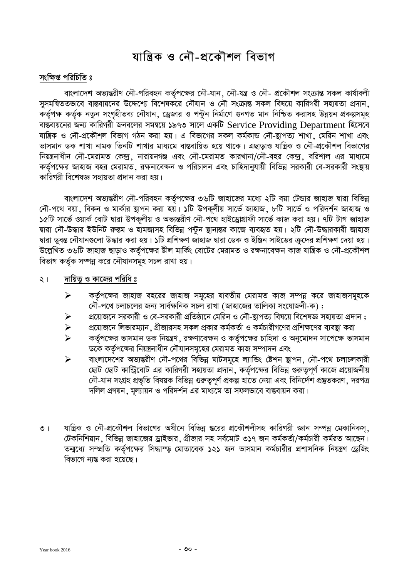# মান্ত্ৰিক ও নৌ-প্ৰকৌশল বিভাগ

#### সংক্ষিপ্ত পরিচিতি ঃ

বাংলাদেশ অভ্যন্তরীণ নৌ-পরিবহন কর্তৃপক্ষের নৌ-যান, নৌ-যন্ত্র ও নৌ- প্রকৌশল সংক্রান্ত সকল কার্যাবলী সুসমন্বিততভাবে বান্তবায়নের উদ্দেশ্যে বিশেষকরে নৌযান ও নৌ সংক্রান্ত সকল বিষয়ে কারিগরী সহায়তা প্রদান কৰ্তৃপক্ষ কৰ্তৃক নতুন সংগৃহীতব্য নৌযান, ড্ৰেজার ও পন্টুন নিৰ্মাণে গুনগত মান নিশ্চিত করাসহ উন্নয়ন প্রকল্পসমূহ বাস্তবায়নের জন্য কারিগরী জনবলের সমন্বয়ে ১৯৭৩ সালে একটি Service Providing Department হিসেবে যান্ত্রিক ও নৌ-প্রকৌশল বিভাগ গঠন করা হয়। এ বিভাগের সকল কর্মকান্ড নৌ-ষ্থাপত্য শাখা মেরিন শাখা এবং ভাসমান ডক শাখা নামক তিনটি শাখার মাধ্যমে বাস্তবায়িত হয়ে থাকে। এছাডাও যান্ত্রিক ও নৌ-প্রকৌশল বিভাগের নিয়ন্ত্রনাধীন নৌ-মেরামত কেন্দ্র, নারায়নগঞ্জ এবং নৌ-মেরামত কারখানা/নৌ-বহর কেন্দ্র, বরিশাল এর মাধ্যমে কর্তৃপক্ষের জাহাজ বহর মেরামত ়রক্ষনাবেক্ষন ও পরিচালন এবং চাহিদানুযায়ী বিভিন্ন সরকারী বে-সরকারী সংষ্থায় কারিগরী বিশেষজ্ঞ সহায়তা প্রদান করা হয়।

বাংলাদেশ অভ্যন্তরীণ নৌ-পরিবহন কর্তৃপক্ষের ৩৬টি জাহাজের মধ্যে ২টি বয়া টেন্ডার জাহাজ দ্বারা বিভিন্ন নৌ-পথে বয়া, বিকন ও মার্কার স্থাপন করা হয়। ১টি উপকূলীয় সার্ভে জাহাজ, ৮টি সার্ভে ও পরিদর্শন জাহাজ ও ১৫টি সার্ভে ওয়ার্ক বোট দ্বারা উপকূলীয় ও অভ্যন্তরীণ নৌ-পথে হাইড্রোগ্রাফী সার্ভে কাজ করা হয়। ৭টি টাগ জাহাজ দ্বারা নৌ-উদ্ধার ইউনিট রুস্তম ও হামজাসহ বিভিন্ন পন্টুন স্থানান্তর কাজে ব্যবহৃত হয়। ২টি নৌ-উদ্ধারকারী জাহাজ দ্বারা ডুবন্ত নৌযানগুলো উদ্ধার করা হয়। ১টি প্রশিক্ষণ জাহাজ দ্বারা ডেক ও ইঞ্জিন সাইডের ক্রদের প্রশিক্ষণ দেয়া হয়। উল্লেখিত ৩৬টি জাহাজ ছাড়াও কর্তৃপক্ষের ষ্টীল মার্কিং বোটের মেরামত ও রক্ষনাবেক্ষন কাজ যান্ত্রিক ও নৌ-প্রকৌশল বিভাগ কর্তৃক সম্পন্ন করে নৌযানসমূহ সচল রাখা হয়।

#### ২। দায়িত্ব ও কাজের পরিধি ঃ

- $\triangleright$  কর্তৃপক্ষের জাহাজ বহরের জাহাজ সমূহের যাবতীয় মেরামত কাজ সম্পন্ন করে জাহাজসমূহকে  $\widetilde{\mathcal{C}}$ ন-পথে চলাচলের জন্য সার্বক্ষনিক সচল রাখা (জাহাজের তালিকা সংযোজনী-ক) ;
- প্রয়োজনে সরকারী ও বে-সরকারী প্রতিষ্ঠানে মেরিন ও নৌ-ষ্থাপত্য বিষয়ে বিশেষজ্ঞ সহায়তা প্রদান ;
- $\triangleright$   $\simeq$  প্রয়োজনে লিভারম্যান যীজারসহ সকল প্রকার কর্মকর্তা ও কর্মচারীগণের প্রশিক্ষণের ব্যবস্থা করা
- $\triangleright$  তির্গক্ষের ভাসমান ডক নিয়ন্ত্রণ, রক্ষণাবেক্ষন ও কর্তৃপক্ষের চাহিদা ও অনুমোদন সাপেক্ষে ভাসমান ডকে কর্তৃপক্ষের নিয়ন্ত্রনাধীন নৌযানসমূহের মেরামত কাজ সম্পাদন এবং
- $\triangleright$  বাংলাদেশের অভ্যন্তরীণ নৌ-পথের বিভিন্ন ঘাটসমূহে ল্যান্ডিং ষ্টেশন স্থাপন, নৌ-পথে চলাচলকারী ছোট ছোট কান্ট্রিবোট এর কারিগরী সহায়তা প্রদান, কর্তৃপক্ষের বিভিন্ন গুরুত্বপূর্ণ কাজে প্রয়োজনীয় দৌ-যান সংগ্ৰহ প্ৰভৃতি বিষয়ক বিভিন্ন গুৰুতুপূৰ্ণ প্ৰকল্প হাতে নেয়া এবং বিনিৰ্দেশ প্ৰষ্টুতকরণ, দরপত্র *দ*লিল প্রণয়ন, মূল্যায়ন ও পরিদর্শন এর মাধ্যমে তা সফলভাবে বাস্তবায়ন করা।
- ৩। যান্ত্রিক ও নৌ-প্রকৌশল বিভাগের অধীনে বিভিন্ন স্তরের প্রকৌশলীসহ কারিগরী জ্ঞান সম্পন্ন মেকানিকস, টেকনিশিয়ান, বিভিন্ন জাহাজের ড্রাইভার, গ্রীজার সহ সর্বমোট ৩১৭ জন কর্মকর্তা/কর্মচারী কর্মরত আছেন। তন্মধ্যে সম্প্রতি কর্তৃপক্ষের সিদ্ধান্ড মোতাবেক ১২১ জন ভাসমান কর্মচারীর প্রশাসনিক নিয়ন্ত্রণ ড্রেজিং বিভাগে নান্ত করা হয়েছে।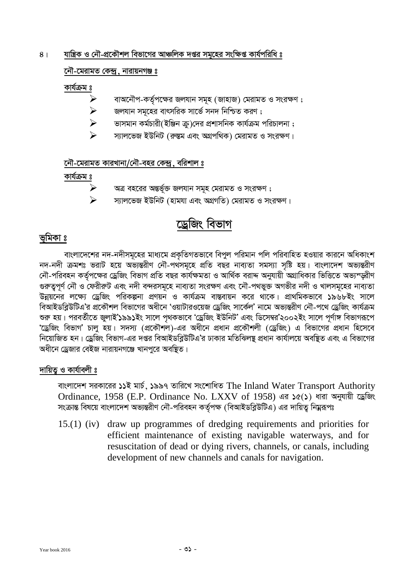# $8<sub>1</sub>$  শান্ত্রিক ও নৌ-প্রকৌশল বিভাগের আঞ্চলিক দপ্তর সয়হের সংক্ষিপ্ত কার্যপরিধি ঃ

# $\overline{M}$ -মেরামত কেন্দ্র, নারায়নগঞ্জ ঃ

# কাৰ্যক্ৰম ঃ

- বাঅনৌপ-কৰ্তৃপক্ষের জলযান সমূহ (জাহাজ) মেরামত ও সংরক্ষণ ;
- জলযান সমূহের বাৎসরিক সার্ভে সনদ নিশ্চিত করণ ;
- `ভাসমান কৰ্মচারী(ইঞ্জিন ক্র)দের প্রশাসনিক কার্যক্রম পরিচালনা ;
- স্যালভেজ ইউনিট (রুস্তম এবং অগ্রপথিক) মেরামত ও সংরক্ষণ।

# **‡bŠ-‡givgZ KviLvbv/†bŠ-eni †K›`ª, ewikvj t**

# কাৰ্যক্ৰম ঃ

- $\triangleright$  অত্র বহরের অন্তর্ভূক্ত জলযান সমূহ মেরামত ও সংরক্ষণ ;
- $\triangleright$  স্যালভেজ ইউনিট (হামযা এবং অগ্রগতি) মেরামত ও সংরক্ষণ।

# দ্ৰেজিং বিভাগ

# **ভূমিকা** ঃ

বাংলাদেশের নদ-নদীসমূহের মাধ্যমে প্রকৃতিগতভাবে বিপুল পরিমান পলি পরিবাহিত হওয়ার কারনে অধিকাংশ নদ-নদী ক্ৰমশঃ ভরাট হয়ে অভ্যন্তরীণ নৌ-পৰ্থসমূহে প্রতি বছর নাব্যতা সমস্যা সৃষ্টি হয়। বাংলাদেশ অভ্যন্তরীণ নৌ-পরিবহন কর্তপক্ষের ড্রেজিং বিভাগ প্রতি বছর কার্যক্ষমতা ও আর্থিক বরাদ্দ অনুযায়ী অগ্রাধিকার ভিত্তিতে অভ্যম্জীণ গুরুত্বপূর্ণ নৌ ও ফৈরীরুট এবং নদী বন্দরসমূহে নাব্যতা সংরক্ষণ এবং নৌ-পথভুক্ত অগভীর নদী ও খালসমূহের নাব্যতা উন্নয়নের লক্ষ্যে ড্রেজিং পরিকল্পনা প্রণয়ন ও কার্যক্রম বাস্তবায়ন করে থাকে। প্রাথমিকভাবে ১৯৬৮ইং সালে বিআইডব্লিউটিএ'র প্রকৌশল বিভাগের অধীনে 'ওয়াটারওয়েজ ড্রেজিং সার্কেল' নামে অভ্যন্তরীণ নৌ-পথে ড্রেজিং কার্যক্রম শুরু হয়। পরবর্তীতে জুলাই'১৯৯১ইং সালে পৃথকভাবে 'ড্রেজিং ইউনিট' এবং ডিসেম্বর'২০০২ইং সালে পূর্ণাঙ্গ বিভাগরূপে 'ড্রেজিং বিভাগ' চালু হয়। সদস্য (প্রকৌশল)-এর অধীনে প্রধান প্রকৌশলী (ড্রেজিং) এ বিভাগের প্রধান হিসেবে নিয়োজিত হন। ড্রেজিং বিভাগ-এর দপ্তর বিআইডব্লিউটিএ'র ঢাকার মতিঝিলষ্ট প্রধান কার্যালয়ে অবষ্টিত এবং এ বিভাগের অধীনে ড্রেজার বেইজ নারায়নগঞ্জে খানপরে অবষ্ঠিত।

# দায়িত্ব ও কাৰ্যাবলী ঃ

বাংলাদেশ সরকারের ১১ই মার্চ, ১৯৯৭ তারিখে সংশোধিত The Inland Water Transport Authority Ordinance, 1958 (E.P. Ordinance No. LXXV of 1958) এর ১৫(১) ধারা অনুযায়ী ড্রেজিং সংক্রান্ত বিষয়ে বাংলাদেশ অভ্যন্তরীণ নৌ-পরিবহন কর্তৃপক্ষ (বিআইডব্লিউটিএ) এর দায়িত্ব নিম্নরূপঃ

15.(1) (iv) draw up programmes of dredging requirements and priorities for efficient maintenance of existing navigable waterways, and for resuscitation of dead or dying rivers, channels, or canals, including development of new channels and canals for navigation.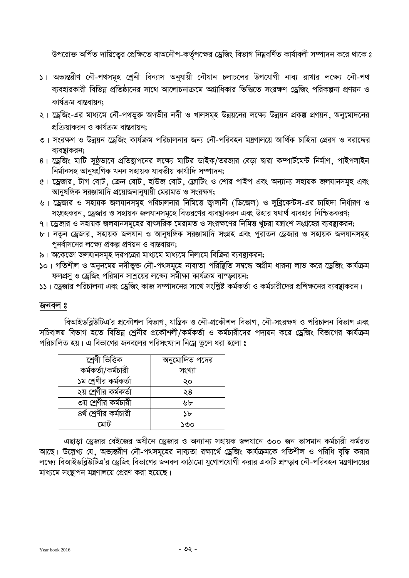উপরোক্ত অর্পিত দায়িতেুর প্রেক্ষিতে বাঅনৌপ-কর্তৃপক্ষের ড্রেজিং বিভাগ নিম্নবর্ণিত কার্যাবলী সম্পাদন করে থাকে ঃ

- )। অভ্যন্তরীণ নৌ-পথসমূহ শ্রেনী বিন্যাস অনুযায়ী নৌযান চলাচলের উপযোগী নাব্য রাখার লক্ষ্যে নৌ-পথ ব্যবহারকারী বিভিন্ন প্রতিষ্ঠানের সাথে আলোচনাক্রমে অগ্রাধিকার ভিত্তিতে সংরক্ষণ ড্রেজিং পরিকল্পনা প্রণয়ন ও কাৰ্যক্ৰম বাস্তবায়ন:
- ২। ড্রেজিং-এর মাধ্যমে নৌ-পথভুক্ত অগভীর নদী ও খালসমূহ উন্নয়নের লক্ষ্যে উন্নয়ন প্রকল্প প্রণয়ন, অনুমোদনের প্রক্রিয়াকরন ও কার্যক্রম বাস্তবায়ন:
- ৩। সংরক্ষণ ও উন্নয়ন ড্রেজিং কার্যক্রম পরিচালনার জন্য নৌ-পরিবহন মন্ত্রণালয়ে আর্থিক চাহিদা প্রেরণ ও বরাদ্দের ব্যবস্থাকরন:
- 8। ড্রেজিং মাটি সুষ্ঠভাবে প্রতিষ্থাপনের লক্ষ্যে মাটির ডাইক/তরজার বেড়া দ্বারা কম্পার্টমেন্ট নির্মাণ, পাইপলাইন <u>নিৰ্মানসহ আনুষংগিক খনন সহায়ক যাবতীয় কাৰ্যাদি সম্পাদন;</u>
- 6। ড্রেজার, টাগ বোট, ক্রেন বোট, হাউজ বোট, ফ্লোটিং ও শোর পাইপ এবং অন্যান্য সহায়ক জলযানসমূহ এবং আনুষঙ্গিক সরঞ্জামাদি প্রয়োজনানুযায়ী মেরামত ও সংরক্ষণ;
- ঙ। ড্রেজার ও সহায়ক জলযানসমূহ পরিচালনার নিমিত্তে জ্বালানী (ডিজেল) ও লুব্রিকেন্টস-এর চাহিদা নির্ধারণ ও সংগ্রহকরন, ড্রেজার ও সহায়ক জলযানসমূহে বিতরণের ব্যবস্থাকরন এবং উহার যথার্থ ব্যবহার নিশ্চিতকরণ;
- ৭। ড্রেজার ও সহায়ক জলযানসমূহের বাৎসরিক মেরামত ও সংরক্ষণের নিমিত্ত খচরা যন্ত্রাংশ সংগ্রহের ব্যবস্থাকরন;
- $b$ । নতুন ড্ৰেজার, সহায়ক জলযান ও আনুষঙ্গিক সরঞ্জামাদি সংগ্রহ এবং পুরাতন ড্ৰেজার ও সহায়ক জলযানসমূহ <u>পনর্বাসনের লক্ষ্যে প্রকল্প প্রণয়ন ও বাস্তবায়ন;</u>
- ৯। অকেজো জলযানসমূহ দরপত্রের মাধ্যমে মাধ্যমে নিলামে বিক্রির ব্যবস্থাকরন;
- **১**০। গতিশীল ও অনুনমেয় নদীভুক্ত নৌ-পথসমূহে নাব্যতা পরিষ্থিতি সম্বন্ধে অগ্রীম ধারনা লাভ করে ড্রেজিং কার্যক্রম ফলপ্ৰস ও ড্ৰেজিং পরিমান সাশ্রয়ের লক্ষ্যে সমীক্ষা কার্যক্রম বাস্ডবায়ন;
- ১১। ড্রেজার পরিচালনা এবং ড্রেজিং কাজ সম্পাদনের সাথে সংশ্লিষ্ট কর্মকর্তা ও কর্মচারীদের প্রশিক্ষনের ব্যবস্থাকরন।

### জনবল **ঃ**

বিআইডব্লিউটিএ'র প্রকৌশল বিভাগ, যান্ত্রিক ও নৌ-প্রকৌশল বিভাগ, নৌ-সংরক্ষণ ও পরিচালন বিভাগ এবং সচিবালয় বিভাগ হতে বিভিন্ন শ্রেনীর প্রকৌশলী/কর্মকর্তা ও কর্মচারীদের পদায়ন করে ড্রেজিং বিভাগের কার্যক্রম পরিচালিত হয়। এ বিভাগের জনবলের পরিসংখ্যান নিম্নে তুলে ধরা হলো ঃ

| শ্ৰেণী ভিত্তিক           | অনুমোদিত পদের |  |
|--------------------------|---------------|--|
| কর্মকর্তা/কর্মচারী       | সংখ্যা        |  |
| ১ম শ্রেণীর কর্মকর্তা     | ২০            |  |
| ২য় শ্রেণীর কর্মকর্তা    | ২8            |  |
| ৩য় শ্রেণীর কর্মচারী     | ৬৮            |  |
| $8$ র্থ শ্রেণীর কর্মচারী | 7P.           |  |
| মোট                      | ১৩০           |  |

এছাডা ড্রেজার বেইজের অধীনে ড্রেজার ও অন্যান্য সহায়ক জলযানে ৩০০ জন ভাসমান কর্মচারী কর্মরত আছে। উল্লেখ্য যে, অভ্যন্তরীণ নৌ-পথসমূহের নাব্যতা রক্ষার্থে ড্রেজিং কার্যক্রমকে গতিশীল ও পরিধি বৃদ্ধি করার লক্ষ্যে বিআইডব্লিউটিএ'র ড্রেজিং বিভাগের জনবল কাঠামো যুগোপযোগী করার একটি প্রস্ডাব নৌ-পরিবহন মন্ত্রণালয়ের মাধ্যমে সংস্থাপন মন্ত্ৰণালয়ে প্ৰেরণ করা হয়েছে।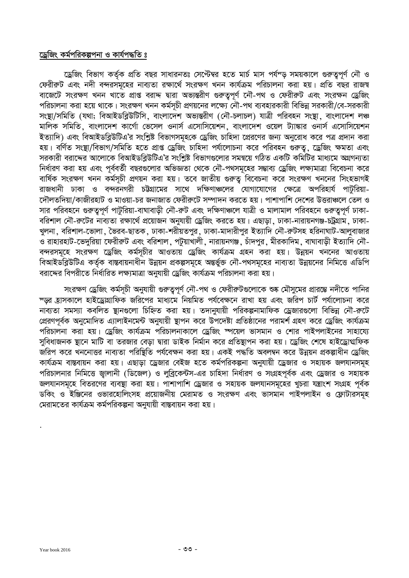## ড্রেজিং কর্মপরিকল্পপনা ও কার্যপদ্ধতি ঃ

ড্রেজিং বিভাগ কর্তৃক প্রতি বছর সাধারনতঃ সেপ্টেম্বর হতে মার্চ মাস পর্যন্ড সময়কালে গুরুত্বপূর্ণ নৌ ও ফেরীরুট এবং নদী বন্দরসমূহের নাব্যতা রক্ষার্থে সংরক্ষণ খনন কার্যক্রম পরিচালনা করা হয়। প্রতি বছর রাজম্ব বাজেটে সংরক্ষণ খনন খাতে প্রাপ্ত বরাদ্দ দ্বারা অভ্যন্তরীণ গুরুত্বপূর্ণ নৌ-পথ ও ফেরীরুট এবং সংরক্ষন ড্রেজিং পরিচালনা করা হয়ে থাকে। সংরক্ষণ খনন কর্মসূচী প্রণয়নের লক্ষ্যে নৌ-পথ ব্যবহারকারী বিভিন্ন সরকারী/বে-সরকারী সংস্থা/সমিতি (যথা; বিআইডব্লিউটিসি, বাংলাদেশ অভ্যন্তরীণ (নৌ-চলাচল) যাত্রী পরিবহন সংস্থা, বাংলাদেশ লঞ্চ মালিক সমিতি, বাংলাদেশ কার্গো ভেসেল ওনার্স এসোসিয়েশন, বাংলাদেশ ওয়েল ট্যাঙ্কার ওনার্স এসোসিয়েশন ইত্যাদি) এবং বিআইডব্লিউটিএ'র সংশ্লিষ্ট বিভাগসমূহকে ড্রেজিং চাহিদা প্রেরণের জন্য অনুরোধ করে পত্র প্রদান করা হয়। বর্ণিত সংষ্থা/বিভাগ/সমিতি হতে প্রাপ্ত ড্রেজিং চাহিদা পর্যালোচনা করে পরিবহন গুরুতু, ড্রেজিং ক্ষমতা এবং সরকারী বরাদ্দের আলোকে বিআইডব্রিউটিএ'র সংশ্লিষ্ট বিভাগগুলোর সমন্বয়ে গঠিত একটি কমিটির মাধ্যমে অগ্রগন্যতা নির্ধারণ করা হয় এবং পূর্ববর্তী বছরগুলোর অভিজ্ঞতা থেকে নৌ-পথসমূহের সম্ভাব্য ড্রেজিং লক্ষ্যমাত্রা বিবেচনা করে বার্ষিক সংরক্ষণ খনন কর্মসূচী প্রণয়ন করা হয়। তবে জাতীয় গুরুতু বিবেচনা করে সংরক্ষণ খননের সিংহভাগই ালিক।<br>রাজধানী ঢাকা ও বন্দরনগরী চউগ্রামের সাথে দক্ষিণাঞ্চলের যোগাযোগের ক্ষেত্রে অপরিহার্য পাটুরিয়া-দৌলতদিয়া/কাজীরহাট ও মাওয়া-চর জনাজাত ফেরীরুটে সম্পাদন করতে হয়। পাশাপাশি দেশের উত্তরাঞ্চলে তেল ও সার পরিবহনে গুরুত্বপূর্ণ পাটুরিয়া-বাঘাবাড়ী নৌ-রুট এবং দক্ষিণাঞ্চলে যাত্রী ও মালামাল পরিবহনে গুরুত্বপূর্ণ ঢাকা-বরিশাল নৌ-রুটের নাব্যতা রক্ষার্থে প্রয়োজন অনুযায়ী ড্রেজিং করতে হয়। এছাড়া, ঢাকা-নারায়নগঞ্জ-চট্রগ্রাম, ঢাকা-খুলনা, বরিশাল-ভোলা, ভৈরব-ছাতক, ঢাকা-শরীয়তপুর, ঢাকা-মাদারীপুর ইত্যাদি নৌ-রুটসহ হরিনাঘাট-আলুবাজার ওঁ রাহারহাট-ভেদুরিয়া ফেরীরুট এবং বরিশাল, পটুয়াখালী, নারায়নগঞ্জ, চাঁদপুর, মীরকাদিম, বাঘাবাড়ী ইত্যাদি নৌ-বন্দরসমূহে সংরক্ষণ ডেজিং কর্মসূচীর আওতায় ডেজিং কার্যক্রম গ্রহন করা হয়। উন্নয়ন খননের আওতায় বিআইডব্লিউটিএ কর্তৃক বাস্তবায়নাধীন উন্নয়ন প্রকল্পসমূহে অন্তর্ভুক্ত নৌ-পথসমূহের নাব্যতা উন্নয়নের নিমিত্তে এডিপি বরাদ্দের বিপরীতে নির্ধারিত লক্ষ্যমাত্রা অনুযায়ী ড্রেজিং কার্যক্রম পরিচালনা করা হয়।

সংরক্ষণ ড্রেজিং কর্মসূচী অনুযায়ী গুরুতুপূর্ণ নৌ-পথ ও ফেরীরুটগুলোকে শুষ্ক মৌসুমের প্রারম্ভে নদীতে পানির স্জ্য হোসকালে হাইড্রোগ্রাফিক জরিপের মাধ্যমে নিয়মিত পর্যবেক্ষনে রাখা হয় এবং জরিপ চার্ট পর্যালোচনা করে নাব্যতা সমস্যা কবলিত স্থানগুলো চিহ্নিত করা হয়। তদানুযায়ী পরিকল্পনামাফিক ড্রেজারগুলো বিভিন্ন নৌ-রুটে প্রেরণপূর্বক অনুমোদিত এ্যালাইনমেন্ট অনুযায়ী স্থাপন করে উপদেষ্টা প্রতিষ্ঠানের পরামর্শ গ্রহণ করে ড্রেজিং কার্যক্রম পরিচালনা করা হয়। ড্রেজিং কার্যক্রম পরিচালনাকালে ড্রেজিং স্পয়েল ভাসমান ও শোর পাইপলাইনের সাহায্যে সবিধাজনক ষ্টানে মাটি বা তরজার বেডা দ্বারা ডাইক নির্মান করে প্রতিষ্ণাপন করা হয়। ড্রেজিং শেষে হাইড্রোগ্মফিক ্র<br>জরিপ করে খননোত্তর নাব্যতা পরিষ্টিতি পর্যবেক্ষন করা হয়। একই পদ্ধতি অবলম্বন করে উন্নয়ন প্রকল্পাধীন ড্রেজিং কার্যক্রম বাস্তবায়ন করা হয়। এছাড়া ড্রেজার বেইজ হতে কর্মপরিকল্পনা অনুযায়ী ড্রেজার ও সহায়ক জলযানসমূহ পরিচালনার নিমিত্তে জ্বালানী (ডিজেল) ও লুব্রিকেন্টস-এর চাহিদা নির্ধারণ ও সংগ্রহপূর্বক এবং ড্রেজার ও সহায়ক জলযানসমূহে বিতরণের ব্যবস্থা করা হয়। পাশাপাশি ড্রেজার ও সহায়ক জলযানসমূহের খচরা যন্ত্রাংশ সংগ্রহ পূর্বক ্রিক:<br>ডকিং ও ইঞ্জিনের ওভারহোলিংসহ প্রয়োজনীয় মেরামত ও সংরক্ষণ এবং ভাসমান পাইপলাইন ও ফ্লোটারসমূহ মেরামতের কার্যক্রম কর্মপরিকল্পনা অনযায়ী বাস্তবায়ন করা হয়।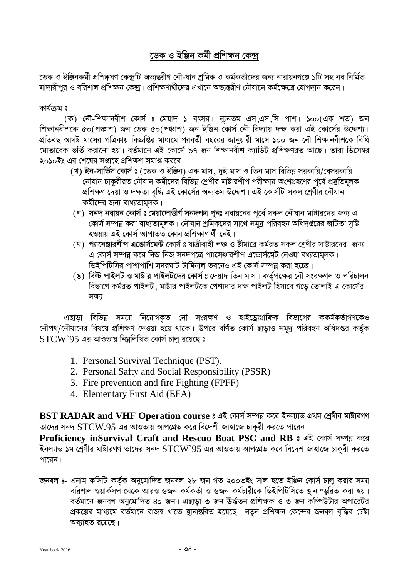# ডেক ও ইঞ্জিন কৰ্মী প্ৰশিক্ষন কেন্দ্ৰ

ডেক ও ইঞ্জিনকৰ্মী প্ৰশিক্কষণ কেন্দ্ৰটি অভ্যন্তরীণ নৌ-যান শ্ৰমিক ও কৰ্মকৰ্তাদের জন্য নারায়নগঞ্জে ১টি সহ নব নিৰ্মিত মাদারীপর ও বরিশাল প্রশিক্ষন কেন্দ। প্রশিক্ষণার্থীদের এখানে অভান্তরীণ নৌযানে কর্মক্ষেত্রে যোগদান করেন।

### কাৰ্যক্ৰম ঃ

(ক) নৌ-শিক্ষানবীশ কোর্স ঃ মেয়াদ ১ বৎসর। ন্যূনতম এস,এস,সি পাশ। ১০০(এক শত) জন শিক্ষানবীশকে ৫০(পঞ্চাশ) জন ডেক ৫০(পঞ্চাশ) জন ইঞ্জিন কোর্স নৌ বিদ্যায় দক্ষ করা এই কোর্সের উদ্দেশ্য। প্রতিবছ আগষ্ট মাসের পত্রিকায় বিজ্ঞপ্তির মাধ্যমে পরবর্তী বছরের জানয়ারী মাসে ১০০ জন নৌ শিক্ষানবীশকে বিধি মোতাবেক ভর্তি করানো হয়। বর্তমানে এই কোর্সে ৯৭ জন শিক্ষানবীশ ক্যাডিট প্রশিক্ষণরত আছে। তারা ডিসেম্বর ২০১০ইং এর শেষের সপ্তাহে প্রশিক্ষণ সমাপ্ত করবে।

- (খ) ইন-সার্ভিস কোর্স ঃ (ডেক ও ইঞ্জিন) এক মাস, দুই মাস ও তিন মাস বিভিন্ন সরকারি/বেসরকারি নৌযান চাকুরীরত নৌযান কর্মীদের বিভিন্ন শ্রেণীর মাষ্টারশীপ পরীক্ষায় অংশগ্রহণের পূর্বে প্রষ্কৃতিমূলক প্রশিক্ষণ দেয়া ও দক্ষতা বৃদ্ধি এই কোর্সের অন্যতম উদ্দেশ। এই কোর্সটি সকল শ্রেণীর নৌযান কর্মীদের জন্য বাধ্যতামূলক।
- (গ) সনদ নবায়ন কোর্স ঃ মেয়াদোত্তীর্ণ সনদপত্র পুনঃ নবায়নের পূর্বে সকল নৌযান মাষ্টারদের জন্য এ কোর্স সম্পন্ন করা বাধ্যতামূলক। নৌযান শ্রমিকদের সাথে সমুদ্র পরিবহন অধিদপ্তরের জটিতা সৃষ্টি হওয়ায় এই কোৰ্স আপাতত কোন প্ৰশিক্ষাণাৰ্থী নেই।
- (ঘ) প্যাসেঞ্জারশীপ এন্ডোর্সমেন্ট কোর্স ঃ যাত্রীবাহী লঞ্চ ও ষ্টীমারে কর্মরত সকল শ্রেণীর সাষ্টারদের জন্য এ কোর্স সম্পন্ন করে নিজ নিজ সনদপত্রে প্যাসেঞ্জারশীপ এন্ডোর্সমেট নেওয়া বধ্যতামূলক। ডিইপিটিসির পাশাপাশি সদরঘাট টার্মিনাল ভবনেও এই কোর্স সম্পন্ন করা হচ্ছে।
- (ঙ) বিল্ট পাইলট ও মাষ্টার পাইলটদের কোর্স ঃ দেয়াদ তিন মাস। কর্তৃপক্ষের নৌ সংরক্ষণল ও পরিচালন বিভাগে কর্মরত পাইলট ,মাষ্টার পাইলটকে পেশাদার দক্ষ পাইলট হিসাবে গড়ে তোলাই এ কোর্সের লক্ষ্য।

এছাড়া বিভিন্ন সময়ে নিয়োগকৃত নৌ সংরক্ষণ ও হাইড্রোগ্রাফিক বিভাগের ককর্মকর্তাগণকেও নৌপথ/নৌযানের বিষয়ে প্রশিক্ষণ দেওয়া হয়ে থাকে। উপরে বর্ণিত কোর্স ছাড়াও সমুদ্র পরিবহন অধিদপ্তর কর্তৃক  $STCW$  95 এর আওতায় নিয়লিখিত কোর্স চালু রয়েছে ঃ

- 1. Personal Survival Technique (PST).
- 2. Personal Safty and Social Responsibility (PSSR)
- 3. Fire prevention and fire Fighting (FPFF)
- 4. Elementary First Aid (EFA)

BST RADAR and VHF Operation course : এই কোৰ্স সম্পন্ন করে ইনল্যান্ড প্রথম শ্রেণীর মাষ্টারগণ তাদের সনদ  $STCW.95$  এর আওতায় আপগ্রেড করে বিদেশী জাহাজে চাকুরী করতে পারেন।

Proficiency inSurvival Craft and Rescuo Boat PSC and RB ঃ এই কোর্স সম্পন্ন করে ইনল্যান্ড ১ম শ্রেণীর মাষ্টারগণ তাদের সনদ  $STCW$   $95$  এর আওতায় আপগ্রেড করে বিদেশ জাহাজে চাকুরী করতে পারেন।

জনবল ঃ- এনাম কসিটি কর্তৃক অনুমোদিত জনবল ২৮ জন গত ২০০৩ইং সাল হতে ইঞ্জিন কোর্স চালু করার সময় বরিশাল ওয়ার্কসপ থেকে আরও ৬জন কর্মকর্তা ও ৬জন কর্মচারীকে ডিইপিটিসিতে ষ্টানান্ডরিত করা হয়। বর্তমানে জনবল অনুমোদিত ৪০ জন। এছাড়া ৩ জন ঊর্দ্ধতন প্রশিক্ষক ও ৩ জন কম্পিউটার অপারেটর প্রকল্পের মাধ্যমে বর্তমানে রাজশ্ব খাতে স্থানান্তরিত হয়েছে। নতুন প্রশিক্ষন কেন্দের জনবল বৃদ্ধির চেষ্টা অব্যাহত রয়েছে।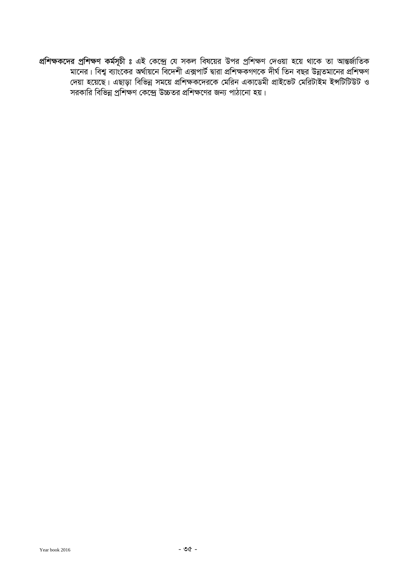প্রশিক্ষকদের প্রশিক্ষণ কর্মসূচী ঃ এই কেন্দ্রে যে সকল বিষয়ের উপর প্রশিক্ষণ দেওয়া হয়ে থাকে তা আন্তর্জাতিক মানের। বিশ্ব ব্যাংকের অর্থায়নে বিদেশী এক্সপার্ট দ্বারা প্রশিক্ষকগণকে দীর্ঘ তিন বছর উন্নতমানের প্রশিক্ষণ দেয়া হয়েছে। এছাডা বিভিন্ন সময়ে প্রশিক্ষকদেরকে মেরিন একাডেমী প্রাইভেট মেরিটাইম ইন্সটিটিউট ও সরকারি বিভিন্ন প্রশিক্ষণ কেন্দ্রে উচ্চতর প্রশিক্ষণের জন্য পাঠানো হয়।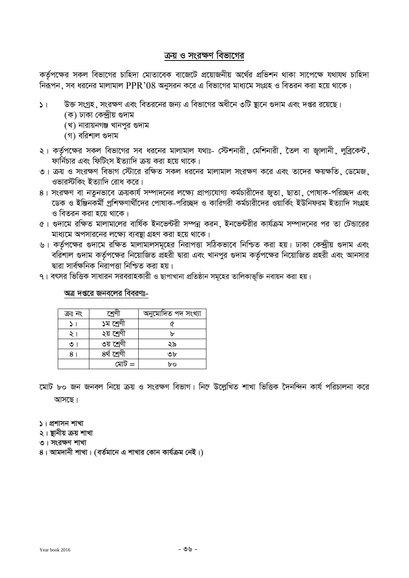# <u>ক্রয়</u> ও সংরক্ষণ বিভাগের

কৰ্তৃপক্ষের সকল বিভাগের চাহিদা মোতাবেক বাজেটে প্রয়োজনীয় অর্থের প্রভিশন থাকা সাপেক্ষে যথাযথ চাহিদা নিরূপন, সব ধরনের মালামাল PPR' $08$  অনুসরন করে এ বিভাগের মাধ্যমে সংগ্রহ ও বিতরন করা হয়ে থাকে।

- $\mathsf{S}_\perp$   $\blacksquare$  উক্ত সংগ্রহ ়সংরক্ষণ এবং বিতরনের জন্য এ বিভাগের অধীনে ৩টি ষ্টানে গুদাম এবং দপ্তর রয়েছে।
	- (ক) ঢাকা কেন্দ্ৰীয় গুদাম
	- (খ) নারায়নগঞ্জ খানপুর গুদাম
	- (গ) বরিশাল গুদাম
- ২। কর্তৃপক্ষের সকল বিভাগের সব ধরনের মালামাল যথাঃ- স্টেশনারী, মেশিনারী, তৈল বা জ্বালানী, লুব্রিকেন্ট, ফার্নিচার এবং ফিটিংস ইত্যাদি ক্রয় করা হয়ে থাকে।
- ৩। ক্রয় ও সংরক্ষণ বিভাগ স্টোরে রক্ষিত সকল ধরনের মালামাল সংরক্ষণ করে এবং তাদের ক্ষয়ক্ষতি, ডেমেজ, ওভারস্টকিং ইত্যাদি রোধ করে।
- 8। সংরক্ষণ বা নতনভাবে ক্রয়কার্য সম্পাদনের লক্ষ্যে প্রাপ্যযোগ্য কর্মচারীদের জতা, ছাতা, পোষাক-পরিচ্ছদ এবং দ্ভেক ও ইঞ্জিনকর্মী প্রশিক্ষণার্থীদের পোষাক-পরিচ্ছদ ও কারিগরী কর্মচারীদের ওয়ার্কিং ইউনিফরম ইত্যাদি সংগ্রহ ও বিতরন করা হয়ে থাকে।
- 6। গুদামে রক্ষিত মালামালের বার্ষিক ইনভেন্টরী সম্পন্ন করন, ইনভেন্টরীর কার্যক্রম সম্পাদনের পর তা টেন্ডারের মাধ্যমে অপসারনের লক্ষ্যে ব্যবস্থা গ্রহণ করা হয়ে থাকে।
- ঙ। কর্তৃপক্ষের গুদামে রক্ষিত মালামালসমূহের নিরাপত্তা সঠিকভাবে নিশ্চিত করা হয়। ঢাকা কেন্দ্রীয় গুদাম এবং বরিশাল গুদাম কর্তৃপক্ষের নিয়োজিত প্রহরী দ্বারা এবং খানপুর গুদাম কর্তৃপক্ষের নিয়োজিত প্রহরী এবং আনসার দ্বারা সার্বক্ষনিক নিরাপত্তা নিশ্চিত করা হয়।
- ৭। বৎসর ভিত্তিক সাধারন সরবরাহকারী ও ছাপাখানা প্রতিষ্ঠান সমূহের তালিকাভূক্তি নবায়ন করা হয়।

### <u>অত্র দপ্তরে জনবলের বিবরণঃ-</u>

| ক্ৰঃ নং | শ্ৰেণ       | অনুমোদিত পদ সংখ্যা |
|---------|-------------|--------------------|
|         | ১ম শ্ৰেণী   |                    |
|         | ২য় শ্ৰেণী  | ŀ۳                 |
| ৩।      | ৩য় শ্ৰেণী  | ২৯                 |
| 8       | ৪র্থ শ্রেণী | ৩৮                 |
|         | মোট =       | bo                 |

হোট ৮০ জন জনবল নিয়ে ক্রয় ও সংরক্ষণ বিভাগ। নিহ্ন উল্লেখিত শাখা ভিত্তিক দৈনন্দিন কার্য পরিচালনা করে

আসছে।

- **5** | প্রশাসন শাখা
- ২। **ছানীয় ক্ৰয় শাখা**
- **৩। সংরক্ষণ শাখা**
- $8$ । আমদানী শাখা। (বর্তমানে এ শাখার কোন কার্যক্রম নেই।)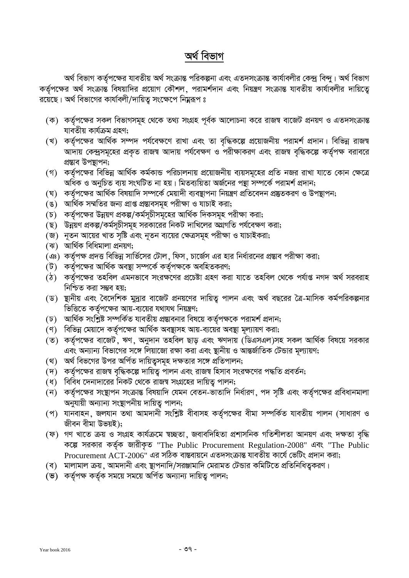# অৰ্থ বিভাগ

অৰ্থ বিভাগ কৰ্তৃপক্ষের যাবতীয় অৰ্থ সংক্ৰান্ত পরিকল্পনা এবং এতদসংক্ৰান্ত কাৰ্যাবলীর কেন্দ্ৰ বিন্দু। অৰ্থ বিভাগ কর্তৃপক্ষের অর্থ সংক্রান্ত বিষয়াদির প্রয়োগ কৌশল, পরামর্শদান এবং নিয়ন্ত্রণ সংক্রান্ত যাবতীয় কার্যাবলীর দায়িতে রয়েছে। অর্থ বিভাগের কার্যাবলী/দায়িত্ব সংক্ষেপে নিম্নরূপ ঃ

- (ক) কর্তৃপক্ষের সকল বিভাগসমূহ থেকে তথ্য সংগ্রহ পূর্বক আলোচনা করে রাজশ্ব বাজেট প্রনয়ণ ও এতদসংক্রান্ত যাবতীয় কাৰ্যক্ৰম গ্ৰহণ;
- (খ) কর্তৃপক্ষের আর্থিক সম্পদ পর্যবেক্ষণে রাখা এবং তা বৃদ্ধিকল্পে প্রয়োজনীয় পরামর্শ প্রদান। বিভিন্ন রাজশ্ব আদায় কেন্দ্রসমূহের প্রকৃত রাজশ্ব আদায় পর্যবেক্ষণ ও পরীক্ষাকরণ এবং রাজশ্ব বৃদ্ধিকল্পে কর্তৃপক্ষ বরাবরে প্ৰস্তাব উপস্থাপন;
- (গ) কর্তৃপক্ষের বিভিন্ন আর্থিক কর্মকান্ড পরিচালনায় প্রয়োজনীয় ব্যয়সমূহের প্রতি নজর রাখা যাতে কোন ক্ষেত্রে অধিক ও অনুচিত ব্যয় সংঘটিত না হয়। মিতব্যয়িতা অৰ্জনের পন্থা সম্পৰ্কে পরামর্শ প্রদান;
- (ঘ) কর্তপক্ষের আর্থিক বিষয়াদি সম্পর্কে মেয়াদী ব্যবস্থাপনা নিয়ন্ত্রণ প্রতিবেদন প্রষ্তুতকরণ ও উপস্থাপন;
- (ঙ) আর্থিক সম্মতির জন্য প্রাপ্ত প্রস্তাবসমূহ পরীক্ষা ও যাচাই করা;
- (চ) কর্তৃপক্ষের উন্নয়ণ প্রকল্প/কর্মসূচীসমূহের আর্থিক দিকসমূহ পরীক্ষা করা;
- (ছ) উন্নয়ণ প্রকল্প/কর্মসূচীসমূহ সরকারের নিকট দাখিলের অগ্রগতি পর্যবেক্ষণ করা;
- (জ) নূতন আয়ের খাত সৃষ্টি এবং নূতন ব্যয়ের ক্ষেত্রসমূহ পরীক্ষা ও যাচাইকরা;
- (ঝ) আৰ্থিক বিধিমালা প্ৰনয়ণ;
- (ঞ) কর্তৃপক্ষ প্রদত্ত বিভিন্ন সার্ভিসের টোল, ফিস, চার্জেস এর হার নির্ধারনের প্রস্তাব পরীক্ষা করা;
- (ট) কর্তৃপক্ষের আর্থিক অবষ্থা সম্পর্কে কর্তৃপক্ষকে অবহিতকরণ;
- (ঠ) কর্তৃপক্ষের তহবিল এমনভাবে সংরক্ষণের প্রচেষ্টা গ্রহণ করা যাতে তহবিল থেকে পর্যাপ্ত নগদ অর্থ সরবরাহ নিশ্চিত করা সম্ভব হয়;
- (ড) স্থানীয় এবং বৈদেশিক মুদ্রার বাজেট প্রনয়ণের দায়িত্ব পালন এবং অর্থ বছরের ত্রৈ-মাসিক কর্মপরিকল্পনার ভিত্তিতে কর্তৃপক্ষের আয়-ব্যয়ের যথাযথ নিয়ন্ত্রণ;
- (ঢ) আর্থিক সংশ্লিষ্ট সম্পর্কিত যাবতীয় প্রস্তাবনার বিষয়ে কর্তৃপক্ষকে পরামর্শ প্রদান;
- (ণ) বিভিন্ন মেয়াদে কর্তৃপক্ষের আর্থিক অবস্থাসহ আয়-ব্যয়ের অবস্থা মূল্যায়ণ করা;
- (ত) কর্তৃপক্ষের বাজেট ,ঋণ , অনুদান তহবিল ছাড় এবং ঋণদায় (ডিএসএল)সহ সকল আর্থিক বিষয়ে সরকার এবং অন্যান্য বিভাগের সঙ্গে লিয়াজো রক্ষা করা এবং স্থানীয় ও আন্তর্জাতিক টেন্ডার মূল্যায়ণ;
- (থ) অর্থ বিভগের উপর অর্পিত দায়িতুসমূহ দক্ষতার সঙ্গে প্রতিপালন;
- (দ) কর্তৃপক্ষের রাজশ্ব বৃদ্ধিকল্পে দায়িতু পালন এবং রাজশ্ব হিসাব সংরক্ষণের পদ্ধতি প্রবর্তন;
- (ধ) বিবিধ দেনাদারের নিকট থেকে রাজশ্ব সংগ্রহের দায়িত্ব পালন;
- (ন) কর্তৃপক্ষের সংস্থাপন সংক্রান্ত বিষয়াদি যেমন বেতন-ভাতাদি নির্ধারণ, পদ সৃষ্টি এবং কর্তৃপক্ষের প্রবিধানমালা অনুযায়ী অন্যান্য সংস্থাপনীয় দায়িতু পালন;
- (প) যানবাহন, জলযান তথা আমদানী সংশ্লিষ্ট বীবাসহ কৰ্তৃপক্ষের বীমা সম্পর্কিত যাবতীয় পালন (সাধারণ ও জীবন বীমা উভয়ই);
- (ফ) গণ খাতে ক্ৰয় ও সংগ্ৰহ কাৰ্যক্ৰমে ম্বচ্ছতা, জবাবদিহিতা প্ৰশাসনিক গতিশীলতা আনয়ণ এবং দক্ষতা বৃদ্ধি কল্পে সরকার কর্তৃক জারীকৃত "The Public Procurement Regulation-2008" এবং "The Public Procurement ACT-2006" এর সঠিক বাস্তবায়নে এতদসংক্রান্ত যাবতীয় কার্যে ভেটিং প্রদান করা;
- (ব) মালামাল ক্রয়, আমদানী এবং স্থাপনাদি/সরঞ্জামাদি মেরামত টেন্ডার কমিটিতে প্রতিনিধিত্বকরণ।
- (ভ) কৰ্তৃপক্ষ কৰ্তৃক সময়ে সময়ে অৰ্পিত অন্যান্য দায়িত্ব পালন;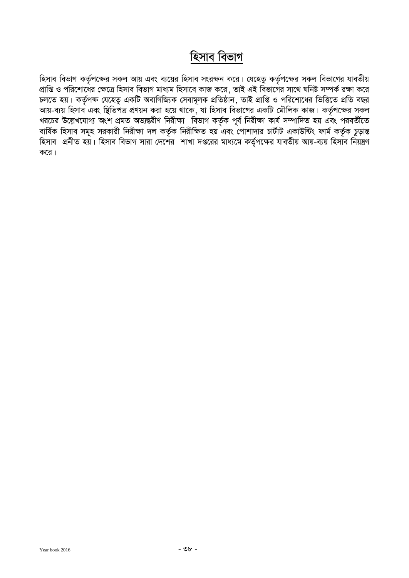# **হিসাব বিভাগ**

হিসাব বিভাগ কর্তৃপক্ষের সকল আয় এবং ব্যয়ের হিসাব সংরক্ষন করে। যেহেতু কর্তৃপক্ষের সকল বিভাগের যাবতীয় প্রাপ্তি ও পরিশোর্ষের ক্ষেত্রে হিসাব বিভাগ মাধ্যম হিসাবে কাজ করে , তাই এই বিভাগের সাথে ঘনিষ্ট সম্পর্ক রক্ষা করে সাহে তেলামান মাজত কৰা কৰা হয়। সাহিত্যিক সেৱামূলক প্ৰতিষ্ঠান , তাই প্ৰাপ্তি ও পরিশোধের ভিত্তিতে প্ৰতি বছর।<br>চলতে হয়। কর্তৃপক্ষ যেহেতু একটি অবাণিজ্যিক সেবামূলক প্ৰতিষ্ঠান , তাই প্ৰাপ্তি ও পরিশোধের ভিত্তিতে প্ৰতি বছর আয়-ব্যয় হিসাব এবং ষ্টিতিপত্র প্রণয়ন করা হয়ে থাকে ়যা হিসাব বিভাগের একটি মৌলিক কাজ। কর্তৃপক্ষের সকল খরচের উল্লেখযোগ্য অংশ প্রমত অভ্যন্তরীণ নিরীক্ষা বিভাগ কর্তৃক পূর্ব নিরীক্ষা কার্য সম্পাদিত হয় এবং পরবর্তীতে বাৰ্ষিক হিসাব সমূহ সরকারী নিরীক্ষা দল কর্তৃক নিরীক্ষিত হয় এবং পোশাদার চার্টাট একাউন্টিং ফার্ম কর্তৃক চূড়ান্ত হিসাব প্রনীত হয়। হিসাব বিভাগ সারা দেশের শাখা দপ্তরের মাধ্যমে কর্তৃপক্ষের যাবতীয় আয়-ব্যয় হিসাব নিয়ন্ত্রণ করে।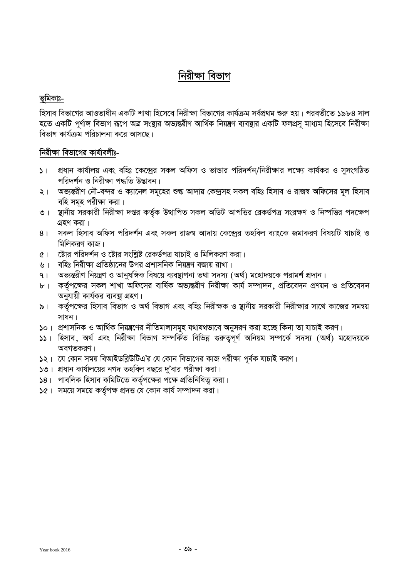# নিরীক্ষা বিভাগ

# ভূমিকাঃ-

হিসাব বিভাগের আওতাধীন একটি শাখা হিসেবে নিরীক্ষা বিভাগের কার্যক্রম সর্বপ্রথম শুরু হয়। পরবর্তীতে ১৯৮৪ সাল হতে একটি পূর্ণাঙ্গ বিভাগ রূপে অত্র সংস্থার অভ্যন্তরীণ আর্থিক নিয়ন্ত্রণ ব্যবস্থার একটি ফলপ্রস মাধ্যম হিসেবে নিরীক্ষা বিভাগ কার্যক্রম পরিচালনা করে আসছে।

# নিরীক্ষা বিভাগের কার্যাবলীঃ-

- ১। প্রধান কার্যালয় এবং বহিঃ কেন্দ্রের সকল অফিস ও ভান্ডার পরিদর্শন/নিরীক্ষার লক্ষ্যে কার্যকর ও সুসংগঠিত পরিদর্শন ও নিরীক্ষা পদ্ধতি উদ্ভাবন।
- ২। অভ্যন্তরীণ নৌ-বন্দর ও ক্যানেল সমূহের শুল্ক আদায় কেন্দ্রসহ সকল বহিঃ হিসাব ও রাজশ্ব অফিসের মূল হিসাব বহি সমূহ পরীক্ষা করা।
- ৩। স্থানীয় সরকারী নিরীক্ষা দপ্তর কর্তৃক উত্থাপিত সকল অডিট আপত্তির রেকর্ডপত্র সংরক্ষণ ও নিষ্পত্তির পদক্ষেপ গ্রহণ করা।
- ৪। সকল হিসাব অফিস পরিদর্শন এবং সকল রাজশ্ব আদায় কেন্দ্রের তহবিল ব্যাংকে জমাকরণ বিষয়টি যাচাই ও মিলিকরণ কাজ।
- ৫। স্টোর পরিদর্শন ও ষ্টোর সংশ্রিষ্ট রেকর্ডপত্র যাচাই ও মিলিকরণ করা।
- ৬। বহিঃ নিরীক্ষা প্রতিষ্ঠানের উপর প্রশাসনিক নিয়ন্ত্রণ বজায় রাখা।
- ্অভ্যন্তরীণ নিয়ন্ত্রণ ও আনুষঙ্গিক বিষয়ে ব্যবস্থাপনা তথা সদস্য (অর্থ) মহোদয়কে পরামর্শ প্রদান।  $9<sub>1</sub>$
- ৮। কর্তৃপক্ষের সকল শাখা অফিসের বার্ষিক অভ্যন্তরীণ নিরীক্ষা কার্য সম্পাদন, প্রতিবেদন প্রণয়ন ও প্রতিবেদন অনুযায়ী কাৰ্যকর ব্যবস্থা গ্রহণ।
- কর্তৃপক্ষের হিসাব বিভাগ ও অর্থ বিভাগ এবং বহিঃ নিরীক্ষক ও ষ্থানীয় সরকারী নিরীক্ষার সাথে কাজের সমন্বয় ৯। $\blacksquare$ সাধন।
- ১০। প্রশাসনিক ও আর্থিক নিয়ন্ত্রণের নীতিমালাসমূহ যথাযথভাবে অনুসরণ করা হচ্ছে কিনা তা যাচাই করণ।
- ১১। হিসাব, অর্থ এবং নিরীক্ষা বিভাগ সম্পর্কিত বিভিন্ন গুরুতুপূর্ণ অনিয়ম সম্পর্কে সদস্য (অর্থ) মহোদয়কে অবগতকরণ।
- ১২। যে কোন সময় বিআইডব্লিউটিএ'র যে কোন বিভাগের কাজ পরীক্ষা পূর্বক যাচাই করণ।
- $\mathcal{S}$ ৩। প্রধান কার্যালয়ের নগদ তহবিল বছরে দু'বার পরীক্ষা করা।
- $|8|$ । পাবলিক হিসাব কমিটিতে কর্তৃপক্ষের পক্ষে প্রতিনিধিত্ব করা।
- ১৫। সময়ে সময়ে কর্তৃপক্ষ প্রদত্ত যে কোন কার্য সম্পাদন করা।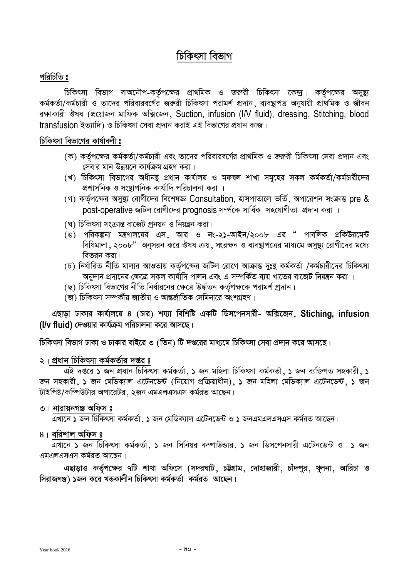# চিকিৎসা বিভাগ

# পরিচিতি ঃ

চিকিৎসা বিভাগ বাঅনৌপ-কর্তৃপক্ষের প্রাথমিক ও জরুরী চিকিৎসা কেন্দ্র। কর্তৃপক্ষের অসুষ্থ্য কৰ্মকৰ্তা/কৰ্মচারী ও তাদের পরিবারবর্গের জরুরী চিকিৎসা পরামর্শ প্রদান, ব্যবস্থাপত্র অনুযায়ী প্রাথমিক ও জীবন রক্ষাকারী ঔষধ (প্রয়োজন মাফিক অক্সিজেন, Suction, infusion (I/V fluid), dressing, Stitching, blood transfusion ইত্যাদি) ও চিকিৎসা সেবা প্রদান করাই এই বিভাগের প্রধান কাজ।

## চিকিৎসা বিভাগের কার্যাবলী ঃ

- (ক) কর্তৃপক্ষের কর্মকর্তা/কর্মচারী এবং তাদের পরিবারবর্গের প্রাথমিক ও জরুরী চিকিৎসা সেবা প্রদান এবং সেবার মান উন্নয়নে কার্যক্রম গ্রহণ করা।
- (খ) চিকিৎসা বিভাগের অধীনষ্ট প্রধান কার্যালয় ও মফম্বল শাখা সমূহের সকল কর্মকর্তা/কর্মচারীদের প্রশাসনিক ও সংস্থাপনিক কার্যাদি পরিচালনা করা ।
- (গ) কর্তৃপক্ষের অসুষ্থ্য রোগীদের বিশেষজ্ঞ Consultation, হাসপাতালে ভর্তি, অপারেশন সংক্রান্ত pre & post-operative জটিল রোগীদের prognosis সর্ম্পকে সার্বিক সহযোগীতা প্রদান করা ।
- (ঘ) চিকিৎসা সংক্রান্ত বাজেট প্রনয়ন ও নিয়ন্ত্রন করা।
- (ঙ) পরিকল্পনা মন্ত্রণালয়ের এস, আর ও নং-২১-আইন/২০০৮ এর " পাবলিক প্রকিউরমেন্ট বিধিমালা, ২০০৮" অনুসরন করে ঔষধ ক্রয়, সংরক্ষন ও ব্যবস্থাপত্রের মাধ্যমে অসুষ্থ্য রোগীদের মধ্যে বিতরন করা।
- (চ) নির্ধারিত নীতি মালার আওতায় কর্তৃপক্ষের জটিল রোগে আক্রান্ত দুঃষ্থ কর্মকর্তা /কর্মচারীদের চিকিৎসা 'অনুদান প্রদানের ক্ষেত্রে সকল কার্যাদি পালন এবং এ সম্পর্কিত ব্যয় খাতের বাজেট নিয়ন্ত্রন করা ।
- (ছ) চিকিৎসা বিভাগের নীতি নির্ধারনের ক্ষেত্রে উর্দ্ধতন কর্তৃপক্ষকে পরামর্শ প্রদান।
- (জ) চিকিৎসা সম্পৰ্কীয় জাতীয় ও আন্তৰ্জাতিক সেমিনারে অংশগ্ৰহণ।

এছাড়া ঢাকার কার্যালয়ে ৪ (চার) শয্যা বিশিষ্টি একটি ডিসপেনসারী- অক্সিজেন, Stiching, infusion (I/v fluid) দেওয়ার কার্যক্রম পরিচালনা করে আসছে।

চিকিৎসা বিভাগ ঢাকা ও ঢাকার বাইরে ৩ (তিন) টি দপ্তরের মাধ্যমে চিকিৎসা সেবা প্রদান করে আসছে।

### ২। প্রধান চিকিৎসা কর্মকর্তার দপ্তর ঃ

এই দপ্তরে ১ জন প্রধান চিকিৎসা কর্মকর্তা, ১ জন মহিলা চিকিৎসা কর্মকর্তা, ১ জন ব্যক্তিগত সহকারী, ১ জন সহকারী. ১ জন মেডিক্যাল এটেনডেন্ট (নিয়োগ প্রক্রিয়াধীন). ১ জন মহিলা মেডিক্যাল এটেনডেন্ট. ১ জন টাইপিষ্ট/কম্পিউটার অপারেটর, ২জন এমএলএসএস কর্মরত আছেন।

### ৩। নারায়নগঞ্জ অফিস ঃ

ত্রখানে ১ জন চিকিৎসা কর্মকর্তা, ১ জন মেডিক্যাল এটেনডেন্ট ও ১ জনএমএলএসএস কর্মরত আছেন।

### ৪। বরিশাল অফিস ঃ

এখানে ১ জন চিকিৎসা কর্মকর্তা, ১ জন সিনিয়র কম্পাউন্ডার, ১ জন ডিসপেনসারী এটেনডেন্ট ও ১ জন এমএলএসএস কর্মরত আছেন।

এছাড়াও কর্তৃপক্ষের ৭টি শাখা অফিসে (সদরঘাট, চট্টগ্রাম, দোহাজারী, চাঁদপুর, খুলনা, আরিচা ও সিরাজগঞ্জ) ১জন করে খন্ডকালীন চিকিৎসা কর্মকর্তা কর্মরত আছেন।